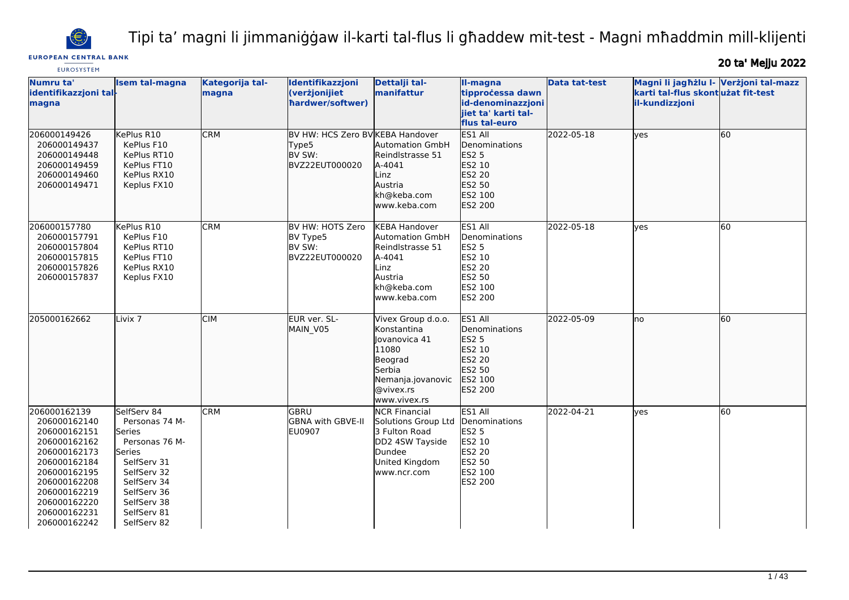

Tipi ta' magni li jimmaniġġaw il-karti tal-flus li għaddew mit-test - Magni mħaddmin mill-klijenti

# **EUROPEAN CENTRAL BANK EUROSYSTEM**

20 ta' Mejju 2022

| Numru ta'<br>identifikazzjoni tal-<br>magna                                                                                                                                                  | <b>Isem tal-magna</b>                                                                                                                                                        | Kategorija tal-<br>magna | Identifikazzjoni<br>(verżjonijiet<br>hardwer/softwer)                 | Dettalji tal-<br>manifattur                                                                                                        | II-magna<br>tipprocessa dawn<br>id-denominazzjoni<br>jiet ta' karti tal-<br>flus tal-euro             | <b>Data tat-test</b> | Magni li jagħżlu I- Verżjoni tal-mazz<br>karti tal-flus skontużat fit-test<br>il-kundizzjoni |    |
|----------------------------------------------------------------------------------------------------------------------------------------------------------------------------------------------|------------------------------------------------------------------------------------------------------------------------------------------------------------------------------|--------------------------|-----------------------------------------------------------------------|------------------------------------------------------------------------------------------------------------------------------------|-------------------------------------------------------------------------------------------------------|----------------------|----------------------------------------------------------------------------------------------|----|
| 206000149426<br>206000149437<br>206000149448<br>206000149459<br>206000149460<br>206000149471                                                                                                 | KePlus R10<br>KePlus F10<br>KePlus RT10<br>KePlus FT10<br>KePlus RX10<br>Keplus FX10                                                                                         | <b>CRM</b>               | BV HW: HCS Zero BV KEBA Handover<br>Type5<br>BV SW:<br>BVZ22EUT000020 | <b>Automation GmbH</b><br>Reindlstrasse 51<br>A-4041<br>Linz<br>Austria<br>kh@keba.com<br>www.keba.com                             | ES1 All<br><b>I</b> Denominations<br>ES2 5<br>ES2 10<br>ES2 20<br>ES2 50<br>ES2 100<br><b>ES2 200</b> | 2022-05-18           | lves                                                                                         | 60 |
| 206000157780<br>206000157791<br>206000157804<br>206000157815<br>206000157826<br>206000157837                                                                                                 | KePlus R10<br>KePlus F10<br>KePlus RT10<br>KePlus FT10<br>KePlus RX10<br>Keplus FX10                                                                                         | <b>CRM</b>               | BV HW: HOTS Zero<br>BV Type5<br>BV SW:<br>BVZ22EUT000020              | <b>KEBA Handover</b><br><b>Automation GmbH</b><br>Reindlstrasse 51<br>A-4041<br>Linz<br>Austria<br>kh@keba.com<br>www.keba.com     | ES1 All<br>Denominations<br><b>ES2 5</b><br>ES2 10<br>ES2 20<br>ES2 50<br>ES2 100<br><b>ES2 200</b>   | 2022-05-18           | ves                                                                                          | 60 |
| 205000162662                                                                                                                                                                                 | Livix <sub>7</sub>                                                                                                                                                           | <b>CIM</b>               | EUR ver. SL-<br>MAIN V05                                              | Vivex Group d.o.o.<br>Konstantina<br>Jovanovica 41<br>11080<br>Beograd<br>Serbia<br>Nemanja.jovanovic<br>@vivex.rs<br>www.vivex.rs | ES1 All<br><b>I</b> Denominations<br><b>ES2 5</b><br>ES2 10<br>ES2 20<br>ES2 50<br>ES2 100<br>ES2 200 | 2022-05-09           | Ino                                                                                          | 60 |
| 206000162139<br>206000162140<br>206000162151<br>206000162162<br>206000162173<br>206000162184<br>206000162195<br>206000162208<br>206000162219<br>206000162220<br>206000162231<br>206000162242 | SelfServ 84<br>Personas 74 M-<br>Series<br>Personas 76 M-<br>Series<br>SelfServ 31<br>SelfServ 32<br>SelfServ 34<br>SelfServ 36<br>SelfServ 38<br>SelfServ 81<br>SelfServ 82 | <b>CRM</b>               | GBRU<br><b>GBNA with GBVE-II</b><br><b>EU0907</b>                     | <b>NCR Financial</b><br>Solutions Group Ltd<br>3 Fulton Road<br>DD2 4SW Tayside<br>Dundee<br>United Kingdom<br>www.ncr.com         | ES1 All<br>Denominations<br><b>ES2 5</b><br>ES2 10<br>ES2 20<br>ES2 50<br>ES2 100<br>ES2 200          | 2022-04-21           | lves                                                                                         | 60 |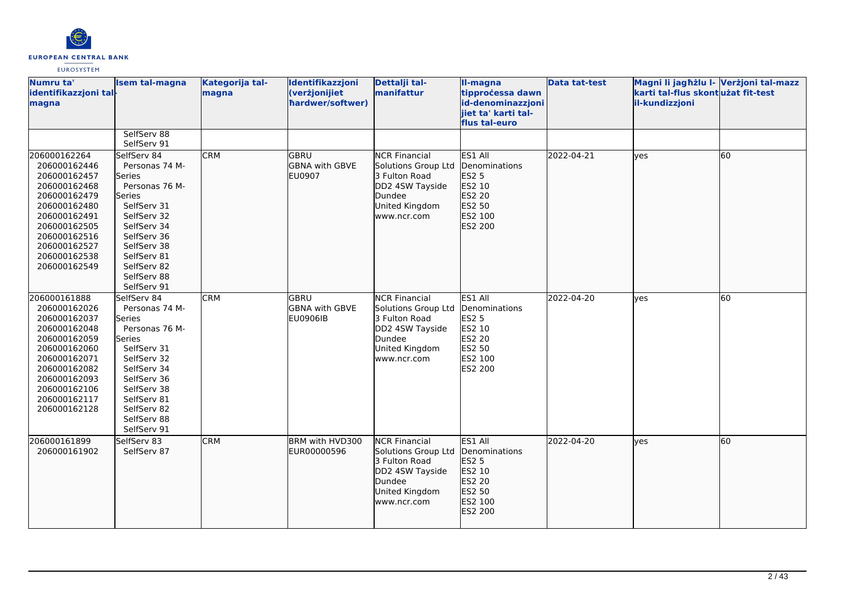

| Numru ta'<br>identifikazzjoni tal-<br>magna                                                                                                                                                  | <b>Isem tal-magna</b>                                                                                                                                                                                              | Kategorija tal-<br>magna | Identifikazzjoni<br>(verżjonijiet<br>hardwer/softwer) | Dettalji tal-<br>manifattur                                                                                                | II-magna<br>tipprocessa dawn<br>id-denominazzjoni<br>jiet ta' karti tal-<br>flus tal-euro           | <b>Data tat-test</b> | Magni li jagħżlu I- Verżjoni tal-mazz<br>karti tal-flus skont użat fit-test<br>il-kundizzjoni |    |
|----------------------------------------------------------------------------------------------------------------------------------------------------------------------------------------------|--------------------------------------------------------------------------------------------------------------------------------------------------------------------------------------------------------------------|--------------------------|-------------------------------------------------------|----------------------------------------------------------------------------------------------------------------------------|-----------------------------------------------------------------------------------------------------|----------------------|-----------------------------------------------------------------------------------------------|----|
|                                                                                                                                                                                              | SelfServ 88<br>SelfServ 91                                                                                                                                                                                         |                          |                                                       |                                                                                                                            |                                                                                                     |                      |                                                                                               |    |
| 206000162264<br>206000162446<br>206000162457<br>206000162468<br>206000162479<br>206000162480<br>206000162491<br>206000162505<br>206000162516<br>206000162527<br>206000162538<br>206000162549 | SelfServ 84<br>Personas 74 M-<br><b>Series</b><br>Personas 76 M-<br>lSeries<br>SelfServ 31<br>SelfServ 32<br>SelfServ 34<br>SelfServ 36<br>SelfServ 38<br>SelfServ 81<br>SelfServ 82<br>SelfServ 88<br>SelfServ 91 | <b>CRM</b>               | <b>GBRU</b><br><b>GBNA with GBVE</b><br><b>EU0907</b> | <b>NCR Financial</b><br>Solutions Group Ltd<br>3 Fulton Road<br>DD2 4SW Tayside<br>Dundee<br>United Kingdom<br>www.ncr.com | ES1 All<br>Denominations<br>ES2 5<br>ES2 10<br>ES2 20<br>ES2 50<br>ES2 100<br>ES2 200               | 2022-04-21           | lyes                                                                                          | 60 |
| 206000161888<br>206000162026<br>206000162037<br>206000162048<br>206000162059<br>206000162060<br>206000162071<br>206000162082<br>206000162093<br>206000162106<br>206000162117<br>206000162128 | SelfServ 84<br>Personas 74 M-<br>Series<br>Personas 76 M-<br>Series<br>SelfServ 31<br>SelfServ 32<br>SelfServ 34<br>SelfServ 36<br>SelfServ 38<br>SelfServ 81<br>SelfServ 82<br>SelfServ 88<br>SelfServ 91         | <b>CRM</b>               | GBRU<br><b>GBNA with GBVE</b><br><b>EU0906IB</b>      | <b>NCR Financial</b><br>Solutions Group Ltd<br>3 Fulton Road<br>DD2 4SW Tayside<br>Dundee<br>United Kingdom<br>www.ncr.com | ES1 All<br>Denominations<br><b>ES2 5</b><br>ES2 10<br>ES2 20<br>ES2 50<br>ES2 100<br><b>ES2 200</b> | 2022-04-20           | <b>ves</b>                                                                                    | 60 |
| 206000161899<br>206000161902                                                                                                                                                                 | SelfServ 83<br>SelfServ 87                                                                                                                                                                                         | <b>CRM</b>               | BRM with HVD300<br>EUR00000596                        | <b>NCR Financial</b><br>Solutions Group Ltd<br>3 Fulton Road<br>DD2 4SW Tayside<br>Dundee<br>United Kingdom<br>www.ncr.com | ES1 All<br>Denominations<br><b>ES2 5</b><br>ES2 10<br>ES2 20<br>ES2 50<br>ES2 100<br>ES2 200        | 2022-04-20           | lyes                                                                                          | 60 |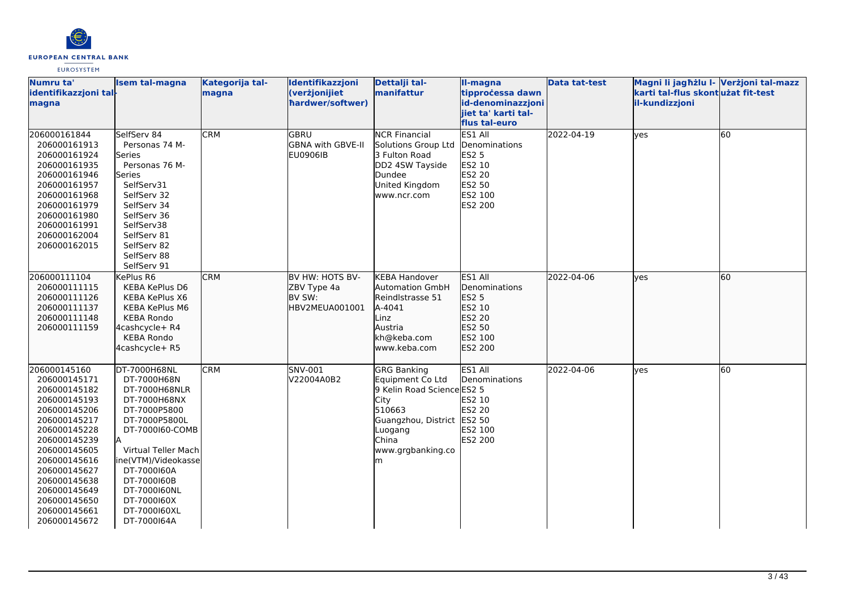

| Numru ta'<br>identifikazzjoni tal-<br>magna                                                                                                                                                                                                                  | <b>Isem tal-magna</b>                                                                                                                                                                                                                                      | Kategorija tal-<br>magna | Identifikazzjoni<br>(verżjonijiet<br>hardwer/softwer)      | Dettalji tal-<br>manifattur                                                                                                                                               | II-magna<br>tipprocessa dawn<br>id-denominazzjoni<br>jiet ta' karti tal-<br>flus tal-euro    | <b>Data tat-test</b> | Magni li jagħżlu I- Verżjoni tal-mazz<br>karti tal-flus skontużat fit-test<br>il-kundizzjoni |    |
|--------------------------------------------------------------------------------------------------------------------------------------------------------------------------------------------------------------------------------------------------------------|------------------------------------------------------------------------------------------------------------------------------------------------------------------------------------------------------------------------------------------------------------|--------------------------|------------------------------------------------------------|---------------------------------------------------------------------------------------------------------------------------------------------------------------------------|----------------------------------------------------------------------------------------------|----------------------|----------------------------------------------------------------------------------------------|----|
| 206000161844<br>206000161913<br>206000161924<br>206000161935<br>206000161946<br>206000161957<br>206000161968<br>206000161979<br>206000161980<br>206000161991<br>206000162004<br>206000162015                                                                 | SelfServ 84<br>Personas 74 M-<br>Series<br>Personas 76 M-<br>Series<br>SelfServ31<br>SelfServ 32<br>SelfServ 34<br>SelfServ 36<br>SelfServ38<br>SelfServ 81<br>SelfServ 82<br>SelfServ 88<br>SelfServ 91                                                   | <b>CRM</b>               | GBRU<br><b>GBNA with GBVE-II</b><br>EU0906IB               | <b>NCR Financial</b><br>Solutions Group Ltd<br>3 Fulton Road<br>DD2 4SW Tayside<br>Dundee<br>United Kingdom<br>www.ncr.com                                                | ES1 All<br>Denominations<br><b>ES2 5</b><br>ES2 10<br>ES2 20<br>ES2 50<br>ES2 100<br>ES2 200 | 2022-04-19           | <b>ves</b>                                                                                   | 60 |
| 206000111104<br>206000111115<br>206000111126<br>206000111137<br>206000111148<br>206000111159                                                                                                                                                                 | KePlus R6<br>KEBA KePlus D6<br>KEBA KePlus X6<br><b>KEBA KePlus M6</b><br><b>KEBA Rondo</b><br>4cashcycle+ R4<br><b>KEBA Rondo</b><br>4cashcycle+ R5                                                                                                       | <b>CRM</b>               | BV HW: HOTS BV-<br>ZBV Type 4a<br>BV SW:<br>HBV2MEUA001001 | <b>KEBA Handover</b><br><b>Automation GmbH</b><br>Reindlstrasse 51<br>A-4041<br>Linz<br>Austria<br>kh@keba.com<br>www.keba.com                                            | ES1 All<br>Denominations<br>ES2 5<br>ES2 10<br>ES2 20<br>ES2 50<br>ES2 100<br><b>ES2 200</b> | 2022-04-06           | lyes                                                                                         | 60 |
| 206000145160<br>206000145171<br>206000145182<br>206000145193<br>206000145206<br>206000145217<br>206000145228<br>206000145239<br>206000145605<br>206000145616<br>206000145627<br>206000145638<br>206000145649<br>206000145650<br>206000145661<br>206000145672 | DT-7000H68NL<br>DT-7000H68N<br>DT-7000H68NLR<br>DT-7000H68NX<br>DT-7000P5800<br>DT-7000P5800L<br>DT-7000160-COMB<br>Virtual Teller Mach<br>ine(VTM)/Videokasse<br>DT-7000160A<br>DT-7000160B<br>DT-7000160NL<br>DT-7000160X<br>DT-7000160XL<br>DT-7000164A | <b>CRM</b>               | SNV-001<br>V22004A0B2                                      | <b>GRG Banking</b><br>Equipment Co Ltd<br>9 Kelin Road Science ES2 5<br>City<br>510663<br>Guangzhou, District ES2 50<br>Luogang<br><b>China</b><br>www.grgbanking.co<br>m | ES1 All<br>Denominations<br>ES2 10<br>ES2 20<br>ES2 100<br><b>ES2 200</b>                    | 2022-04-06           | yes                                                                                          | 60 |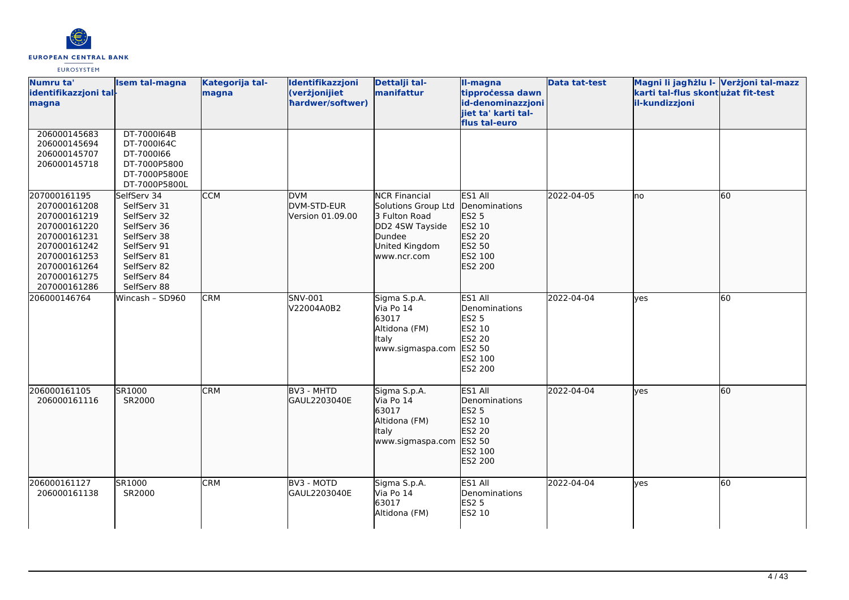

| Numru ta'<br>identifikazzjoni tal-<br>magna                                                                                                                  | <b>Isem tal-magna</b>                                                                                                                              | Kategorija tal-<br>magna | Identifikazzjoni<br>(verżjonijiet<br>hardwer/softwer) | Dettalji tal-<br>manifattur                                                                                                | II-magna<br>tipprocessa dawn<br>id-denominazzjoni<br>jiet ta' karti tal-<br>flus tal-euro    | <b>Data tat-test</b> | Magni li jagħżlu I- Verżjoni tal-mazz<br>karti tal-flus skontużat fit-test<br>il-kundizzjoni |    |
|--------------------------------------------------------------------------------------------------------------------------------------------------------------|----------------------------------------------------------------------------------------------------------------------------------------------------|--------------------------|-------------------------------------------------------|----------------------------------------------------------------------------------------------------------------------------|----------------------------------------------------------------------------------------------|----------------------|----------------------------------------------------------------------------------------------|----|
| 206000145683<br>206000145694<br>206000145707<br>206000145718                                                                                                 | DT-7000164B<br>DT-7000164C<br>DT-7000166<br>DT-7000P5800<br>DT-7000P5800E<br>DT-7000P5800L                                                         |                          |                                                       |                                                                                                                            |                                                                                              |                      |                                                                                              |    |
| 207000161195<br>207000161208<br>207000161219<br>207000161220<br>207000161231<br>207000161242<br>207000161253<br>207000161264<br>207000161275<br>207000161286 | SelfServ 34<br>SelfServ 31<br>SelfServ 32<br>SelfServ 36<br>SelfServ 38<br>SelfServ 91<br>SelfServ 81<br>SelfServ 82<br>SelfServ 84<br>SelfServ 88 | <b>CCM</b>               | <b>DVM</b><br>DVM-STD-EUR<br>Version 01.09.00         | <b>NCR Financial</b><br>Solutions Group Ltd<br>3 Fulton Road<br>DD2 4SW Tayside<br>Dundee<br>United Kingdom<br>www.ncr.com | ES1 All<br>Denominations<br>ES2 5<br>ES2 10<br>ES2 20<br>ES2 50<br>ES2 100<br>ES2 200        | 2022-04-05           | lno                                                                                          | 60 |
| 206000146764                                                                                                                                                 | Wincash - SD960                                                                                                                                    | <b>CRM</b>               | SNV-001<br>V22004A0B2                                 | Sigma S.p.A.<br>Via Po 14<br>63017<br>Altidona (FM)<br><b>Italy</b><br>www.sigmaspa.com                                    | ES1 All<br>Denominations<br><b>ES2 5</b><br>ES2 10<br>ES2 20<br>ES2 50<br>ES2 100<br>ES2 200 | 2022-04-04           | yes                                                                                          | 60 |
| 206000161105<br>206000161116                                                                                                                                 | SR1000<br>SR2000                                                                                                                                   | <b>CRM</b>               | <b>BV3 - MHTD</b><br>GAUL2203040E                     | Sigma S.p.A.<br>Via Po 14<br>63017<br>Altidona (FM)<br><b>Italy</b><br>www.sigmaspa.com                                    | ES1 All<br>Denominations<br>ES2 5<br>ES2 10<br>ES2 20<br>ES2 50<br>ES2 100<br>ES2 200        | 2022-04-04           | lyes                                                                                         | 60 |
| 206000161127<br>206000161138                                                                                                                                 | SR1000<br>SR2000                                                                                                                                   | <b>CRM</b>               | BV3 - MOTD<br>GAUL2203040E                            | Sigma S.p.A.<br>Via Po 14<br>63017<br>Altidona (FM)                                                                        | ES1 All<br>Denominations<br><b>ES2 5</b><br>ES2 10                                           | 2022-04-04           | yes                                                                                          | 60 |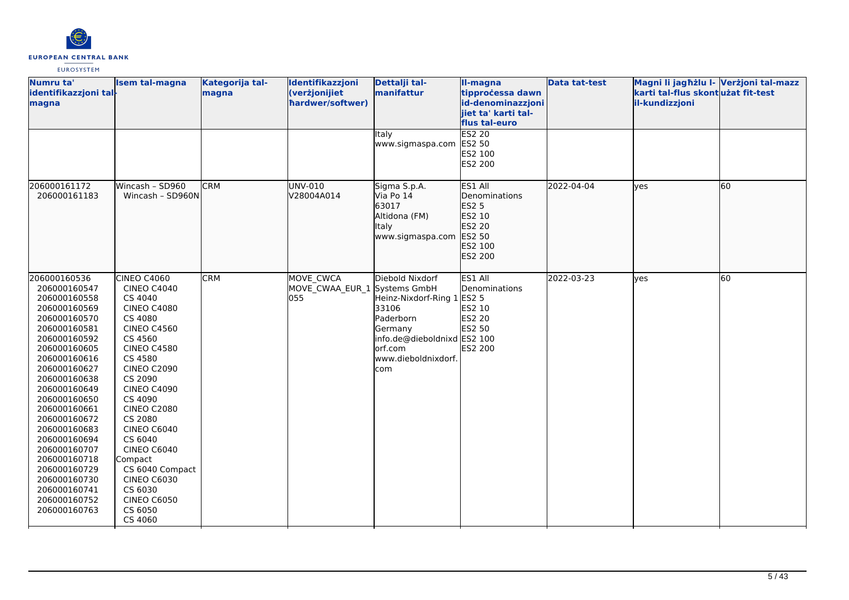

| Numru ta'<br>identifikazzjoni tal-<br>magna                                                                                                                                                                                                                                                                                                                                                  | <b>Isem tal-magna</b>                                                                                                                                                                                                                                                                                                                                                                                                | Kategorija tal-<br>magna | Identifikazzjoni<br>(verżjonijiet<br>hardwer/softwer) | Dettalji tal-<br>manifattur                                                                                                                       | II-magna<br>tipprocessa dawn<br>id-denominazzjoni<br>jiet ta' karti tal-<br>flus tal-euro | <b>Data tat-test</b> | Magni li jagħżlu I- Verżjoni tal-mazz<br>karti tal-flus skontużat fit-test<br>il-kundizzjoni |    |
|----------------------------------------------------------------------------------------------------------------------------------------------------------------------------------------------------------------------------------------------------------------------------------------------------------------------------------------------------------------------------------------------|----------------------------------------------------------------------------------------------------------------------------------------------------------------------------------------------------------------------------------------------------------------------------------------------------------------------------------------------------------------------------------------------------------------------|--------------------------|-------------------------------------------------------|---------------------------------------------------------------------------------------------------------------------------------------------------|-------------------------------------------------------------------------------------------|----------------------|----------------------------------------------------------------------------------------------|----|
|                                                                                                                                                                                                                                                                                                                                                                                              |                                                                                                                                                                                                                                                                                                                                                                                                                      |                          |                                                       | Italy<br>www.sigmaspa.com                                                                                                                         | <b>ES2 20</b><br>ES2 50<br>ES2 100<br>ES2 200                                             |                      |                                                                                              |    |
| 206000161172<br>206000161183                                                                                                                                                                                                                                                                                                                                                                 | Wincash - SD960<br>Wincash - SD960N                                                                                                                                                                                                                                                                                                                                                                                  | <b>CRM</b>               | <b>UNV-010</b><br>V28004A014                          | Sigma S.p.A.<br>Via Po 14<br>63017<br>Altidona (FM)<br>Italy<br>www.sigmaspa.com                                                                  | ES1 All<br>Denominations<br>ES2 5<br>ES2 10<br>ES2 20<br>ES2 50<br>ES2 100<br>ES2 200     | 2022-04-04           | lyes                                                                                         | 60 |
| 206000160536<br>206000160547<br>206000160558<br>206000160569<br>206000160570<br>206000160581<br>206000160592<br>206000160605<br>206000160616<br>206000160627<br>206000160638<br>206000160649<br>206000160650<br>206000160661<br>206000160672<br>206000160683<br>206000160694<br>206000160707<br>206000160718<br>206000160729<br>206000160730<br>206000160741<br>206000160752<br>206000160763 | CINEO C4060<br><b>CINEO C4040</b><br>CS 4040<br><b>CINEO C4080</b><br>CS 4080<br><b>CINEO C4560</b><br>CS 4560<br><b>CINEO C4580</b><br>CS 4580<br><b>CINEO C2090</b><br>CS 2090<br><b>CINEO C4090</b><br>CS 4090<br><b>CINEO C2080</b><br>CS 2080<br><b>CINEO C6040</b><br>CS 6040<br><b>CINEO C6040</b><br>Compact<br>CS 6040 Compact<br><b>CINEO C6030</b><br>CS 6030<br><b>CINEO C6050</b><br>CS 6050<br>CS 4060 | <b>CRM</b>               | MOVE CWCA<br>MOVE_CWAA_EUR_1 Systems GmbH<br>055      | Diebold Nixdorf<br>Heinz-Nixdorf-Ring 1<br>33106<br>Paderborn<br>Germany<br>info.de@dieboldnixd ES2 100<br>lorf.com<br>www.dieboldnixdorf.<br>com | ES1 All<br>Denominations<br><b>ES2 5</b><br>ES2 10<br>ES2 20<br>ES2 50<br><b>ES2 200</b>  | 2022-03-23           | lyes                                                                                         | 60 |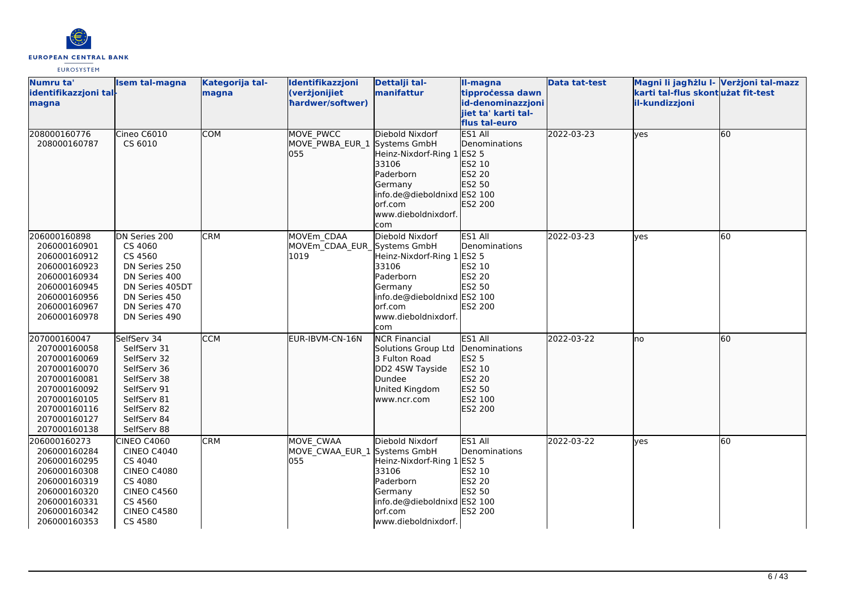

| Numru ta'<br>identifikazzjoni tal- | <b>Isem tal-magna</b>          | Kategorija tal-<br>magna | Identifikazzjoni<br>(verżjonijiet | Dettalji tal-<br>manifattur     | II-magna<br>tipprocessa dawn | <b>Data tat-test</b> | Magni li jagħżlu I- Verżjoni tal-mazz<br>karti tal-flus skont użat fit-test |    |
|------------------------------------|--------------------------------|--------------------------|-----------------------------------|---------------------------------|------------------------------|----------------------|-----------------------------------------------------------------------------|----|
| magna                              |                                |                          | hardwer/softwer)                  |                                 | id-denominazzjoni            |                      | il-kundizzjoni                                                              |    |
|                                    |                                |                          |                                   |                                 | jiet ta' karti tal-          |                      |                                                                             |    |
|                                    |                                |                          |                                   |                                 | flus tal-euro                |                      |                                                                             |    |
| 208000160776                       | Cineo C6010                    | <b>COM</b>               | MOVE PWCC                         | Diebold Nixdorf                 | ES1 All                      | 2022-03-23           | yes                                                                         | 60 |
| 208000160787                       | CS 6010                        |                          | MOVE_PWBA_EUR_1 Systems GmbH      |                                 | Denominations                |                      |                                                                             |    |
|                                    |                                |                          | 055                               | Heinz-Nixdorf-Ring 1            | ES2 5                        |                      |                                                                             |    |
|                                    |                                |                          |                                   | 33106                           | ES2 10                       |                      |                                                                             |    |
|                                    |                                |                          |                                   | Paderborn                       | ES2 20                       |                      |                                                                             |    |
|                                    |                                |                          |                                   | Germany                         | ES2 50                       |                      |                                                                             |    |
|                                    |                                |                          |                                   | info.de@dieboldnixd ES2 100     |                              |                      |                                                                             |    |
|                                    |                                |                          |                                   | lorf.com                        | <b>ES2 200</b>               |                      |                                                                             |    |
|                                    |                                |                          |                                   | www.dieboldnixdorf.             |                              |                      |                                                                             |    |
|                                    |                                |                          |                                   | com                             |                              |                      |                                                                             |    |
| 206000160898                       | DN Series 200                  | <b>CRM</b>               | MOVEm CDAA                        | Diebold Nixdorf                 | ES1 All                      | 2022-03-23           | yes                                                                         | 60 |
| 206000160901                       | CS 4060                        |                          | MOVEm CDAA EUR Systems GmbH       |                                 | Denominations                |                      |                                                                             |    |
| 206000160912                       | CS 4560                        |                          | 1019                              | Heinz-Nixdorf-Ring 1            | <b>ES2 5</b>                 |                      |                                                                             |    |
| 206000160923                       | DN Series 250                  |                          |                                   | 33106                           | ES2 10                       |                      |                                                                             |    |
| 206000160934                       | DN Series 400                  |                          |                                   | Paderborn                       | ES2 20                       |                      |                                                                             |    |
| 206000160945                       | DN Series 405DT                |                          |                                   | Germany                         | <b>ES2 50</b>                |                      |                                                                             |    |
| 206000160956                       | DN Series 450                  |                          |                                   | info.de@dieboldnixd ES2 100     |                              |                      |                                                                             |    |
| 206000160967<br>206000160978       | DN Series 470<br>DN Series 490 |                          |                                   | lorf.com<br>www.dieboldnixdorf. | <b>ES2 200</b>               |                      |                                                                             |    |
|                                    |                                |                          |                                   | lcom                            |                              |                      |                                                                             |    |
| 207000160047                       | SelfServ 34                    | <b>CCM</b>               | EUR-IBVM-CN-16N                   | <b>NCR Financial</b>            | ES1 All                      | 2022-03-22           | no                                                                          | 60 |
| 207000160058                       | SelfServ 31                    |                          |                                   | Solutions Group Ltd             | Denominations                |                      |                                                                             |    |
| 207000160069                       | SelfServ 32                    |                          |                                   | 3 Fulton Road                   | <b>ES2 5</b>                 |                      |                                                                             |    |
| 207000160070                       | SelfServ 36                    |                          |                                   | DD2 4SW Tayside                 | ES2 10                       |                      |                                                                             |    |
| 207000160081                       | SelfServ 38                    |                          |                                   | Dundee                          | ES2 20                       |                      |                                                                             |    |
| 207000160092                       | SelfServ 91                    |                          |                                   | United Kingdom                  | ES2 50                       |                      |                                                                             |    |
| 207000160105                       | SelfServ 81                    |                          |                                   | www.ncr.com                     | ES2 100                      |                      |                                                                             |    |
| 207000160116                       | SelfServ 82                    |                          |                                   |                                 | ES2 200                      |                      |                                                                             |    |
| 207000160127                       | SelfServ 84                    |                          |                                   |                                 |                              |                      |                                                                             |    |
| 207000160138                       | SelfServ 88                    |                          |                                   |                                 |                              |                      |                                                                             |    |
| 206000160273                       | <b>CINEO C4060</b>             | <b>CRM</b>               | MOVE CWAA                         | Diebold Nixdorf                 | ES1 All                      | 2022-03-22           | yes                                                                         | 60 |
| 206000160284                       | <b>CINEO C4040</b>             |                          | MOVE_CWAA_EUR_1 Systems GmbH      |                                 | Denominations                |                      |                                                                             |    |
| 206000160295                       | CS 4040                        |                          | 055                               | Heinz-Nixdorf-Ring 1            | <b>ES2 5</b>                 |                      |                                                                             |    |
| 206000160308                       | <b>CINEO C4080</b>             |                          |                                   | 33106                           | ES2 10                       |                      |                                                                             |    |
| 206000160319                       | CS 4080                        |                          |                                   | Paderborn                       | ES2 20                       |                      |                                                                             |    |
| 206000160320                       | <b>CINEO C4560</b>             |                          |                                   | Germany                         | ES2 50                       |                      |                                                                             |    |
| 206000160331                       | CS 4560                        |                          |                                   | info.de@dieboldnixd ES2 100     |                              |                      |                                                                             |    |
| 206000160342                       | <b>CINEO C4580</b>             |                          |                                   | orf.com                         | ES2 200                      |                      |                                                                             |    |
| 206000160353                       | CS 4580                        |                          |                                   | www.dieboldnixdorf.             |                              |                      |                                                                             |    |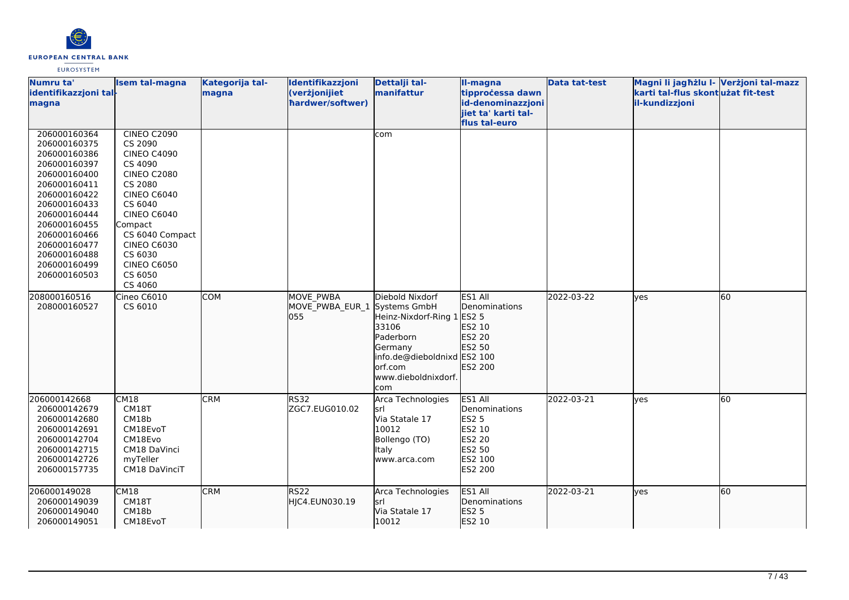

| Numru ta'<br>identifikazzjoni tal-<br>magna                                                                                                                                                                                                  | <b>Isem tal-magna</b>                                                                                                                                                                                                                                             | Kategorija tal-<br>magna | Identifikazzjoni<br>(verżjonijiet<br>hardwer/softwer) | Dettalji tal-<br>manifattur                                                                                                                                      | II-magna<br>tipprocessa dawn<br>id-denominazzjoni<br>jiet ta' karti tal-<br>flus tal-euro    | <b>Data tat-test</b> | Magni li jagħżlu l- Verżjoni tal-mazz<br>karti tal-flus skont użat fit-test<br>il-kundizzjoni |    |
|----------------------------------------------------------------------------------------------------------------------------------------------------------------------------------------------------------------------------------------------|-------------------------------------------------------------------------------------------------------------------------------------------------------------------------------------------------------------------------------------------------------------------|--------------------------|-------------------------------------------------------|------------------------------------------------------------------------------------------------------------------------------------------------------------------|----------------------------------------------------------------------------------------------|----------------------|-----------------------------------------------------------------------------------------------|----|
| 206000160364<br>206000160375<br>206000160386<br>206000160397<br>206000160400<br>206000160411<br>206000160422<br>206000160433<br>206000160444<br>206000160455<br>206000160466<br>206000160477<br>206000160488<br>206000160499<br>206000160503 | <b>CINEO C2090</b><br>CS 2090<br><b>CINEO C4090</b><br>CS 4090<br><b>CINEO C2080</b><br>CS 2080<br><b>CINEO C6040</b><br>CS 6040<br><b>CINEO C6040</b><br>Compact<br>CS 6040 Compact<br><b>CINEO C6030</b><br>CS 6030<br><b>CINEO C6050</b><br>CS 6050<br>CS 4060 |                          |                                                       | com                                                                                                                                                              |                                                                                              |                      |                                                                                               |    |
| 208000160516<br>208000160527                                                                                                                                                                                                                 | Cineo C6010<br>CS 6010                                                                                                                                                                                                                                            | <b>COM</b>               | MOVE PWBA<br>MOVE_PWBA_EUR_1<br>055                   | Diebold Nixdorf<br>Systems GmbH<br>Heinz-Nixdorf-Ring 1<br>33106<br>Paderborn<br>Germany<br>info.de@dieboldnixd ES2 100<br>orf.com<br>www.dieboldnixdorf.<br>com | ES1 All<br>Denominations<br><b>ES2 5</b><br>ES2 10<br>ES2 20<br>ES2 50<br>ES2 200            | 2022-03-22           | lyes                                                                                          | 60 |
| 206000142668<br>206000142679<br>206000142680<br>206000142691<br>206000142704<br>206000142715<br>206000142726<br>206000157735                                                                                                                 | CM18<br>CM18T<br>CM18b<br>CM18EvoT<br>CM18Evo<br>CM18 DaVinci<br>myTeller<br>CM18 DaVinciT                                                                                                                                                                        | <b>CRM</b>               | <b>RS32</b><br>ZGC7.EUG010.02                         | Arca Technologies<br>lsrl<br>Via Statale 17<br>10012<br>Bollengo (TO)<br><b>Italy</b><br>www.arca.com                                                            | ES1 All<br>Denominations<br><b>ES2 5</b><br>ES2 10<br>ES2 20<br>ES2 50<br>ES2 100<br>ES2 200 | 2022-03-21           | lyes                                                                                          | 60 |
| 206000149028<br>206000149039<br>206000149040<br>206000149051                                                                                                                                                                                 | CM18<br>CM18T<br>CM18b<br>CM18EvoT                                                                                                                                                                                                                                | <b>CRM</b>               | RS <sub>22</sub><br>HJC4.EUN030.19                    | Arca Technologies<br>lsrl<br>Via Statale 17<br>10012                                                                                                             | ES1 All<br><b>Denominations</b><br><b>ES2 5</b><br>ES2 10                                    | 2022-03-21           | lyes                                                                                          | 60 |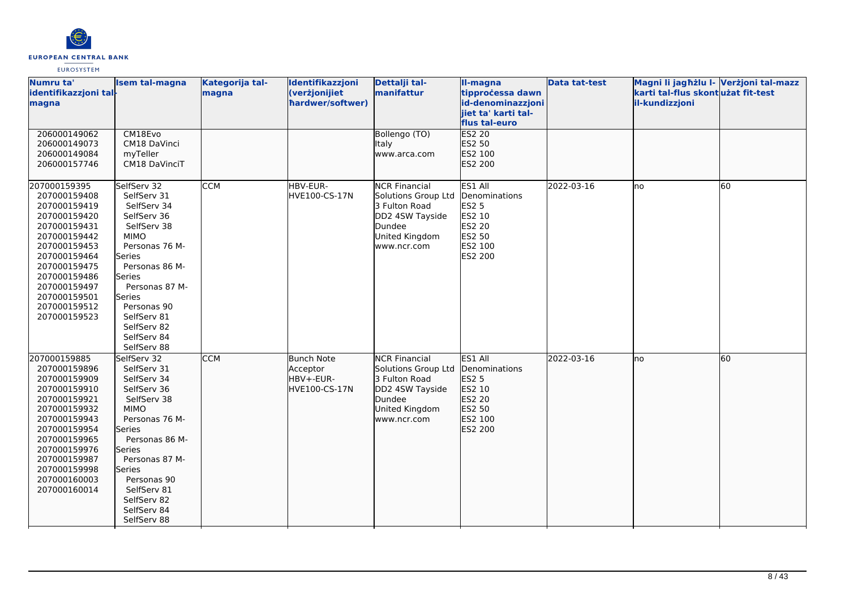

| Numru ta'<br>identifikazzjoni tal-<br>magna                                                                                                                                                                                  | <b>Isem tal-magna</b>                                                                                                                                                                                                                                        | Kategorija tal-<br>magna | Identifikazzjoni<br>(verżjonijiet<br>hardwer/softwer)       | Dettalji tal-<br>manifattur                                                                                                | II-magna<br>tipprocessa dawn<br>id-denominazzjoni<br>jiet ta' karti tal-                     | Data tat-test | Magni li jagħżlu I- Verżjoni tal-mazz<br>karti tal-flus skontużat fit-test<br>il-kundizzjoni |    |
|------------------------------------------------------------------------------------------------------------------------------------------------------------------------------------------------------------------------------|--------------------------------------------------------------------------------------------------------------------------------------------------------------------------------------------------------------------------------------------------------------|--------------------------|-------------------------------------------------------------|----------------------------------------------------------------------------------------------------------------------------|----------------------------------------------------------------------------------------------|---------------|----------------------------------------------------------------------------------------------|----|
| 206000149062<br>206000149073<br>206000149084<br>206000157746                                                                                                                                                                 | CM18Evo<br>CM18 DaVinci<br>myTeller<br>CM18 DaVinciT                                                                                                                                                                                                         |                          |                                                             | Bollengo (TO)<br>Italy<br>www.arca.com                                                                                     | flus tal-euro<br>ES2 20<br>ES2 50<br>ES2 100<br>ES2 200                                      |               |                                                                                              |    |
| 207000159395<br>207000159408<br>207000159419<br>207000159420<br>207000159431<br>207000159442<br>207000159453<br>207000159464<br>207000159475<br>207000159486<br>207000159497<br>207000159501<br>207000159512<br>207000159523 | SelfServ 32<br>SelfServ 31<br>SelfServ 34<br>SelfServ 36<br>SelfServ 38<br><b>MIMO</b><br>Personas 76 M-<br><b>Series</b><br>Personas 86 M-<br>Series<br>Personas 87 M-<br>Series<br>Personas 90<br>SelfServ 81<br>SelfServ 82<br>SelfServ 84<br>SelfServ 88 | <b>CCM</b>               | HBV-EUR-<br>HVE100-CS-17N                                   | <b>NCR Financial</b><br>Solutions Group Ltd<br>3 Fulton Road<br>DD2 4SW Tayside<br>Dundee<br>United Kingdom<br>www.ncr.com | ES1 All<br>Denominations<br>ES2 5<br>ES2 10<br><b>ES2 20</b><br>ES2 50<br>ES2 100<br>ES2 200 | 2022-03-16    | lno                                                                                          | 60 |
| 207000159885<br>207000159896<br>207000159909<br>207000159910<br>207000159921<br>207000159932<br>207000159943<br>207000159954<br>207000159965<br>207000159976<br>207000159987<br>207000159998<br>207000160003<br>207000160014 | SelfServ 32<br>SelfServ 31<br>SelfServ 34<br>SelfServ 36<br>SelfServ 38<br><b>MIMO</b><br>Personas 76 M-<br><b>Series</b><br>Personas 86 M-<br>Series<br>Personas 87 M-<br>Series<br>Personas 90<br>SelfServ 81<br>SelfServ 82<br>SelfServ 84<br>SelfServ 88 | <b>CCM</b>               | <b>Bunch Note</b><br>Acceptor<br>HBV+-EUR-<br>HVE100-CS-17N | <b>NCR Financial</b><br>Solutions Group Ltd<br>3 Fulton Road<br>DD2 4SW Tayside<br>Dundee<br>United Kingdom<br>www.ncr.com | ES1 All<br>Denominations<br>ES2 5<br>ES2 10<br>ES2 20<br>ES2 50<br>ES2 100<br>ES2 200        | 2022-03-16    | Ino                                                                                          | 60 |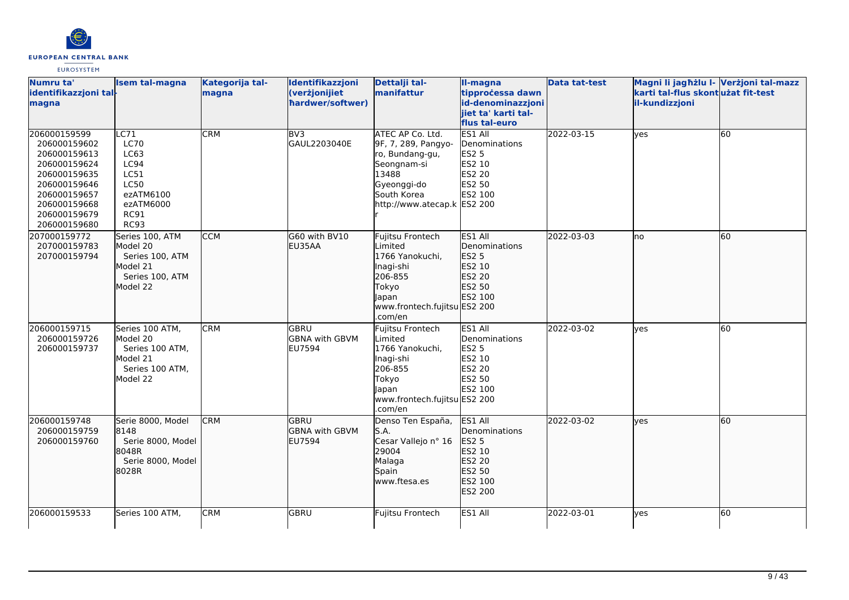

| Numru ta'                    | <b>Isem tal-magna</b>       | Kategorija tal- | Identifikazzjoni      | Dettalji tal-                | II-magna                | <b>Data tat-test</b> | Magni li jagħżlu I- Verżjoni tal-mazz |                 |
|------------------------------|-----------------------------|-----------------|-----------------------|------------------------------|-------------------------|----------------------|---------------------------------------|-----------------|
| identifikazzjoni tal-        |                             | magna           | (verżjonijiet         | manifattur                   | tipprocessa dawn        |                      | karti tal-flus skontużat fit-test     |                 |
| magna                        |                             |                 | hardwer/softwer)      |                              | id-denominazzjoni       |                      | il-kundizzjoni                        |                 |
|                              |                             |                 |                       |                              | jiet ta' karti tal-     |                      |                                       |                 |
|                              |                             |                 |                       |                              | flus tal-euro           |                      |                                       |                 |
| 206000159599                 | C71                         | <b>CRM</b>      | BV3                   | <b>ATEC AP Co. Ltd.</b>      | ES1 All                 | 2022-03-15           | lyes                                  | $\overline{60}$ |
| 206000159602                 | <b>LC70</b>                 |                 | GAUL2203040E          | 9F, 7, 289, Pangyo-          | Denominations           |                      |                                       |                 |
| 206000159613                 | LC63                        |                 |                       | ro, Bundang-gu,              | <b>ES2 5</b>            |                      |                                       |                 |
| 206000159624<br>206000159635 | LC94<br>LC51                |                 |                       | Seongnam-si<br>13488         | ES2 10<br><b>ES2 20</b> |                      |                                       |                 |
| 206000159646                 | <b>LC50</b>                 |                 |                       | Gyeonggi-do                  | ES2 50                  |                      |                                       |                 |
| 206000159657                 | ezATM6100                   |                 |                       | South Korea                  | ES2 100                 |                      |                                       |                 |
| 206000159668                 | ezATM6000                   |                 |                       | http://www.atecap.k ES2 200  |                         |                      |                                       |                 |
| 206000159679                 | <b>RC91</b>                 |                 |                       |                              |                         |                      |                                       |                 |
| 206000159680                 | <b>RC93</b>                 |                 |                       |                              |                         |                      |                                       |                 |
| 207000159772                 | Series 100, ATM             | <b>CCM</b>      | G60 with BV10         | Fujitsu Frontech             | ES1 All                 | 2022-03-03           | Ino                                   | 60              |
| 207000159783                 | Model 20                    |                 | EU35AA                | Limited                      | Denominations           |                      |                                       |                 |
| 207000159794                 | Series 100, ATM             |                 |                       | 1766 Yanokuchi,              | ES2 5                   |                      |                                       |                 |
|                              | Model 21                    |                 |                       | Inagi-shi                    | ES2 10                  |                      |                                       |                 |
|                              | Series 100, ATM             |                 |                       | 206-855                      | ES2 20                  |                      |                                       |                 |
|                              | Model 22                    |                 |                       | Tokyo                        | ES2 50                  |                      |                                       |                 |
|                              |                             |                 |                       | Japan                        | ES2 100                 |                      |                                       |                 |
|                              |                             |                 |                       | www.frontech.fujitsu ES2 200 |                         |                      |                                       |                 |
|                              |                             |                 |                       | .com/en                      |                         |                      |                                       |                 |
| 206000159715                 | Series 100 ATM,             | <b>CRM</b>      | <b>GBRU</b>           | Fujitsu Frontech             | ES1 All                 | 2022-03-02           | yes                                   | 60              |
| 206000159726                 | Model 20                    |                 | <b>GBNA with GBVM</b> | Limited                      | Denominations           |                      |                                       |                 |
| 206000159737                 | Series 100 ATM,<br>Model 21 |                 | EU7594                | 1766 Yanokuchi,              | <b>ES2 5</b><br>ES2 10  |                      |                                       |                 |
|                              | Series 100 ATM,             |                 |                       | Inagi-shi<br>206-855         | ES2 20                  |                      |                                       |                 |
|                              | Model 22                    |                 |                       | Tokyo                        | ES2 50                  |                      |                                       |                 |
|                              |                             |                 |                       | <b>Japan</b>                 | ES2 100                 |                      |                                       |                 |
|                              |                             |                 |                       | www.frontech.fujitsu ES2 200 |                         |                      |                                       |                 |
|                              |                             |                 |                       | .com/en                      |                         |                      |                                       |                 |
| 206000159748                 | Serie 8000, Model           | <b>CRM</b>      | <b>GBRU</b>           | Denso Ten España,            | ES1 All                 | 2022-03-02           | ves                                   | 60              |
| 206000159759                 | 8148                        |                 | <b>GBNA with GBVM</b> | S.A.                         | Denominations           |                      |                                       |                 |
| 206000159760                 | Serie 8000, Model           |                 | EU7594                | Cesar Vallejo nº 16          | ES2 5                   |                      |                                       |                 |
|                              | 8048R                       |                 |                       | 29004                        | ES2 10                  |                      |                                       |                 |
|                              | Serie 8000, Model           |                 |                       | Malaga                       | ES2 20                  |                      |                                       |                 |
|                              | 8028R                       |                 |                       | Spain                        | ES2 50                  |                      |                                       |                 |
|                              |                             |                 |                       | www.ftesa.es                 | ES2 100                 |                      |                                       |                 |
|                              |                             |                 |                       |                              | ES2 200                 |                      |                                       |                 |
|                              |                             |                 |                       |                              |                         |                      |                                       |                 |
| 206000159533                 | Series 100 ATM,             | <b>CRM</b>      | GBRU                  | Fujitsu Frontech             | ES1 All                 | 2022-03-01           | yes                                   | 60              |
|                              |                             |                 |                       |                              |                         |                      |                                       |                 |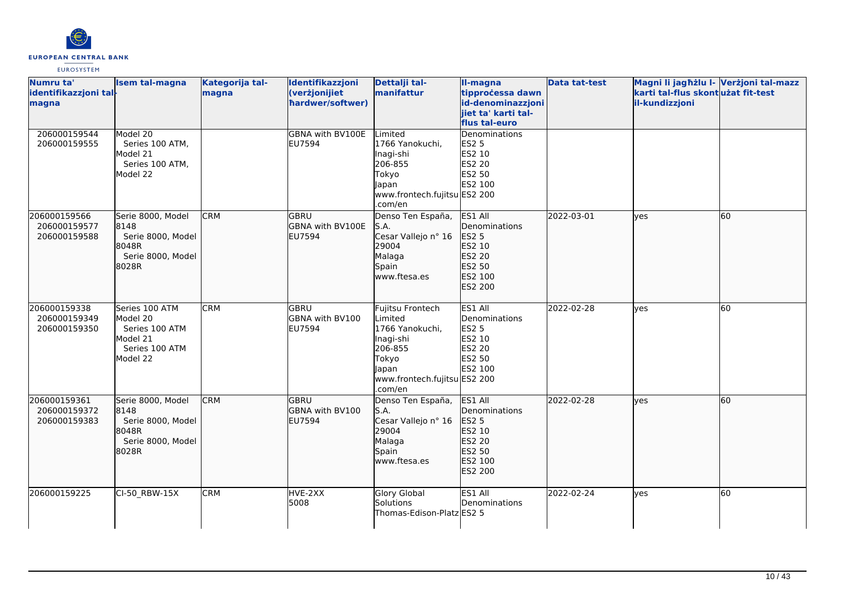

| Numru ta'<br>identifikazzjoni tal-<br>magna  | <b>Isem tal-magna</b>                                                                  | Kategorija tal-<br>magna | Identifikazzjoni<br>(verżjonijiet<br>hardwer/softwer)   | Dettalji tal-<br>manifattur                                                                                                         | Il-magna<br>tipprocessa dawn<br>id-denominazzjoni<br>jiet ta' karti tal-<br>flus tal-euro | <b>Data tat-test</b> | Magni li jagħżlu I- Verżjoni tal-mazz<br>karti tal-flus skontużat fit-test<br>il-kundizzjoni |    |
|----------------------------------------------|----------------------------------------------------------------------------------------|--------------------------|---------------------------------------------------------|-------------------------------------------------------------------------------------------------------------------------------------|-------------------------------------------------------------------------------------------|----------------------|----------------------------------------------------------------------------------------------|----|
| 206000159544<br>206000159555                 | Model 20<br>Series 100 ATM,<br>Model 21<br>Series 100 ATM,<br>Model 22                 |                          | <b>GBNA with BV100E</b><br>EU7594                       | Limited<br>1766 Yanokuchi,<br>Inagi-shi<br>206-855<br>Tokyo<br>Japan<br>www.frontech.fujitsu ES2 200<br>.com/en                     | Denominations<br>ES2 5<br>ES2 10<br>ES2 20<br>ES2 50<br>ES2 100                           |                      |                                                                                              |    |
| 206000159566<br>206000159577<br>206000159588 | Serie 8000, Model<br>8148<br>Serie 8000, Model<br>8048R<br>Serie 8000, Model<br>8028R  | <b>CRM</b>               | <b>GBRU</b><br><b>GBNA with BV100E</b><br><b>EU7594</b> | Denso Ten España,<br>S.A.<br>Cesar Vallejo nº 16<br>29004<br>Malaga<br>Spain<br>www.ftesa.es                                        | ES1 All<br>Denominations<br>ES2 5<br>ES2 10<br>ES2 20<br>ES2 50<br>ES2 100<br>ES2 200     | 2022-03-01           | <b>lves</b>                                                                                  | 60 |
| 206000159338<br>206000159349<br>206000159350 | Series 100 ATM<br>Model 20<br>Series 100 ATM<br>Model 21<br>Series 100 ATM<br>Model 22 | <b>CRM</b>               | lgbru<br>GBNA with BV100<br>EU7594                      | Fujitsu Frontech<br>Limited<br>1766 Yanokuchi,<br>Inagi-shi<br>206-855<br>Tokyo<br>Japan<br>www.frontech.fujitsu ES2 200<br>.com/en | ES1 All<br>Denominations<br><b>ES2 5</b><br>ES2 10<br>ES2 20<br>ES2 50<br>ES2 100         | 2022-02-28           | yes                                                                                          | 60 |
| 206000159361<br>206000159372<br>206000159383 | Serie 8000, Model<br>8148<br>Serie 8000, Model<br>8048R<br>Serie 8000, Model<br>8028R  | <b>CRM</b>               | lgbru<br>GBNA with BV100<br><b>EU7594</b>               | Denso Ten España,<br>S.A.<br>Cesar Vallejo nº 16<br>29004<br>Malaga<br>Spain<br>www.ftesa.es                                        | ES1 All<br>Denominations<br>ES2 5<br>ES2 10<br>ES2 20<br>ES2 50<br>ES2 100<br>ES2 200     | 2022-02-28           | lyes                                                                                         | 60 |
| 206000159225                                 | CI-50_RBW-15X                                                                          | <b>CRM</b>               | HVE-2XX<br>5008                                         | Glory Global<br>Solutions<br>Thomas-Edison-Platz ES2 5                                                                              | ES1 All<br>Denominations                                                                  | 2022-02-24           | yes                                                                                          | 60 |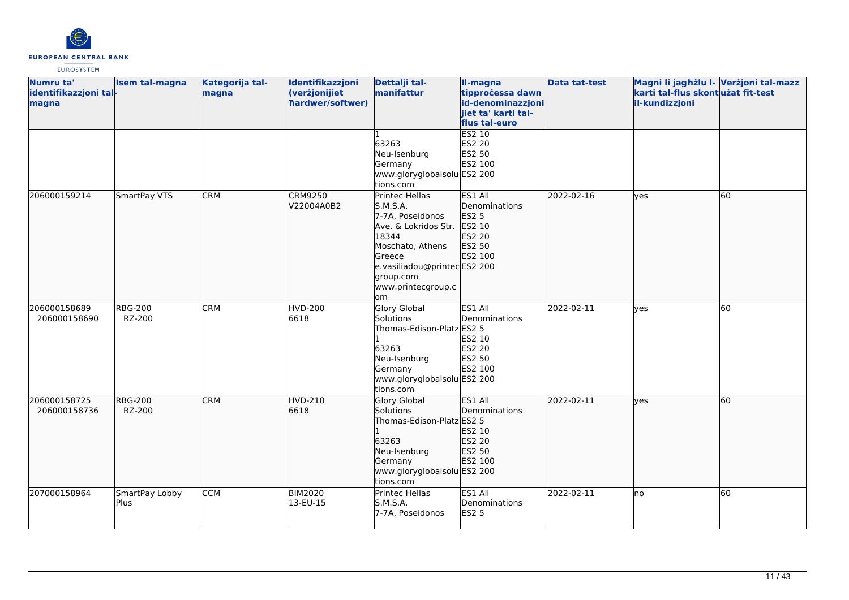

| Numru ta'<br>identifikazzjoni tal-<br>magna | <b>Isem tal-magna</b>    | Kategorija tal-<br>magna | Identifikazzjoni<br>(verżjonijiet<br>hardwer/softwer) | Dettalji tal-<br>manifattur                                                                                                                                                           | II-magna<br>tipprocessa dawn<br>id-denominazzjoni<br>jiet ta' karti tal-<br>flus tal-euro | <b>Data tat-test</b> | Magni li jagħżlu I- Verżjoni tal-mazz<br>karti tal-flus skont użat fit-test<br>il-kundizzjoni |    |
|---------------------------------------------|--------------------------|--------------------------|-------------------------------------------------------|---------------------------------------------------------------------------------------------------------------------------------------------------------------------------------------|-------------------------------------------------------------------------------------------|----------------------|-----------------------------------------------------------------------------------------------|----|
|                                             |                          |                          |                                                       | 63263<br>Neu-Isenburg<br>Germany<br>www.gloryglobalsolu ES2 200<br>tions.com                                                                                                          | <b>ES2 10</b><br>ES2 20<br>ES2 50<br>ES2 100                                              |                      |                                                                                               |    |
| 206000159214                                | SmartPay VTS             | <b>CRM</b>               | <b>CRM9250</b><br>V22004A0B2                          | Printec Hellas<br>S.M.S.A.<br>7-7A, Poseidonos<br>Ave. & Lokridos Str.<br>18344<br>Moschato, Athens<br>Greece<br>e.vasiliadou@printecES2 200<br>group.com<br>www.printecgroup.c<br>om | ES1 All<br>Denominations<br><b>ES2 5</b><br>ES2 10<br>ES2 20<br>ES2 50<br>ES2 100         | 2022-02-16           | lyes                                                                                          | 60 |
| 206000158689<br>206000158690                | <b>RBG-200</b><br>RZ-200 | <b>CRM</b>               | <b>HVD-200</b><br>6618                                | Glory Global<br>Solutions<br>Thomas-Edison-Platz ES2 5<br>63263<br>Neu-Isenburg<br>Germany<br>www.gloryglobalsolu ES2 200<br>tions.com                                                | ES1 All<br>Denominations<br>ES2 10<br>ES2 20<br>ES2 50<br>ES2 100                         | 2022-02-11           | yes                                                                                           | 60 |
| 206000158725<br>206000158736                | <b>RBG-200</b><br>RZ-200 | <b>CRM</b>               | HVD-210<br>6618                                       | <b>Glory Global</b><br>Solutions<br>Thomas-Edison-Platz ES2 5<br>63263<br>Neu-Isenburg<br>Germany<br>www.gloryglobalsolu ES2 200<br>tions.com                                         | ES1 All<br>Denominations<br>ES2 10<br>ES2 20<br>ES2 50<br>ES2 100                         | 2022-02-11           | lyes                                                                                          | 60 |
| 207000158964                                | SmartPay Lobby<br>Plus   | <b>CCM</b>               | <b>BIM2020</b><br>13-EU-15                            | Printec Hellas<br>S.M.S.A.<br>7-7A, Poseidonos                                                                                                                                        | ES1 All<br>Denominations<br><b>ES2 5</b>                                                  | 2022-02-11           | no                                                                                            | 60 |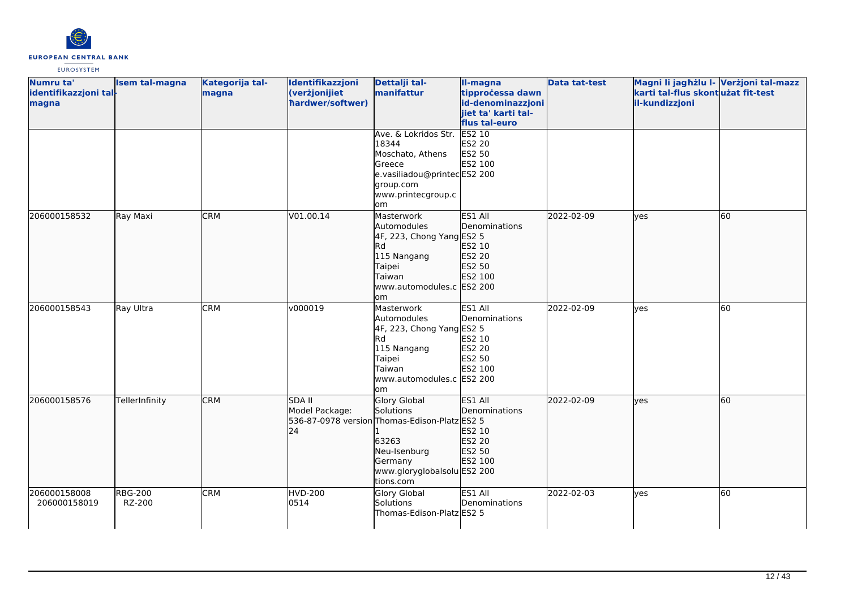

| Numru ta'<br>identifikazzjoni tal-<br>magna | Isem tal-magna           | Kategorija tal-<br>magna | Identifikazzjoni<br>(verżjonijiet<br>hardwer/softwer) | Dettalji tal-<br>manifattur                                                                                                                                       | II-magna<br>tipprocessa dawn<br>id-denominazzjoni<br>jiet ta' karti tal-   | <b>Data tat-test</b> | Magni li jagħżlu I- Verżjoni tal-mazz<br>karti tal-flus skontużat fit-test<br>il-kundizzjoni |           |
|---------------------------------------------|--------------------------|--------------------------|-------------------------------------------------------|-------------------------------------------------------------------------------------------------------------------------------------------------------------------|----------------------------------------------------------------------------|----------------------|----------------------------------------------------------------------------------------------|-----------|
|                                             |                          |                          |                                                       | Ave. & Lokridos Str.<br>18344<br>Moschato, Athens<br>Greece<br>e.vasiliadou@printecES2 200<br>group.com<br>www.printecgroup.c                                     | flus tal-euro<br><b>ES2 10</b><br>ES2 20<br>ES2 50<br>ES2 100              |                      |                                                                                              |           |
| 206000158532                                | Ray Maxi                 | <b>CRM</b>               | V01.00.14                                             | lom<br>Masterwork<br>Automodules<br>4F, 223, Chong Yang ES2 5<br><b>Rd</b><br>115 Nangang<br>Taipei<br>Taiwan<br>www.automodules.c ES2 200<br>om                  | ES1 All<br>Denominations<br>ES2 10<br>ES2 20<br>ES2 50<br>ES2 100          | 2022-02-09           | lves                                                                                         | <b>60</b> |
| 206000158543                                | Ray Ultra                | <b>CRM</b>               | v000019                                               | Masterwork<br>Automodules<br>4F, 223, Chong Yang ES2 5<br>Rd<br>115 Nangang<br>Taipei<br>Taiwan<br>www.automodules.c ES2 200<br>lom                               | ES1 All<br>Denominations<br>ES2 10<br><b>ES2 20</b><br>ES2 50<br>ES2 100   | 2022-02-09           | ves                                                                                          | 60        |
| 206000158576                                | TellerInfinity           | <b>CRM</b>               | <b>SDA II</b><br>Model Package:<br>24                 | <b>Glory Global</b><br>Solutions<br>536-87-0978 version Thomas-Edison-Platz ES2 5<br>63263<br>Neu-Isenburg<br>Germany<br>www.gloryglobalsolu ES2 200<br>tions.com | ES1 All<br><b>I</b> Denominations<br>ES2 10<br>ES2 20<br>ES2 50<br>ES2 100 | 2022-02-09           | lyes                                                                                         | 60        |
| 206000158008<br>206000158019                | <b>RBG-200</b><br>RZ-200 | <b>CRM</b>               | <b>HVD-200</b><br>0514                                | Glory Global<br>Solutions<br>Thomas-Edison-Platz ES2 5                                                                                                            | ES1 All<br>Denominations                                                   | 2022-02-03           | lyes                                                                                         | 60        |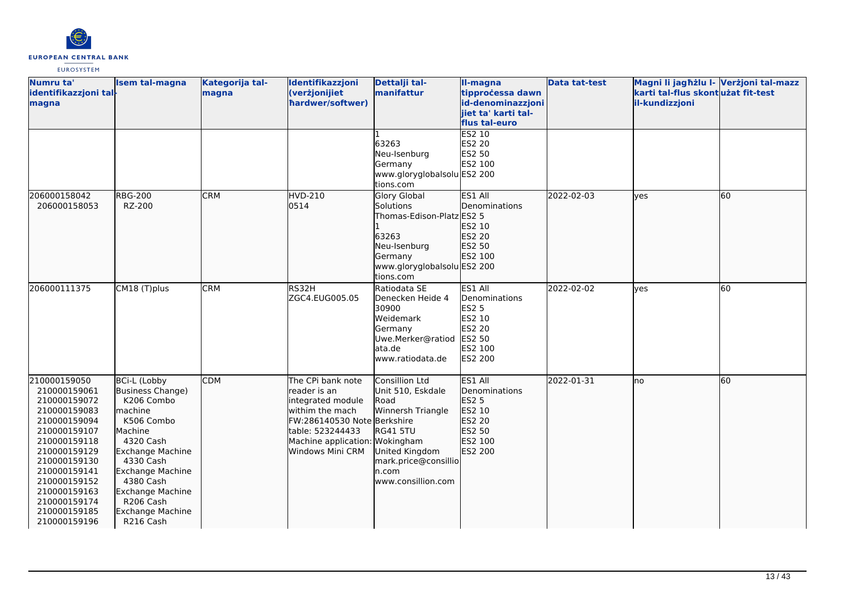

| Numru ta'<br>identifikazzjoni tal-<br>magna                                                                                                                                                                                                  | <b>Isem tal-magna</b>                                                                                                                                                                                                                              | Kategorija tal-<br>magna | Identifikazzjoni<br>(verżjonijiet<br>hardwer/softwer)                                                                                                                                | Dettalji tal-<br>manifattur                                                                                                                                  | II-magna<br>tipprocessa dawn<br>id-denominazzjoni<br>jiet ta' karti tal-<br>flus tal-euro      | <b>Data tat-test</b> | Magni li jagħżlu I- Verżjoni tal-mazz<br>karti tal-flus skontużat fit-test<br>il-kundizzjoni |    |
|----------------------------------------------------------------------------------------------------------------------------------------------------------------------------------------------------------------------------------------------|----------------------------------------------------------------------------------------------------------------------------------------------------------------------------------------------------------------------------------------------------|--------------------------|--------------------------------------------------------------------------------------------------------------------------------------------------------------------------------------|--------------------------------------------------------------------------------------------------------------------------------------------------------------|------------------------------------------------------------------------------------------------|----------------------|----------------------------------------------------------------------------------------------|----|
|                                                                                                                                                                                                                                              |                                                                                                                                                                                                                                                    |                          |                                                                                                                                                                                      | 63263<br>Neu-Isenburg<br>Germany<br>www.gloryglobalsolu ES2 200<br>tions.com                                                                                 | <b>ES2 10</b><br>ES2 20<br>ES2 50<br>ES2 100                                                   |                      |                                                                                              |    |
| 206000158042<br>206000158053                                                                                                                                                                                                                 | <b>RBG-200</b><br>RZ-200                                                                                                                                                                                                                           | <b>CRM</b>               | HVD-210<br>0514                                                                                                                                                                      | <b>Glory Global</b><br>Solutions<br>Thomas-Edison-Platz ES2 5<br>63263<br>Neu-Isenburg<br>Germany<br>www.gloryglobalsolu ES2 200<br>tions.com                | ES1 All<br>Denominations<br>ES2 10<br>ES2 20<br>ES2 50<br>ES2 100                              | 2022-02-03           | lves                                                                                         | 60 |
| 206000111375                                                                                                                                                                                                                                 | CM18 (T)plus                                                                                                                                                                                                                                       | <b>CRM</b>               | RS32H<br>ZGC4.EUG005.05                                                                                                                                                              | Ratiodata SE<br>Denecken Heide 4<br>30900<br>Weidemark<br>Germany<br>Uwe.Merker@ratiod<br>lata.de<br>www.ratiodata.de                                        | ES1 All<br>Denominations<br><b>ES2 5</b><br>ES2 10<br>ES2 20<br>ES2 50<br>ES2 100<br>ES2 200   | 2022-02-02           | <b>ves</b>                                                                                   | 60 |
| 210000159050<br>210000159061<br>210000159072<br>210000159083<br>210000159094<br>210000159107<br>210000159118<br>210000159129<br>210000159130<br>210000159141<br>210000159152<br>210000159163<br>210000159174<br>210000159185<br>210000159196 | <b>BCi-L (Lobby</b><br>Business Change)<br>K206 Combo<br>lmachine<br>K506 Combo<br>Machine<br>4320 Cash<br>Exchange Machine<br>4330 Cash<br><b>Exchange Machine</b><br>4380 Cash<br>Exchange Machine<br>R206 Cash<br>Exchange Machine<br>R216 Cash | <b>CDM</b>               | The CPi bank note<br>lreader is an<br>integrated module<br>lwithim the mach<br>FW:286140530 Note Berkshire<br>table: 523244433<br>Machine application: Wokingham<br>Windows Mini CRM | Consillion Ltd<br>Unit 510, Eskdale<br>Road<br>Winnersh Triangle<br><b>RG41 5TU</b><br>United Kingdom<br>mark.price@consillio<br>n.com<br>www.consillion.com | ES1 All<br><b>I</b> Denominations<br>ES2 5<br>ES2 10<br>ES2 20<br>ES2 50<br>ES2 100<br>ES2 200 | 2022-01-31           | no                                                                                           | 60 |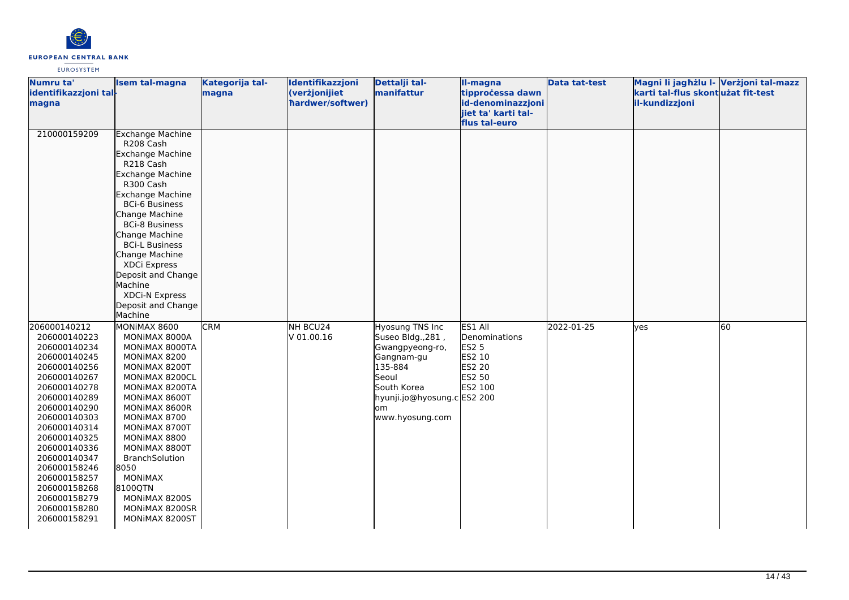

| Numru ta'<br>identifikazzjoni tal-<br>magna                                                                                                                                                                                                                                                                                  | <b>Isem tal-magna</b>                                                                                                                                                                                                                                                                                                                                                  | Kategorija tal-<br>magna | Identifikazzjoni<br>(verżjonijiet<br>hardwer/softwer) | Dettalji tal-<br>manifattur                                                                                                                                       | <b>Il-magna</b><br>tipprocessa dawn<br>id-denominazzjoni<br>jiet ta' karti tal-   | <b>Data tat-test</b> | Magni li jagħżlu I- Verżjoni tal-mazz<br>karti tal-flus skontużat fit-test<br>il-kundizzjoni |    |
|------------------------------------------------------------------------------------------------------------------------------------------------------------------------------------------------------------------------------------------------------------------------------------------------------------------------------|------------------------------------------------------------------------------------------------------------------------------------------------------------------------------------------------------------------------------------------------------------------------------------------------------------------------------------------------------------------------|--------------------------|-------------------------------------------------------|-------------------------------------------------------------------------------------------------------------------------------------------------------------------|-----------------------------------------------------------------------------------|----------------------|----------------------------------------------------------------------------------------------|----|
| 210000159209                                                                                                                                                                                                                                                                                                                 | <b>Exchange Machine</b><br>R208 Cash<br>Exchange Machine<br>R218 Cash<br>Exchange Machine<br>R300 Cash<br><b>Exchange Machine</b><br><b>BCi-6 Business</b><br>Change Machine<br><b>BCi-8 Business</b><br>Change Machine<br><b>BCi-L Business</b><br>Change Machine<br>XDCi Express<br>Deposit and Change<br>Machine<br>XDCi-N Express<br>Deposit and Change<br>Machine |                          |                                                       |                                                                                                                                                                   | flus tal-euro                                                                     |                      |                                                                                              |    |
| 206000140212<br>206000140223<br>206000140234<br>206000140245<br>206000140256<br>206000140267<br>206000140278<br>206000140289<br>206000140290<br>206000140303<br>206000140314<br>206000140325<br>206000140336<br>206000140347<br>206000158246<br>206000158257<br>206000158268<br>206000158279<br>206000158280<br>206000158291 | MONIMAX 8600<br>MONIMAX 8000A<br>MONIMAX 8000TA<br>MONIMAX 8200<br>MONIMAX 8200T<br>MONIMAX 8200CL<br>MONIMAX 8200TA<br>MONIMAX 8600T<br>MONIMAX 8600R<br>MONIMAX 8700<br>MONIMAX 8700T<br>MONIMAX 8800<br>MONIMAX 8800T<br><b>BranchSolution</b><br>8050<br><b>MONIMAX</b><br>8100QTN<br>MONIMAX 8200S<br>MONIMAX 8200SR<br>MONIMAX 8200ST                            | <b>CRM</b>               | NH BCU24<br>V 01.00.16                                | Hyosung TNS Inc<br>Suseo Bldg., 281,<br>Gwangpyeong-ro,<br>Gangnam-gu<br>135-884<br>Seoul<br>South Korea<br>hyunji.jo@hyosung.c ES2 200<br>lom<br>www.hyosung.com | ES1 All<br>Denominations<br><b>ES2 5</b><br>ES2 10<br>ES2 20<br>ES2 50<br>ES2 100 | 2022-01-25           | yes                                                                                          | 60 |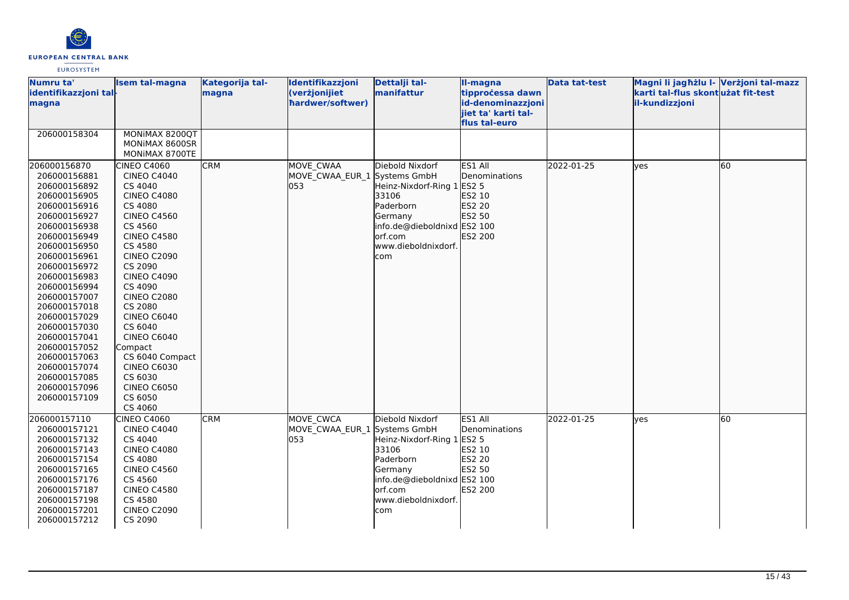

| Numru ta'<br>identifikazzjoni tal-<br>magna                                                                                                                                                                                                                                                                                                                                                  | <b>Isem tal-magna</b>                                                                                                                                                                                                                                                                                                                                                                                                | Kategorija tal-<br>magna | Identifikazzjoni<br>(verżjonijiet<br>hardwer/softwer) | Dettalji tal-<br>manifattur                                                                                                                                            | II-magna<br>tipprocessa dawn<br>id-denominazzjoni<br>jiet ta' karti tal-<br>flus tal-euro | <b>Data tat-test</b> | Magni li jagħżlu l- Verżjoni tal-mazz<br>karti tal-flus skontużat fit-test<br>il-kundizzjoni |    |
|----------------------------------------------------------------------------------------------------------------------------------------------------------------------------------------------------------------------------------------------------------------------------------------------------------------------------------------------------------------------------------------------|----------------------------------------------------------------------------------------------------------------------------------------------------------------------------------------------------------------------------------------------------------------------------------------------------------------------------------------------------------------------------------------------------------------------|--------------------------|-------------------------------------------------------|------------------------------------------------------------------------------------------------------------------------------------------------------------------------|-------------------------------------------------------------------------------------------|----------------------|----------------------------------------------------------------------------------------------|----|
| 206000158304                                                                                                                                                                                                                                                                                                                                                                                 | MONIMAX 8200QT<br>MONIMAX 8600SR<br>MONIMAX 8700TE                                                                                                                                                                                                                                                                                                                                                                   |                          |                                                       |                                                                                                                                                                        |                                                                                           |                      |                                                                                              |    |
| 206000156870<br>206000156881<br>206000156892<br>206000156905<br>206000156916<br>206000156927<br>206000156938<br>206000156949<br>206000156950<br>206000156961<br>206000156972<br>206000156983<br>206000156994<br>206000157007<br>206000157018<br>206000157029<br>206000157030<br>206000157041<br>206000157052<br>206000157063<br>206000157074<br>206000157085<br>206000157096<br>206000157109 | CINEO C4060<br><b>CINEO C4040</b><br>CS 4040<br><b>CINEO C4080</b><br>CS 4080<br><b>CINEO C4560</b><br>CS 4560<br><b>CINEO C4580</b><br>CS 4580<br><b>CINEO C2090</b><br>CS 2090<br><b>CINEO C4090</b><br>CS 4090<br><b>CINEO C2080</b><br>CS 2080<br><b>CINEO C6040</b><br>CS 6040<br><b>CINEO C6040</b><br>Compact<br>CS 6040 Compact<br><b>CINEO C6030</b><br>CS 6030<br><b>CINEO C6050</b><br>CS 6050<br>CS 4060 | <b>CRM</b>               | MOVE CWAA<br>MOVE CWAA EUR 1<br>053                   | Diebold Nixdorf<br>Systems GmbH<br>Heinz-Nixdorf-Ring 1<br>33106<br>Paderborn<br>Germany<br>info.de@dieboldnixd ES2 100<br>orf.com<br>www.dieboldnixdorf.<br>com       | ES1 All<br>Denominations<br><b>ES2 5</b><br>ES2 10<br>ES2 20<br>ES2 50<br>ES2 200         | 2022-01-25           | lyes                                                                                         | 60 |
| 206000157110<br>206000157121<br>206000157132<br>206000157143<br>206000157154<br>206000157165<br>206000157176<br>206000157187<br>206000157198<br>206000157201<br>206000157212                                                                                                                                                                                                                 | CINEO C4060<br><b>CINEO C4040</b><br>CS 4040<br><b>CINEO C4080</b><br>CS 4080<br><b>CINEO C4560</b><br>CS 4560<br><b>CINEO C4580</b><br>CS 4580<br><b>CINEO C2090</b><br>CS 2090                                                                                                                                                                                                                                     | <b>CRM</b>               | MOVE CWCA<br>MOVE_CWAA_EUR_1<br>053                   | Diebold Nixdorf<br>Systems GmbH<br>Heinz-Nixdorf-Ring 1 ES2 5<br>33106<br>Paderborn<br>Germany<br>info.de@dieboldnixd ES2 100<br>orf.com<br>www.dieboldnixdorf.<br>com | ES1 All<br>Denominations<br>ES2 10<br><b>ES2 20</b><br>ES2 50<br>ES2 200                  | 2022-01-25           | <b>yes</b>                                                                                   | 60 |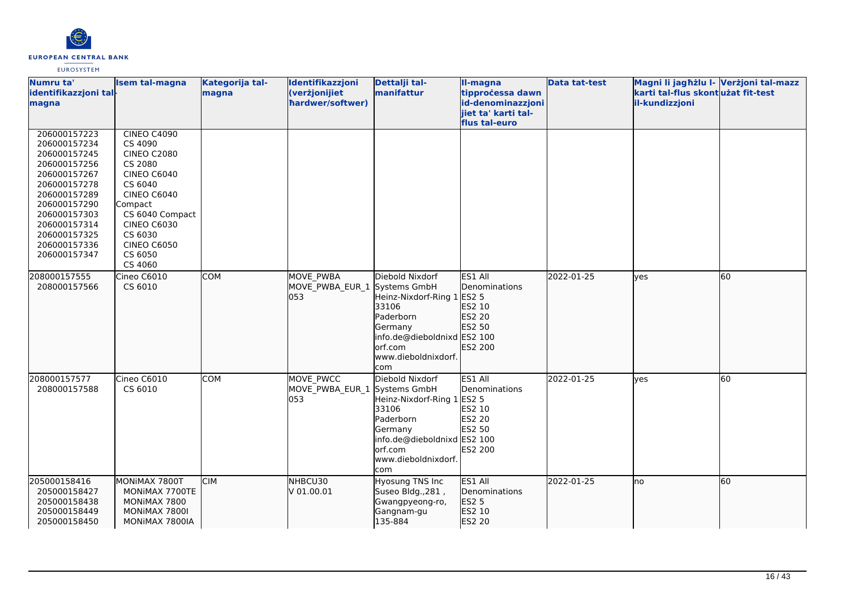

| Numru ta'<br>identifikazzjoni tal-<br>magna                                                                                                                                                                  | <b>Isem tal-magna</b>                                                                                                                                                                                          | Kategorija tal-<br>magna | Identifikazzjoni<br>(verżjonijiet<br>hardwer/softwer)   | Dettalji tal-<br>manifattur                                                                                                                            | II-magna<br>tipprocessa dawn<br>id-denominazzjoni<br>jiet ta' karti tal- | <b>Data tat-test</b> | Magni li jagħżlu I- Verżjoni tal-mazz<br>karti tal-flus skontużat fit-test<br>il-kundizzjoni |    |
|--------------------------------------------------------------------------------------------------------------------------------------------------------------------------------------------------------------|----------------------------------------------------------------------------------------------------------------------------------------------------------------------------------------------------------------|--------------------------|---------------------------------------------------------|--------------------------------------------------------------------------------------------------------------------------------------------------------|--------------------------------------------------------------------------|----------------------|----------------------------------------------------------------------------------------------|----|
|                                                                                                                                                                                                              |                                                                                                                                                                                                                |                          |                                                         |                                                                                                                                                        | flus tal-euro                                                            |                      |                                                                                              |    |
| 206000157223<br>206000157234<br>206000157245<br>206000157256<br>206000157267<br>206000157278<br>206000157289<br>206000157290<br>206000157303<br>206000157314<br>206000157325<br>206000157336<br>206000157347 | <b>CINEO C4090</b><br>CS 4090<br><b>CINEO C2080</b><br>CS 2080<br><b>CINEO C6040</b><br>CS 6040<br>CINEO C6040<br>Compact<br>CS 6040 Compact<br><b>CINEO C6030</b><br>CS 6030<br><b>CINEO C6050</b><br>CS 6050 |                          |                                                         |                                                                                                                                                        |                                                                          |                      |                                                                                              |    |
| 208000157555<br>208000157566                                                                                                                                                                                 | CS 4060<br>Cineo C6010<br>CS 6010                                                                                                                                                                              | <b>COM</b>               | <b>MOVE PWBA</b><br>MOVE_PWBA_EUR_1 Systems GmbH<br>053 | Diebold Nixdorf<br>Heinz-Nixdorf-Ring 1 ES2 5<br>33106<br>Paderborn<br>Germany<br>info.de@dieboldnixd ES2 100<br>orf.com<br>www.dieboldnixdorf.<br>com | ES1 All<br>Denominations<br>ES2 10<br>ES2 20<br>ES2 50<br>ES2 200        | 2022-01-25           | lyes                                                                                         | 60 |
| 208000157577<br>208000157588                                                                                                                                                                                 | Cineo C6010<br>CS 6010                                                                                                                                                                                         | COM                      | MOVE PWCC<br>MOVE_PWBA_EUR_1 Systems GmbH<br>053        | Diebold Nixdorf<br>Heinz-Nixdorf-Ring 1 ES2 5<br>33106<br>Paderborn<br>Germany<br>info.de@dieboldnixd ES2 100<br>orf.com<br>www.dieboldnixdorf.<br>com | ES1 All<br>Denominations<br>ES2 10<br>ES2 20<br>ES2 50<br>ES2 200        | 2022-01-25           | <b>ves</b>                                                                                   | 60 |
| 205000158416<br>205000158427<br>205000158438<br>205000158449<br>205000158450                                                                                                                                 | MONIMAX 7800T<br>MONIMAX 7700TE<br>MONIMAX 7800<br>MONIMAX 7800I<br>MONIMAX 7800IA                                                                                                                             | <b>CIM</b>               | NHBCU30<br>V 01.00.01                                   | <b>Hyosung TNS Inc</b><br>Suseo Bldg., 281,<br>Gwangpyeong-ro,<br>Gangnam-gu<br>135-884                                                                | ES1 All<br>Denominations<br>ES2 5<br>ES2 10<br>ES2 20                    | 2022-01-25           | lno                                                                                          | 60 |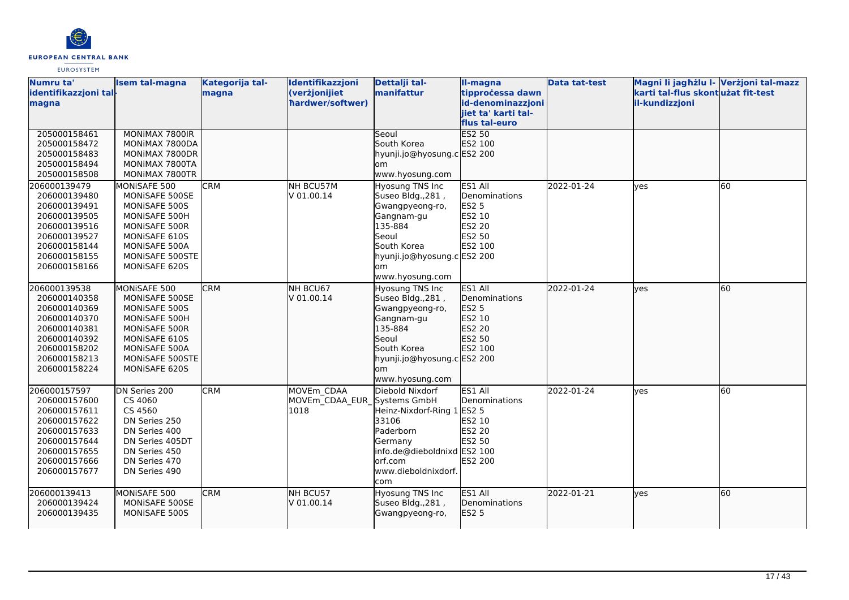

| Numru ta'             | <b>Isem tal-magna</b> | Kategorija tal- | Identifikazzjoni            | Dettalji tal-               | Il-magna              | <b>Data tat-test</b> | Magni li jagħżlu I- Verżjoni tal-mazz |    |
|-----------------------|-----------------------|-----------------|-----------------------------|-----------------------------|-----------------------|----------------------|---------------------------------------|----|
| identifikazzjoni tal- |                       | magna           | (verżjonijiet               | manifattur                  | tipprocessa dawn      |                      | karti tal-flus skontużat fit-test     |    |
| magna                 |                       |                 | hardwer/softwer)            |                             | id-denominazzjoni     |                      | il-kundizzjoni                        |    |
|                       |                       |                 |                             |                             | jiet ta' karti tal-   |                      |                                       |    |
|                       |                       |                 |                             |                             | flus tal-euro         |                      |                                       |    |
| 205000158461          | MONIMAX 7800IR        |                 |                             | <b>Seoul</b>                | ES2 50                |                      |                                       |    |
| 205000158472          | MONIMAX 7800DA        |                 |                             | South Korea                 | ES2 100               |                      |                                       |    |
| 205000158483          | MONIMAX 7800DR        |                 |                             | hyunji.jo@hyosung.cES2 200  |                       |                      |                                       |    |
| 205000158494          | MONIMAX 7800TA        |                 |                             | om                          |                       |                      |                                       |    |
| 205000158508          | MONIMAX 7800TR        |                 |                             | www.hyosung.com             |                       |                      |                                       |    |
| 206000139479          | MONISAFE 500          | <b>CRM</b>      | NH BCU57M                   | Hyosung TNS Inc             | ES1 All               | 2022-01-24           | <b>ves</b>                            | 60 |
| 206000139480          | MONISAFE 500SE        |                 | V 01.00.14                  | Suseo Bldg., 281,           | Denominations         |                      |                                       |    |
| 206000139491          | MONISAFE 500S         |                 |                             | Gwangpyeong-ro,             | <b>ES2 5</b>          |                      |                                       |    |
| 206000139505          | MONISAFE 500H         |                 |                             | Gangnam-gu                  | ES2 10                |                      |                                       |    |
| 206000139516          | MONISAFE 500R         |                 |                             | 135-884                     | ES2 20                |                      |                                       |    |
| 206000139527          | MONISAFE 610S         |                 |                             | lSeoul                      | ES2 50                |                      |                                       |    |
| 206000158144          | MONISAFE 500A         |                 |                             | South Korea                 | ES2 100               |                      |                                       |    |
| 206000158155          | MONISAFE 500STE       |                 |                             | hyunji.jo@hyosung.c ES2 200 |                       |                      |                                       |    |
| 206000158166          | MONISAFE 620S         |                 |                             | om                          |                       |                      |                                       |    |
|                       |                       |                 |                             | www.hyosung.com             |                       |                      |                                       |    |
| 206000139538          | MONISAFE 500          | <b>CRM</b>      | NH BCU67                    | Hyosung TNS Inc             | ES1 All               | 2022-01-24           | lves                                  | 60 |
| 206000140358          | MONISAFE 500SE        |                 | V 01.00.14                  | Suseo Bldg., 281,           | <b>IDenominations</b> |                      |                                       |    |
| 206000140369          | MONISAFE 500S         |                 |                             | Gwangpyeong-ro,             | <b>ES2 5</b>          |                      |                                       |    |
| 206000140370          | MONISAFE 500H         |                 |                             | Gangnam-gu                  | ES2 10                |                      |                                       |    |
| 206000140381          | MONISAFE 500R         |                 |                             | 135-884                     | ES2 20                |                      |                                       |    |
| 206000140392          | MONISAFE 610S         |                 |                             | <b>Seoul</b>                | ES2 50                |                      |                                       |    |
| 206000158202          | MONISAFE 500A         |                 |                             | South Korea                 | ES2 100               |                      |                                       |    |
| 206000158213          | MONISAFE 500STE       |                 |                             | hyunji.jo@hyosung.c ES2 200 |                       |                      |                                       |    |
| 206000158224          | MONISAFE 620S         |                 |                             | lom                         |                       |                      |                                       |    |
|                       |                       |                 |                             | www.hyosung.com             |                       |                      |                                       |    |
| 206000157597          | DN Series 200         | <b>CRM</b>      | MOVEm CDAA                  | Diebold Nixdorf             | ES1 All               | 2022-01-24           | yes                                   | 60 |
| 206000157600          | CS 4060               |                 | MOVEm CDAA EUR Systems GmbH |                             | Denominations         |                      |                                       |    |
| 206000157611          | CS 4560               |                 | 1018                        | Heinz-Nixdorf-Ring 1        | <b>ES2 5</b>          |                      |                                       |    |
| 206000157622          | DN Series 250         |                 |                             | 33106                       | ES2 10                |                      |                                       |    |
| 206000157633          | DN Series 400         |                 |                             | Paderborn                   | <b>ES2 20</b>         |                      |                                       |    |
| 206000157644          | DN Series 405DT       |                 |                             | Germany                     | <b>ES2 50</b>         |                      |                                       |    |
| 206000157655          | DN Series 450         |                 |                             | info.de@dieboldnixd ES2 100 |                       |                      |                                       |    |
| 206000157666          | DN Series 470         |                 |                             | lorf.com                    | ES2 200               |                      |                                       |    |
| 206000157677          | DN Series 490         |                 |                             | www.dieboldnixdorf.         |                       |                      |                                       |    |
|                       |                       |                 |                             | com                         |                       |                      |                                       |    |
| 206000139413          | MONISAFE 500          | <b>CRM</b>      | NH BCU57                    | Hyosung TNS Inc             | ES1 All               | 2022-01-21           | <b>l</b> ves                          | 60 |
| 206000139424          | MONISAFE 500SE        |                 | V 01.00.14                  | Suseo Bldg., 281,           | Denominations         |                      |                                       |    |
| 206000139435          | MONISAFE 500S         |                 |                             | Gwangpyeong-ro,             | <b>ES2 5</b>          |                      |                                       |    |
|                       |                       |                 |                             |                             |                       |                      |                                       |    |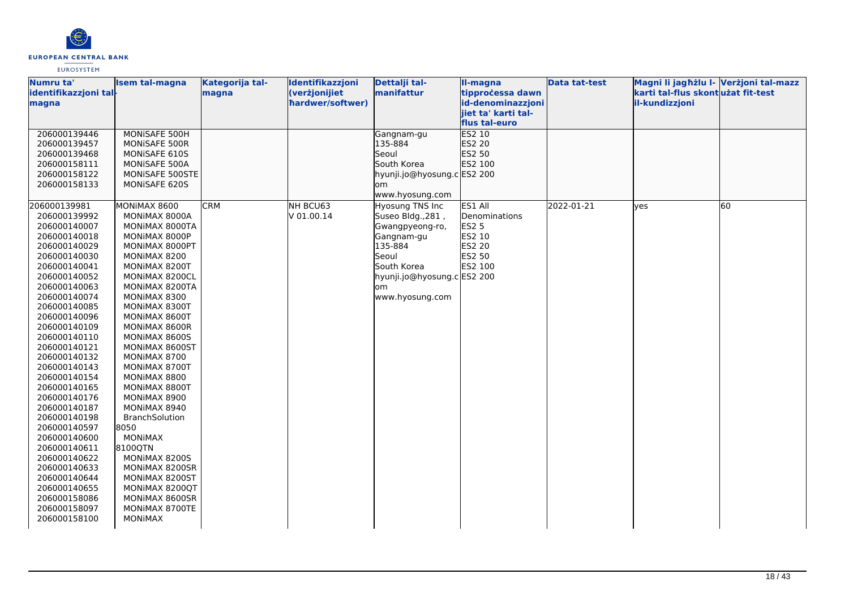

| Numru ta'                    | <b>Isem tal-magna</b>          | Kategorija tal- | Identifikazzjoni | Dettalji tal-               | II-magna                             | Data tat-test | Magni li jagħżlu I- Verżjoni tal-mazz |    |
|------------------------------|--------------------------------|-----------------|------------------|-----------------------------|--------------------------------------|---------------|---------------------------------------|----|
| identifikazzjoni tal-        |                                | magna           | (verżjonijiet    | manifattur                  | tipprocessa dawn                     |               | karti tal-flus skontużat fit-test     |    |
| magna                        |                                |                 | hardwer/softwer) |                             | id-denominazzjoni                    |               | il-kundizzjoni                        |    |
|                              |                                |                 |                  |                             | jiet ta' karti tal-<br>flus tal-euro |               |                                       |    |
| 206000139446                 | MONISAFE 500H                  |                 |                  | Gangnam-gu                  | ES2 10                               |               |                                       |    |
| 206000139457                 | MONISAFE 500R                  |                 |                  | 135-884                     | ES2 20                               |               |                                       |    |
| 206000139468                 | MONISAFE 610S                  |                 |                  | Seoul                       | ES2 50                               |               |                                       |    |
| 206000158111                 | MONISAFE 500A                  |                 |                  | South Korea                 | ES2 100                              |               |                                       |    |
| 206000158122                 | MONISAFE 500STE                |                 |                  | hyunji.jo@hyosung.c ES2 200 |                                      |               |                                       |    |
| 206000158133                 | MONISAFE 620S                  |                 |                  | om                          |                                      |               |                                       |    |
|                              |                                |                 |                  | www.hyosung.com             |                                      |               |                                       |    |
| 206000139981                 | MONIMAX 8600                   | <b>CRM</b>      | NH BCU63         | Hyosung TNS Inc             | ES1 All                              | 2022-01-21    | yes                                   | 60 |
| 206000139992                 | MONIMAX 8000A                  |                 | V 01.00.14       | Suseo Bldg., 281,           | Denominations                        |               |                                       |    |
| 206000140007                 | MONIMAX 8000TA                 |                 |                  | Gwangpyeong-ro,             | <b>ES2 5</b>                         |               |                                       |    |
| 206000140018                 | MONIMAX 8000P                  |                 |                  | Gangnam-gu                  | ES2 10                               |               |                                       |    |
| 206000140029                 | MONIMAX 8000PT                 |                 |                  | 135-884                     | ES2 20                               |               |                                       |    |
| 206000140030                 | MONIMAX 8200                   |                 |                  | Seoul                       | ES2 50                               |               |                                       |    |
| 206000140041                 | MONIMAX 8200T                  |                 |                  | South Korea                 | ES2 100                              |               |                                       |    |
| 206000140052                 | MONIMAX 8200CL                 |                 |                  | hyunji.jo@hyosung.cES2 200  |                                      |               |                                       |    |
| 206000140063                 | MONIMAX 8200TA                 |                 |                  | lom                         |                                      |               |                                       |    |
| 206000140074                 | MONIMAX 8300                   |                 |                  | www.hyosung.com             |                                      |               |                                       |    |
| 206000140085                 | MONIMAX 8300T                  |                 |                  |                             |                                      |               |                                       |    |
| 206000140096                 | MONIMAX 8600T                  |                 |                  |                             |                                      |               |                                       |    |
| 206000140109<br>206000140110 | MONIMAX 8600R<br>MONIMAX 8600S |                 |                  |                             |                                      |               |                                       |    |
| 206000140121                 | MONIMAX 8600ST                 |                 |                  |                             |                                      |               |                                       |    |
| 206000140132                 | MONIMAX 8700                   |                 |                  |                             |                                      |               |                                       |    |
| 206000140143                 | MONIMAX 8700T                  |                 |                  |                             |                                      |               |                                       |    |
| 206000140154                 | MONIMAX 8800                   |                 |                  |                             |                                      |               |                                       |    |
| 206000140165                 | MONIMAX 8800T                  |                 |                  |                             |                                      |               |                                       |    |
| 206000140176                 | MONIMAX 8900                   |                 |                  |                             |                                      |               |                                       |    |
| 206000140187                 | MONIMAX 8940                   |                 |                  |                             |                                      |               |                                       |    |
| 206000140198                 | <b>BranchSolution</b>          |                 |                  |                             |                                      |               |                                       |    |
| 206000140597                 | 8050                           |                 |                  |                             |                                      |               |                                       |    |
| 206000140600                 | <b>MONIMAX</b>                 |                 |                  |                             |                                      |               |                                       |    |
| 206000140611                 | 8100QTN                        |                 |                  |                             |                                      |               |                                       |    |
| 206000140622                 | MONIMAX 8200S                  |                 |                  |                             |                                      |               |                                       |    |
| 206000140633                 | MONIMAX 8200SR                 |                 |                  |                             |                                      |               |                                       |    |
| 206000140644                 | MONIMAX 8200ST                 |                 |                  |                             |                                      |               |                                       |    |
| 206000140655                 | MONIMAX 8200QT                 |                 |                  |                             |                                      |               |                                       |    |
| 206000158086                 | MONIMAX 8600SR                 |                 |                  |                             |                                      |               |                                       |    |
| 206000158097                 | MONIMAX 8700TE                 |                 |                  |                             |                                      |               |                                       |    |
| 206000158100                 | <b>MONIMAX</b>                 |                 |                  |                             |                                      |               |                                       |    |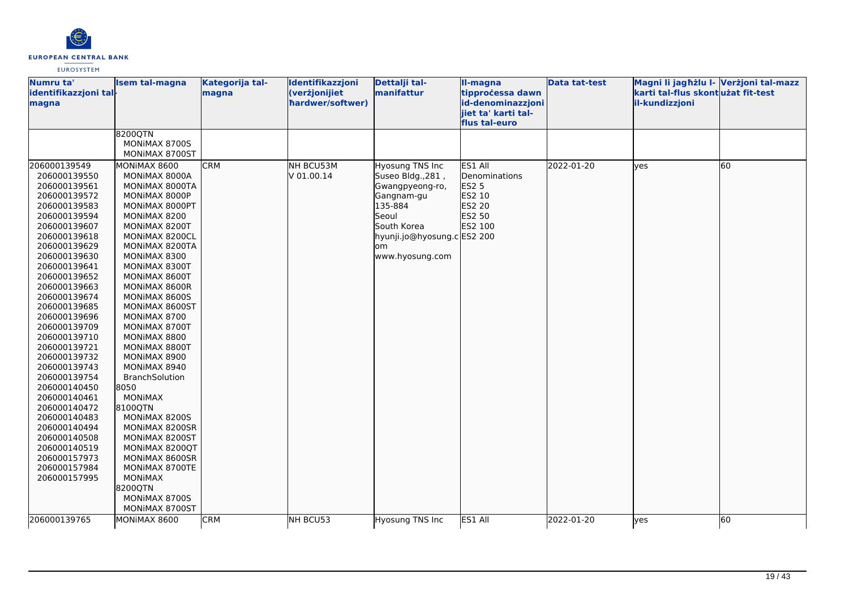

| Numru ta'<br>identifikazzjoni tal-<br>magna | <b>Isem tal-magna</b>            | Kategorija tal-<br>magna | Identifikazzjoni<br>(verżjonijiet<br>hardwer/softwer) | Dettalji tal-<br>manifattur          | II-magna<br>tipprocessa dawn<br>id-denominazzjoni | Data tat-test | Magni li jagħżlu I- Verżjoni tal-mazz<br>karti tal-flus skont użat fit-test<br>il-kundizzjoni |    |
|---------------------------------------------|----------------------------------|--------------------------|-------------------------------------------------------|--------------------------------------|---------------------------------------------------|---------------|-----------------------------------------------------------------------------------------------|----|
|                                             |                                  |                          |                                                       |                                      | jiet ta' karti tal-<br>flus tal-euro              |               |                                                                                               |    |
|                                             | 8200QTN                          |                          |                                                       |                                      |                                                   |               |                                                                                               |    |
|                                             | MONIMAX 8700S                    |                          |                                                       |                                      |                                                   |               |                                                                                               |    |
|                                             | MONIMAX 8700ST                   | <b>CRM</b>               |                                                       |                                      | ES1 All                                           | 2022-01-20    |                                                                                               |    |
| 206000139549<br>206000139550                | MONIMAX 8600<br>MONIMAX 8000A    |                          | NH BCU53M<br>V 01.00.14                               | Hyosung TNS Inc<br>Suseo Bldg., 281, | Denominations                                     |               | lves                                                                                          | 60 |
| 206000139561                                | MONIMAX 8000TA                   |                          |                                                       | Gwangpyeong-ro,                      | <b>ES2 5</b>                                      |               |                                                                                               |    |
| 206000139572                                | MONIMAX 8000P                    |                          |                                                       | Gangnam-gu                           | ES2 10                                            |               |                                                                                               |    |
| 206000139583                                | MONIMAX 8000PT                   |                          |                                                       | 135-884                              | ES2 20                                            |               |                                                                                               |    |
| 206000139594                                | MONIMAX 8200                     |                          |                                                       | Seoul                                | ES2 50                                            |               |                                                                                               |    |
| 206000139607                                | MONIMAX 8200T                    |                          |                                                       | South Korea                          | ES2 100                                           |               |                                                                                               |    |
| 206000139618                                | MONIMAX 8200CL                   |                          |                                                       | hyunji.jo@hyosung.c ES2 200          |                                                   |               |                                                                                               |    |
| 206000139629                                | MONIMAX 8200TA                   |                          |                                                       | lom                                  |                                                   |               |                                                                                               |    |
| 206000139630                                | MONIMAX 8300                     |                          |                                                       | www.hyosung.com                      |                                                   |               |                                                                                               |    |
| 206000139641                                | MONIMAX 8300T                    |                          |                                                       |                                      |                                                   |               |                                                                                               |    |
| 206000139652                                | MONIMAX 8600T                    |                          |                                                       |                                      |                                                   |               |                                                                                               |    |
| 206000139663                                | MONIMAX 8600R                    |                          |                                                       |                                      |                                                   |               |                                                                                               |    |
| 206000139674                                | MONIMAX 8600S                    |                          |                                                       |                                      |                                                   |               |                                                                                               |    |
| 206000139685<br>206000139696                | MONIMAX 8600ST<br>MONIMAX 8700   |                          |                                                       |                                      |                                                   |               |                                                                                               |    |
| 206000139709                                | MONIMAX 8700T                    |                          |                                                       |                                      |                                                   |               |                                                                                               |    |
| 206000139710                                | MONIMAX 8800                     |                          |                                                       |                                      |                                                   |               |                                                                                               |    |
| 206000139721                                | MONIMAX 8800T                    |                          |                                                       |                                      |                                                   |               |                                                                                               |    |
| 206000139732                                | MONIMAX 8900                     |                          |                                                       |                                      |                                                   |               |                                                                                               |    |
| 206000139743                                | MONIMAX 8940                     |                          |                                                       |                                      |                                                   |               |                                                                                               |    |
| 206000139754                                | BranchSolution                   |                          |                                                       |                                      |                                                   |               |                                                                                               |    |
| 206000140450                                | 8050                             |                          |                                                       |                                      |                                                   |               |                                                                                               |    |
| 206000140461                                | <b>MONIMAX</b>                   |                          |                                                       |                                      |                                                   |               |                                                                                               |    |
| 206000140472                                | 8100QTN                          |                          |                                                       |                                      |                                                   |               |                                                                                               |    |
| 206000140483                                | MONIMAX 8200S                    |                          |                                                       |                                      |                                                   |               |                                                                                               |    |
| 206000140494                                | MONIMAX 8200SR                   |                          |                                                       |                                      |                                                   |               |                                                                                               |    |
| 206000140508                                | MONIMAX 8200ST                   |                          |                                                       |                                      |                                                   |               |                                                                                               |    |
| 206000140519                                | MONIMAX 8200QT                   |                          |                                                       |                                      |                                                   |               |                                                                                               |    |
| 206000157973                                | MONIMAX 8600SR                   |                          |                                                       |                                      |                                                   |               |                                                                                               |    |
| 206000157984<br>206000157995                | MONIMAX 8700TE<br><b>MONIMAX</b> |                          |                                                       |                                      |                                                   |               |                                                                                               |    |
|                                             | 8200QTN                          |                          |                                                       |                                      |                                                   |               |                                                                                               |    |
|                                             | MONIMAX 8700S                    |                          |                                                       |                                      |                                                   |               |                                                                                               |    |
|                                             | MONIMAX 8700ST                   |                          |                                                       |                                      |                                                   |               |                                                                                               |    |
| 206000139765                                | MONIMAX 8600                     | <b>CRM</b>               | NH BCU53                                              | Hyosung TNS Inc                      | ES1 All                                           | 2022-01-20    | yes                                                                                           | 60 |
|                                             |                                  |                          |                                                       |                                      |                                                   |               |                                                                                               |    |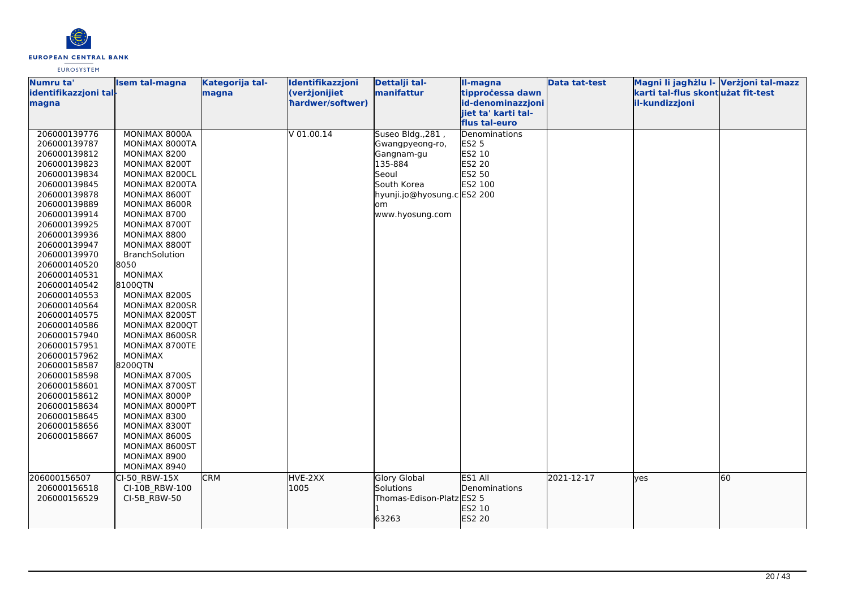

| Numru ta'<br>identifikazzjoni tal- | <b>Isem tal-magna</b> | Kategorija tal-<br>magna | Identifikazzjoni<br>(verżjonijiet | Dettalji tal-<br>manifattur | II-magna<br>tipprocessa dawn | <b>Data tat-test</b> | Magni li jagħżlu I- Verżjoni tal-mazz<br>karti tal-flus skont użat fit-test |    |
|------------------------------------|-----------------------|--------------------------|-----------------------------------|-----------------------------|------------------------------|----------------------|-----------------------------------------------------------------------------|----|
| magna                              |                       |                          | hardwer/softwer)                  |                             | id-denominazzjoni            |                      | il-kundizzjoni                                                              |    |
|                                    |                       |                          |                                   |                             | jiet ta' karti tal-          |                      |                                                                             |    |
|                                    |                       |                          |                                   |                             | flus tal-euro                |                      |                                                                             |    |
| 206000139776                       | MONIMAX 8000A         |                          | $V$ 01.00.14                      | Suseo Bldg., 281,           | Denominations                |                      |                                                                             |    |
| 206000139787                       | MONIMAX 8000TA        |                          |                                   | Gwangpyeong-ro,             | <b>ES2 5</b>                 |                      |                                                                             |    |
| 206000139812                       | MONIMAX 8200          |                          |                                   | Gangnam-gu                  | ES2 10                       |                      |                                                                             |    |
| 206000139823                       | MONIMAX 8200T         |                          |                                   | 135-884                     | ES2 20                       |                      |                                                                             |    |
| 206000139834                       | MONIMAX 8200CL        |                          |                                   | Seoul                       | ES2 50                       |                      |                                                                             |    |
| 206000139845                       | MONIMAX 8200TA        |                          |                                   | South Korea                 | ES2 100                      |                      |                                                                             |    |
| 206000139878                       | MONIMAX 8600T         |                          |                                   | hyunji.jo@hyosung.c ES2 200 |                              |                      |                                                                             |    |
| 206000139889                       | MONIMAX 8600R         |                          |                                   | lom                         |                              |                      |                                                                             |    |
| 206000139914                       | MONIMAX 8700          |                          |                                   | www.hyosung.com             |                              |                      |                                                                             |    |
| 206000139925                       | MONIMAX 8700T         |                          |                                   |                             |                              |                      |                                                                             |    |
| 206000139936                       | MONIMAX 8800          |                          |                                   |                             |                              |                      |                                                                             |    |
| 206000139947                       | MONIMAX 8800T         |                          |                                   |                             |                              |                      |                                                                             |    |
| 206000139970                       | BranchSolution        |                          |                                   |                             |                              |                      |                                                                             |    |
| 206000140520                       | 8050                  |                          |                                   |                             |                              |                      |                                                                             |    |
| 206000140531                       | <b>MONIMAX</b>        |                          |                                   |                             |                              |                      |                                                                             |    |
| 206000140542                       | 8100QTN               |                          |                                   |                             |                              |                      |                                                                             |    |
| 206000140553                       | MONIMAX 8200S         |                          |                                   |                             |                              |                      |                                                                             |    |
| 206000140564                       | MONIMAX 8200SR        |                          |                                   |                             |                              |                      |                                                                             |    |
| 206000140575                       | MONIMAX 8200ST        |                          |                                   |                             |                              |                      |                                                                             |    |
| 206000140586                       | MONIMAX 8200QT        |                          |                                   |                             |                              |                      |                                                                             |    |
| 206000157940                       | MONIMAX 8600SR        |                          |                                   |                             |                              |                      |                                                                             |    |
| 206000157951                       | MONIMAX 8700TE        |                          |                                   |                             |                              |                      |                                                                             |    |
| 206000157962                       | <b>MONIMAX</b>        |                          |                                   |                             |                              |                      |                                                                             |    |
| 206000158587                       | 8200QTN               |                          |                                   |                             |                              |                      |                                                                             |    |
| 206000158598                       | MONIMAX 8700S         |                          |                                   |                             |                              |                      |                                                                             |    |
| 206000158601                       | MONIMAX 8700ST        |                          |                                   |                             |                              |                      |                                                                             |    |
| 206000158612                       | MONIMAX 8000P         |                          |                                   |                             |                              |                      |                                                                             |    |
| 206000158634                       | MONIMAX 8000PT        |                          |                                   |                             |                              |                      |                                                                             |    |
| 206000158645                       | MONIMAX 8300          |                          |                                   |                             |                              |                      |                                                                             |    |
| 206000158656                       | MONIMAX 8300T         |                          |                                   |                             |                              |                      |                                                                             |    |
| 206000158667                       | MONIMAX 8600S         |                          |                                   |                             |                              |                      |                                                                             |    |
|                                    | MONIMAX 8600ST        |                          |                                   |                             |                              |                      |                                                                             |    |
|                                    | MONIMAX 8900          |                          |                                   |                             |                              |                      |                                                                             |    |
|                                    | MONIMAX 8940          |                          |                                   |                             |                              |                      |                                                                             |    |
| 206000156507                       | CI-50 RBW-15X         | <b>CRM</b>               | HVE-2XX                           | <b>Glory Global</b>         | ES1 All                      | 2021-12-17           | lyes                                                                        | 60 |
| 206000156518                       | CI-10B RBW-100        |                          | 1005                              | <b>Solutions</b>            | <b>Denominations</b>         |                      |                                                                             |    |
| 206000156529                       | CI-5B RBW-50          |                          |                                   | Thomas-Edison-Platz ES2 5   |                              |                      |                                                                             |    |
|                                    |                       |                          |                                   |                             | ES2 10                       |                      |                                                                             |    |
|                                    |                       |                          |                                   | 63263                       | ES2 20                       |                      |                                                                             |    |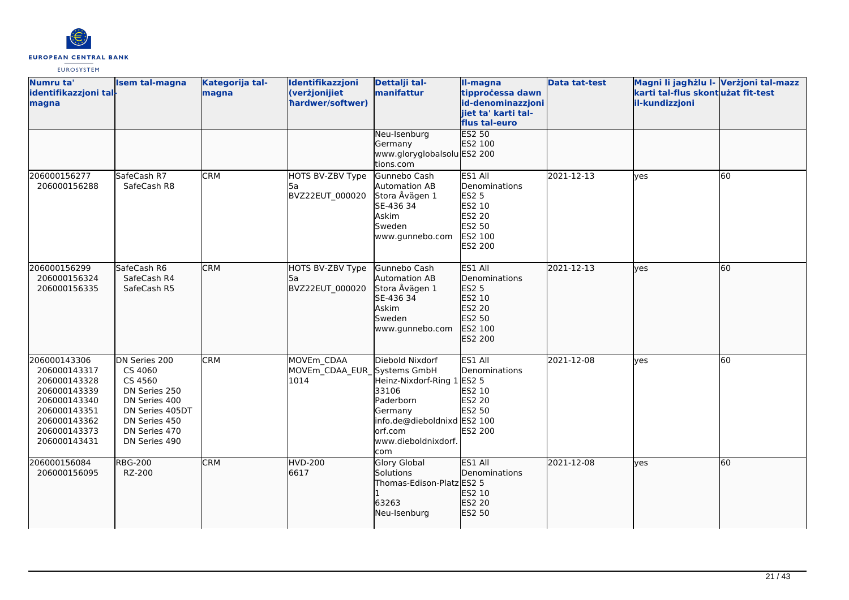

| Numru ta'<br>identifikazzjoni tal-<br>magna                                                                                                  | <b>Isem tal-magna</b>                                                                                                                       | Kategorija tal-<br>magna | Identifikazzjoni<br>(verżjonijiet<br>hardwer/softwer) | Dettalji tal-<br>manifattur                                                                                                                      | II-magna<br>tipprocessa dawn<br>id-denominazzjoni<br>jiet ta' karti tal-<br>flus tal-euro           | <b>Data tat-test</b> | Magni li jagħżlu I- Verżjoni tal-mazz<br>karti tal-flus skontużat fit-test<br>il-kundizzjoni |           |
|----------------------------------------------------------------------------------------------------------------------------------------------|---------------------------------------------------------------------------------------------------------------------------------------------|--------------------------|-------------------------------------------------------|--------------------------------------------------------------------------------------------------------------------------------------------------|-----------------------------------------------------------------------------------------------------|----------------------|----------------------------------------------------------------------------------------------|-----------|
|                                                                                                                                              |                                                                                                                                             |                          |                                                       | Neu-Isenburg<br>Germany<br>www.gloryglobalsolu ES2 200<br>tions.com                                                                              | <b>ES2 50</b><br>ES2 100                                                                            |                      |                                                                                              |           |
| 206000156277<br>206000156288                                                                                                                 | SafeCash R7<br>SafeCash R8                                                                                                                  | <b>CRM</b>               | HOTS BV-ZBV Type<br>l5a<br>BVZ22EUT 000020            | Gunnebo Cash<br>Automation AB<br>Stora Åvägen 1<br>SE-436 34<br>Askim<br><b>Sweden</b><br>www.gunnebo.com                                        | ES1 All<br>Denominations<br><b>ES2 5</b><br>ES2 10<br>ES2 20<br>ES2 50<br>ES2 100<br><b>ES2 200</b> | 2021-12-13           | lyes                                                                                         | <b>60</b> |
| 206000156299<br>206000156324<br>206000156335                                                                                                 | SafeCash R6<br>SafeCash R4<br>SafeCash R5                                                                                                   | <b>CRM</b>               | HOTS BV-ZBV Type<br>l5a<br>BVZ22EUT 000020            | Gunnebo Cash<br>Automation AB<br>Stora Åvägen 1<br>SE-436 34<br>Askim<br>Sweden<br>www.gunnebo.com                                               | ES1 All<br>Denominations<br>ES2 5<br>ES2 10<br>ES2 20<br>ES2 50<br>ES2 100<br>ES2 200               | 2021-12-13           | lves                                                                                         | 60        |
| 206000143306<br>206000143317<br>206000143328<br>206000143339<br>206000143340<br>206000143351<br>206000143362<br>206000143373<br>206000143431 | DN Series 200<br>CS 4060<br>CS 4560<br>DN Series 250<br>DN Series 400<br>DN Series 405DT<br>DN Series 450<br>DN Series 470<br>DN Series 490 | <b>CRM</b>               | MOVEm CDAA<br>MOVEm_CDAA_EUR_Systems GmbH<br>1014     | Diebold Nixdorf<br>Heinz-Nixdorf-Ring 1<br>33106<br>Paderborn<br>Germany<br>info.de@dieboldnixd ES2 100<br>orf.com<br>www.dieboldnixdorf.<br>com | ES1 All<br>Denominations<br><b>ES2 5</b><br>ES2 10<br><b>ES2 20</b><br>ES2 50<br><b>ES2 200</b>     | 2021-12-08           | lves                                                                                         | 60        |
| 206000156084<br>206000156095                                                                                                                 | <b>RBG-200</b><br>RZ-200                                                                                                                    | <b>CRM</b>               | <b>HVD-200</b><br>6617                                | <b>Glory Global</b><br>Solutions<br>Thomas-Edison-Platz ES2 5<br>63263<br>Neu-Isenburg                                                           | ES1 All<br><b>IDenominations</b><br>ES2 10<br>ES2 20<br>ES2 50                                      | 2021-12-08           | lves                                                                                         | 60        |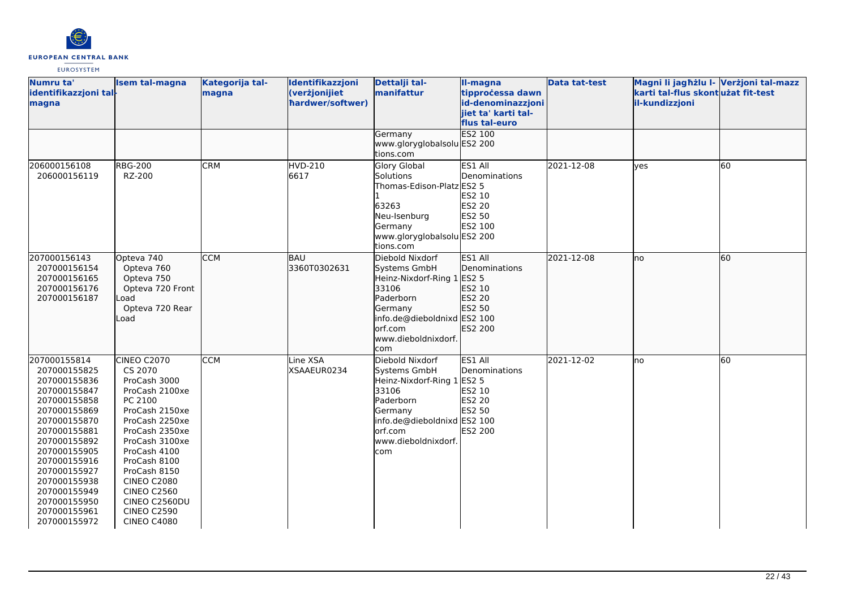

| Numru ta'<br>identifikazzjoni tal-<br>magna                                                                                                                                                                                                                                  | <b>Isem tal-magna</b>                                                                                                                                                                                                                                                                                | Kategorija tal-<br>magna | Identifikazzjoni<br>(verżjonijiet<br>hardwer/softwer) | Dettalji tal-<br>manifattur                                                                                                                                       | II-magna<br>tipprocessa dawn<br>id-denominazzjoni<br>jiet ta' karti tal-<br>flus tal-euro       | <b>Data tat-test</b> | Magni li jagħżlu I- Verżjoni tal-mazz<br>karti tal-flus skontużat fit-test<br>il-kundizzjoni |    |
|------------------------------------------------------------------------------------------------------------------------------------------------------------------------------------------------------------------------------------------------------------------------------|------------------------------------------------------------------------------------------------------------------------------------------------------------------------------------------------------------------------------------------------------------------------------------------------------|--------------------------|-------------------------------------------------------|-------------------------------------------------------------------------------------------------------------------------------------------------------------------|-------------------------------------------------------------------------------------------------|----------------------|----------------------------------------------------------------------------------------------|----|
|                                                                                                                                                                                                                                                                              |                                                                                                                                                                                                                                                                                                      |                          |                                                       | Germany<br>www.gloryglobalsolu ES2 200<br>tions.com                                                                                                               | ES2 100                                                                                         |                      |                                                                                              |    |
| 206000156108<br>206000156119                                                                                                                                                                                                                                                 | <b>RBG-200</b><br>RZ-200                                                                                                                                                                                                                                                                             | <b>CRM</b>               | <b>HVD-210</b><br>6617                                | Glory Global<br>Solutions<br>Thomas-Edison-Platz ES2 5<br>63263<br>Neu-Isenburg<br>Germany<br>www.gloryglobalsolu ES2 200<br>tions.com                            | ES1 All<br>Denominations<br>ES2 10<br><b>ES2 20</b><br>ES2 50<br>ES2 100                        | 2021-12-08           | yes                                                                                          | 60 |
| 207000156143<br>207000156154<br>207000156165<br>207000156176<br>207000156187                                                                                                                                                                                                 | Opteva 740<br>Opteva 760<br>Opteva 750<br>Opteva 720 Front<br>Load<br>Opteva 720 Rear<br>Load                                                                                                                                                                                                        | <b>CCM</b>               | <b>BAU</b><br>3360T0302631                            | Diebold Nixdorf<br>Systems GmbH<br>Heinz-Nixdorf-Ring 1<br>33106<br>Paderborn<br>Germany<br>info.de@dieboldnixd ES2 100<br>lorf.com<br>www.dieboldnixdorf.<br>com | ES1 All<br>Denominations<br><b>ES2 5</b><br>ES2 10<br>ES2 20<br>ES2 50<br>ES2 200               | 2021-12-08           | no                                                                                           | 60 |
| 207000155814<br>207000155825<br>207000155836<br>207000155847<br>207000155858<br>207000155869<br>207000155870<br>207000155881<br>207000155892<br>207000155905<br>207000155916<br>207000155927<br>207000155938<br>207000155949<br>207000155950<br>207000155961<br>207000155972 | CINEO C2070<br>CS 2070<br>ProCash 3000<br>ProCash 2100xe<br>PC 2100<br>ProCash 2150xe<br>ProCash 2250xe<br>ProCash 2350xe<br>ProCash 3100xe<br>ProCash 4100<br>ProCash 8100<br>ProCash 8150<br><b>CINEO C2080</b><br><b>CINEO C2560</b><br>CINEO C2560DU<br><b>CINEO C2590</b><br><b>CINEO C4080</b> | <b>CCM</b>               | Line XSA<br>XSAAEUR0234                               | Diebold Nixdorf<br>Systems GmbH<br>Heinz-Nixdorf-Ring 1<br>33106<br>Paderborn<br>Germany<br>info.de@dieboldnixd ES2 100<br>lorf.com<br>www.dieboldnixdorf.<br>com | ES1 All<br>Denominations<br><b>ES2 5</b><br>ES2 10<br><b>ES2 20</b><br>ES2 50<br><b>ES2 200</b> | 2021-12-02           | lno                                                                                          | 60 |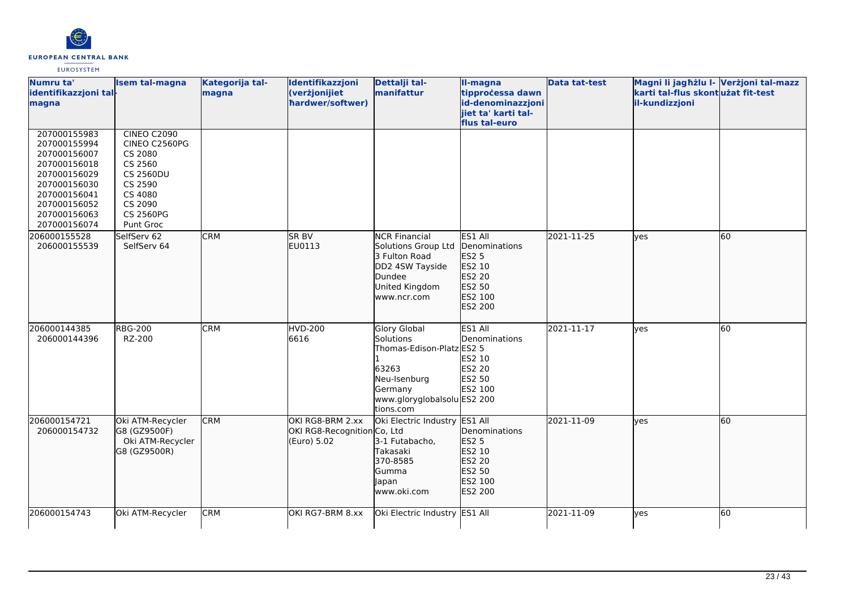

| Numru ta'<br>identifikazzjoni tal-<br>magna                                                                                                                  | <b>Isem tal-magna</b>                                                                                                                           | Kategorija tal-<br>magna | Identifikazzjoni<br>(verżjonijiet<br>hardwer/softwer)          | Dettalji tal-<br>manifattur                                                                                                                   | II-magna<br>tipprocessa dawn<br>id-denominazzjoni                                            | <b>Data tat-test</b> | Magni li jagħżlu I- Verżjoni tal-mazz<br>karti tal-flus skontużat fit-test<br>il-kundizzjoni |    |
|--------------------------------------------------------------------------------------------------------------------------------------------------------------|-------------------------------------------------------------------------------------------------------------------------------------------------|--------------------------|----------------------------------------------------------------|-----------------------------------------------------------------------------------------------------------------------------------------------|----------------------------------------------------------------------------------------------|----------------------|----------------------------------------------------------------------------------------------|----|
|                                                                                                                                                              |                                                                                                                                                 |                          |                                                                |                                                                                                                                               | jiet ta' karti tal-<br>flus tal-euro                                                         |                      |                                                                                              |    |
| 207000155983<br>207000155994<br>207000156007<br>207000156018<br>207000156029<br>207000156030<br>207000156041<br>207000156052<br>207000156063<br>207000156074 | <b>CINEO C2090</b><br>CINEO C2560PG<br>CS 2080<br>CS 2560<br><b>CS 2560DU</b><br>CS 2590<br>CS 4080<br>CS 2090<br><b>CS 2560PG</b><br>Punt Groc |                          |                                                                |                                                                                                                                               |                                                                                              |                      |                                                                                              |    |
| 206000155528<br>206000155539                                                                                                                                 | SelfServ 62<br>SelfServ 64                                                                                                                      | <b>CRM</b>               | SR BV<br>EU0113                                                | <b>NCR Financial</b><br>Solutions Group Ltd<br>3 Fulton Road<br>DD2 4SW Tayside<br>Dundee<br>United Kingdom<br>www.ncr.com                    | ES1 All<br>Denominations<br>ES2 5<br>ES2 10<br>ES2 20<br>ES2 50<br>ES2 100<br>ES2 200        | 2021-11-25           | lves                                                                                         | 60 |
| 206000144385<br>206000144396                                                                                                                                 | <b>RBG-200</b><br>RZ-200                                                                                                                        | <b>CRM</b>               | <b>HVD-200</b><br>6616                                         | <b>Glory Global</b><br>Solutions<br>Thomas-Edison-Platz ES2 5<br>63263<br>Neu-Isenburg<br>Germany<br>www.gloryglobalsolu ES2 200<br>tions.com | ES1 All<br>Denominations<br>ES2 10<br>ES2 20<br>ES2 50<br>ES2 100                            | 2021-11-17           | <b>l</b> ves                                                                                 | 60 |
| 206000154721<br>206000154732                                                                                                                                 | Oki ATM-Recycler<br>G8 (GZ9500F)<br>Oki ATM-Recycler<br>G8 (GZ9500R)                                                                            | <b>CRM</b>               | OKI RG8-BRM 2.xx<br>OKI RG8-Recognition Co, Ltd<br>(Euro) 5.02 | Oki Electric Industry<br>3-1 Futabacho,<br>Takasaki<br>370-8585<br>Gumma<br>Japan<br>www.oki.com                                              | ES1 All<br>Denominations<br>ES2 5<br>ES2 10<br><b>ES2 20</b><br>ES2 50<br>ES2 100<br>ES2 200 | 2021-11-09           | lyes                                                                                         | 60 |
| 206000154743                                                                                                                                                 | Oki ATM-Recycler                                                                                                                                | <b>CRM</b>               | OKI RG7-BRM 8.xx                                               | Oki Electric Industry ES1 All                                                                                                                 |                                                                                              | 2021-11-09           | ves                                                                                          | 60 |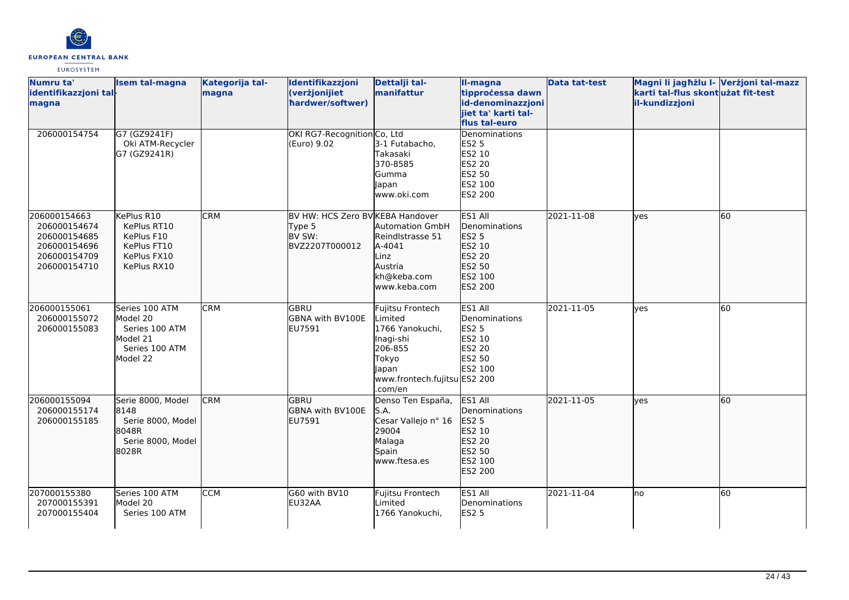

| Numru ta'<br>identifikazzjoni tal-                                                           | <b>Isem tal-magna</b>                                                                  | Kategorija tal-<br>magna | Identifikazzjoni<br>(verżjonijiet                                      | Dettalji tal-<br>manifattur                                                                                                         | <b>Il-magna</b><br>tipprocessa dawn                                                                  | <b>Data tat-test</b> | Magni li jagħżlu I- Verżjoni tal-mazz<br>karti tal-flus skont użat fit-test |    |
|----------------------------------------------------------------------------------------------|----------------------------------------------------------------------------------------|--------------------------|------------------------------------------------------------------------|-------------------------------------------------------------------------------------------------------------------------------------|------------------------------------------------------------------------------------------------------|----------------------|-----------------------------------------------------------------------------|----|
| magna                                                                                        |                                                                                        |                          | hardwer/softwer)                                                       |                                                                                                                                     | id-denominazzjoni<br>lijet ta' karti tal-<br>flus tal-euro                                           |                      | il-kundizzjoni                                                              |    |
| 206000154754                                                                                 | G7 (GZ9241F)<br>Oki ATM-Recycler<br>G7 (GZ9241R)                                       |                          | OKI RG7-Recognition Co, Ltd<br>(Euro) 9.02                             | 3-1 Futabacho,<br>Takasaki<br>370-8585<br>Gumma<br>Japan<br>www.oki.com                                                             | Denominations<br><b>ES2 5</b><br>ES2 10<br>ES2 20<br>ES2 50<br>ES2 100<br><b>ES2 200</b>             |                      |                                                                             |    |
| 206000154663<br>206000154674<br>206000154685<br>206000154696<br>206000154709<br>206000154710 | KePlus R10<br>KePlus RT10<br>KePlus F10<br>KePlus FT10<br>KePlus FX10<br>KePlus RX10   | <b>CRM</b>               | BV HW: HCS Zero BV KEBA Handover<br>Type 5<br>BV SW:<br>BVZ2207T000012 | <b>Automation GmbH</b><br>Reindlstrasse 51<br>A-4041<br>Linz<br>Austria<br>kh@keba.com<br>www.keba.com                              | ES1 All<br><b>IDenominations</b><br><b>ES2 5</b><br>ES2 10<br>ES2 20<br>ES2 50<br>ES2 100<br>ES2 200 | 2021-11-08           | <b>lves</b>                                                                 | 60 |
| 206000155061<br>206000155072<br>206000155083                                                 | Series 100 ATM<br>Model 20<br>Series 100 ATM<br>Model 21<br>Series 100 ATM<br>Model 22 | <b>CRM</b>               | lgbru<br>GBNA with BV100E<br>EU7591                                    | Fujitsu Frontech<br>Limited<br>1766 Yanokuchi,<br>Inagi-shi<br>206-855<br>Tokyo<br>Japan<br>www.frontech.fujitsu ES2 200<br>.com/en | ES1 All<br>Denominations<br><b>ES2 5</b><br>ES2 10<br>ES2 20<br>ES2 50<br><b>ES2 100</b>             | 2021-11-05           | <b>ves</b>                                                                  | 60 |
| 206000155094<br>206000155174<br>206000155185                                                 | Serie 8000, Model<br>8148<br>Serie 8000, Model<br>8048R<br>Serie 8000, Model<br>8028R  | <b>CRM</b>               | lgbru<br>GBNA with BV100E<br>EU7591                                    | Denso Ten España,<br>S.A.<br>Cesar Vallejo nº 16<br>29004<br>Malaga<br>Spain<br>www.ftesa.es                                        | ES1 All<br>Denominations<br><b>ES2 5</b><br>ES2 10<br>ES2 20<br>ES2 50<br><b>ES2 100</b><br>ES2 200  | 2021-11-05           | <b>lves</b>                                                                 | 60 |
| 207000155380<br>207000155391<br>207000155404                                                 | Series 100 ATM<br>Model 20<br>Series 100 ATM                                           | <b>CCM</b>               | G60 with BV10<br>EU32AA                                                | Fujitsu Frontech<br>Limited<br>1766 Yanokuchi,                                                                                      | ES1 All<br>Denominations<br><b>ES2 5</b>                                                             | 2021-11-04           | Ino                                                                         | 60 |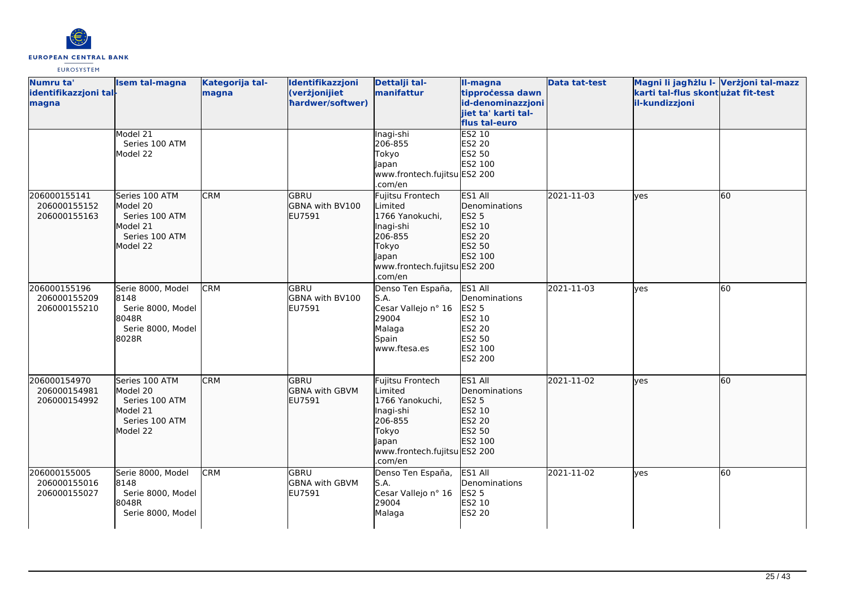

| Numru ta'<br>identifikazzjoni tal-<br>magna  | <b>Isem tal-magna</b>                                                                  | Kategorija tal-<br>magna | Identifikazzjoni<br>(verżjonijiet<br>hardwer/softwer) | Dettalji tal-<br>manifattur                                                                                                                | II-magna<br>tipprocessa dawn<br>id-denominazzjoni<br>jiet ta' karti tal-<br>flus tal-euro           | <b>Data tat-test</b> | Magni li jagħżlu I- Verżjoni tal-mazz<br>karti tal-flus skontużat fit-test<br>il-kundizzjoni |    |
|----------------------------------------------|----------------------------------------------------------------------------------------|--------------------------|-------------------------------------------------------|--------------------------------------------------------------------------------------------------------------------------------------------|-----------------------------------------------------------------------------------------------------|----------------------|----------------------------------------------------------------------------------------------|----|
|                                              | Model 21<br>Series 100 ATM<br>Model 22                                                 |                          |                                                       | Inagi-shi<br>206-855<br>Tokyo<br>Japan<br>www.frontech.fujitsu ES2 200<br>.com/en                                                          | ES2 10<br><b>ES2 20</b><br>ES2 50<br>ES2 100                                                        |                      |                                                                                              |    |
| 206000155141<br>206000155152<br>206000155163 | Series 100 ATM<br>Model 20<br>Series 100 ATM<br>Model 21<br>Series 100 ATM<br>Model 22 | <b>CRM</b>               | <b>GBRU</b><br>GBNA with BV100<br>EU7591              | Fujitsu Frontech<br>Limited<br>1766 Yanokuchi,<br>Inagi-shi<br>206-855<br>Tokyo<br><b>Japan</b><br>www.frontech.fujitsu ES2 200<br>.com/en | ES1 All<br>Denominations<br>ES2 5<br>ES2 10<br>ES2 20<br>ES2 50<br>ES2 100                          | 2021-11-03           | lves                                                                                         | 60 |
| 206000155196<br>206000155209<br>206000155210 | Serie 8000, Model<br>8148<br>Serie 8000, Model<br>8048R<br>Serie 8000, Model<br>8028R  | <b>CRM</b>               | GBRU<br>GBNA with BV100<br>EU7591                     | Denso Ten España,<br>S.A.<br>Cesar Vallejo nº 16<br>29004<br>Malaga<br>Spain<br>www.ftesa.es                                               | ES1 All<br>Denominations<br><b>ES2 5</b><br>ES2 10<br>ES2 20<br>ES2 50<br>ES2 100<br><b>ES2 200</b> | 2021-11-03           | <b>ves</b>                                                                                   | 60 |
| 206000154970<br>206000154981<br>206000154992 | Series 100 ATM<br>Model 20<br>Series 100 ATM<br>Model 21<br>Series 100 ATM<br>Model 22 | <b>CRM</b>               | lgbru<br><b>GBNA</b> with GBVM<br>EU7591              | Fujitsu Frontech<br>Limited<br>1766 Yanokuchi,<br>Inagi-shi<br>206-855<br>Tokyo<br>Japan<br>www.frontech.fujitsu ES2 200<br>.com/en        | ES1 All<br>Denominations<br>ES2 5<br>ES2 10<br>ES2 20<br>ES2 50<br>ES2 100                          | 2021-11-02           | lves                                                                                         | 60 |
| 206000155005<br>206000155016<br>206000155027 | Serie 8000, Model<br>8148<br>Serie 8000, Model<br>8048R<br>Serie 8000, Model           | <b>CRM</b>               | lgbru<br><b>GBNA with GBVM</b><br>EU7591              | Denso Ten España,<br>S.A.<br>Cesar Vallejo nº 16<br>29004<br>Malaga                                                                        | ES1 All<br>Denominations<br><b>ES2 5</b><br>ES2 10<br>ES2 20                                        | 2021-11-02           | <b>ves</b>                                                                                   | 60 |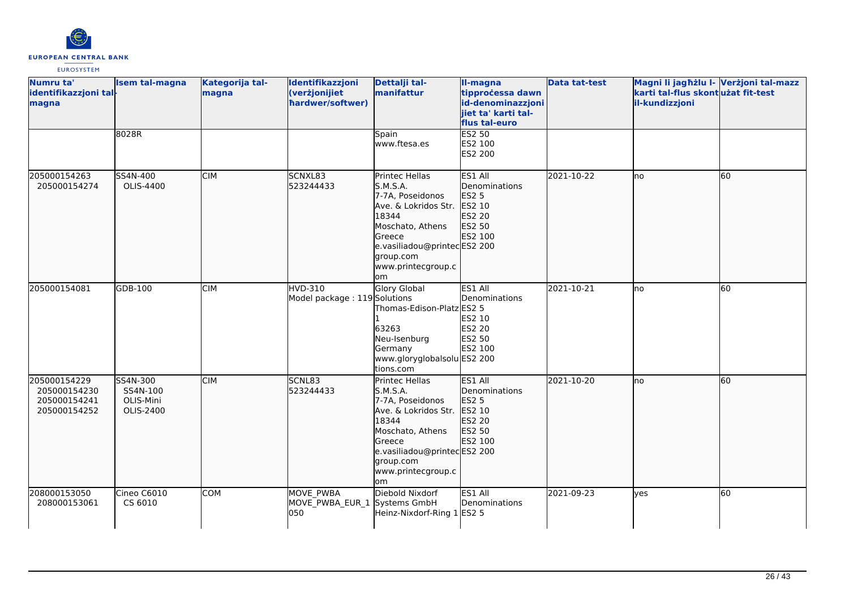

| Numru ta'<br>identifikazzjoni tal-<br>magna                  | <b>Isem tal-magna</b>                          | Kategorija tal-<br>magna | Identifikazzjoni<br>(verżjonijiet<br>hardwer/softwer) | Dettalji tal-<br>manifattur                                                                                                                                                           | II-magna<br>tipprocessa dawn<br>id-denominazzjoni<br>jiet ta' karti tal-<br>flus tal-euro | <b>Data tat-test</b> | Magni li jagħżlu I- Verżjoni tal-mazz<br>karti tal-flus skont użat fit-test<br>il-kundizzjoni |    |
|--------------------------------------------------------------|------------------------------------------------|--------------------------|-------------------------------------------------------|---------------------------------------------------------------------------------------------------------------------------------------------------------------------------------------|-------------------------------------------------------------------------------------------|----------------------|-----------------------------------------------------------------------------------------------|----|
|                                                              | 8028R                                          |                          |                                                       | Spain<br>www.ftesa.es                                                                                                                                                                 | <b>ES2 50</b><br>ES2 100<br>ES2 200                                                       |                      |                                                                                               |    |
| 205000154263<br>205000154274                                 | SS4N-400<br>OLIS-4400                          | <b>CIM</b>               | SCNXL83<br>523244433                                  | Printec Hellas<br>S.M.S.A.<br>7-7A, Poseidonos<br>Ave. & Lokridos Str.<br>18344<br>Moschato, Athens<br>Greece<br>e.vasiliadou@printecES2 200<br>group.com<br>www.printecgroup.c<br>om | ES1 All<br>Denominations<br>ES2 5<br>ES2 10<br>ES2 20<br>ES2 50<br>ES2 100                | 2021-10-22           | lno                                                                                           | 60 |
| 205000154081                                                 | GDB-100                                        | <b>CIM</b>               | <b>HVD-310</b><br>Model package: 119 Solutions        | Glory Global<br>Thomas-Edison-Platz ES2 5<br>63263<br>Neu-Isenburg<br>Germany<br>www.gloryglobalsolu ES2 200<br>tions.com                                                             | ES1 All<br>Denominations<br>ES2 10<br><b>ES2 20</b><br>ES2 50<br>ES2 100                  | 2021-10-21           | lno                                                                                           | 60 |
| 205000154229<br>205000154230<br>205000154241<br>205000154252 | SS4N-300<br>SS4N-100<br>OLIS-Mini<br>OLIS-2400 | <b>CIM</b>               | SCNL83<br>523244433                                   | Printec Hellas<br>S.M.S.A.<br>7-7A, Poseidonos<br>Ave. & Lokridos Str.<br>18344<br>Moschato, Athens<br>Greece<br>e.vasiliadou@printecES2 200<br>group.com<br>www.printecgroup.c<br>om | ES1 All<br>Denominations<br>ES2 5<br>ES2 10<br>ES2 20<br>ES2 50<br>ES2 100                | 2021-10-20           | no                                                                                            | 60 |
| 208000153050<br>208000153061                                 | Cineo C6010<br>CS 6010                         | COM                      | MOVE PWBA<br>MOVE_PWBA_EUR_1<br>050                   | Diebold Nixdorf<br>Systems GmbH<br>Heinz-Nixdorf-Ring 1 ES2 5                                                                                                                         | ES1 All<br>Denominations                                                                  | 2021-09-23           | ves                                                                                           | 60 |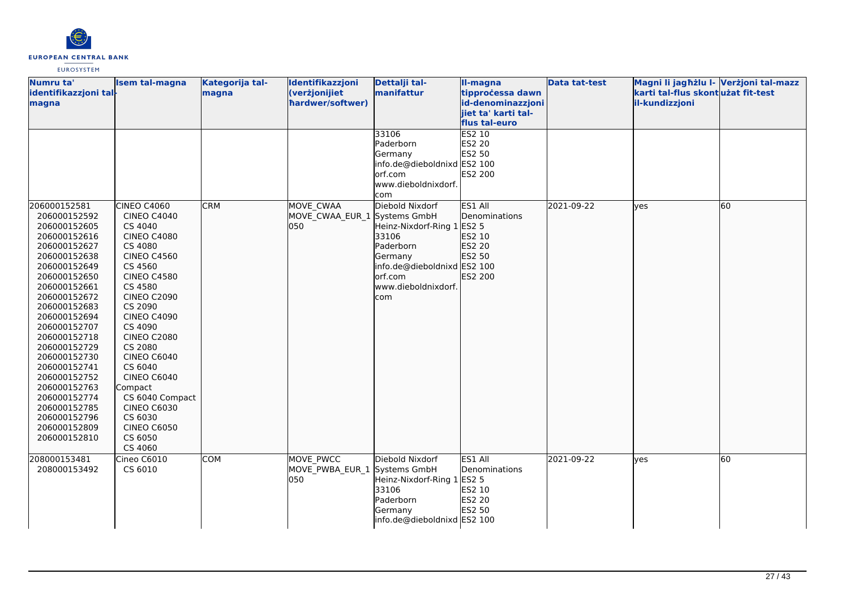

| Numru ta'                    | <b>Isem tal-magna</b>      | Kategorija tal- | Identifikazzjoni             | Dettalji tal-               | II-magna            | <b>Data tat-test</b> | Magni li jagħżlu I- Verżjoni tal-mazz |    |
|------------------------------|----------------------------|-----------------|------------------------------|-----------------------------|---------------------|----------------------|---------------------------------------|----|
| identifikazzjoni tal-        |                            | magna           | (verżjonijiet                | manifattur                  | tipprocessa dawn    |                      | karti tal-flus skont użat fit-test    |    |
| magna                        |                            |                 | hardwer/softwer)             |                             | id-denominazzjoni   |                      | il-kundizzjoni                        |    |
|                              |                            |                 |                              |                             | jiet ta' karti tal- |                      |                                       |    |
|                              |                            |                 |                              |                             | flus tal-euro       |                      |                                       |    |
|                              |                            |                 |                              | 33106                       | <b>ES2 10</b>       |                      |                                       |    |
|                              |                            |                 |                              | Paderborn                   | ES2 20              |                      |                                       |    |
|                              |                            |                 |                              | Germany                     | ES2 50              |                      |                                       |    |
|                              |                            |                 |                              | info.de@dieboldnixd ES2 100 |                     |                      |                                       |    |
|                              |                            |                 |                              | orf.com                     | ES2 200             |                      |                                       |    |
|                              |                            |                 |                              | www.dieboldnixdorf.         |                     |                      |                                       |    |
|                              |                            |                 |                              | com                         |                     |                      |                                       |    |
| 206000152581                 | <b>CINEO C4060</b>         | <b>CRM</b>      | MOVE CWAA                    | Diebold Nixdorf             | ES1 All             | 2021-09-22           | lves                                  | 60 |
| 206000152592                 | <b>CINEO C4040</b>         |                 | MOVE CWAA EUR 1 Systems GmbH |                             | Denominations       |                      |                                       |    |
| 206000152605                 | CS 4040                    |                 | 050                          | Heinz-Nixdorf-Ring 1 ES2 5  |                     |                      |                                       |    |
| 206000152616                 | <b>CINEO C4080</b>         |                 |                              | 33106                       | ES2 10              |                      |                                       |    |
| 206000152627                 | CS 4080                    |                 |                              | Paderborn                   | ES2 20              |                      |                                       |    |
| 206000152638                 | <b>CINEO C4560</b>         |                 |                              | Germany                     | ES2 50              |                      |                                       |    |
| 206000152649                 | CS 4560                    |                 |                              | info.de@dieboldnixd ES2 100 |                     |                      |                                       |    |
| 206000152650                 | <b>CINEO C4580</b>         |                 |                              | orf.com                     | ES2 200             |                      |                                       |    |
| 206000152661                 | CS 4580                    |                 |                              | www.dieboldnixdorf.         |                     |                      |                                       |    |
| 206000152672                 | <b>CINEO C2090</b>         |                 |                              | com                         |                     |                      |                                       |    |
| 206000152683                 | CS 2090                    |                 |                              |                             |                     |                      |                                       |    |
| 206000152694                 | <b>CINEO C4090</b>         |                 |                              |                             |                     |                      |                                       |    |
| 206000152707                 | CS 4090                    |                 |                              |                             |                     |                      |                                       |    |
| 206000152718                 | <b>CINEO C2080</b>         |                 |                              |                             |                     |                      |                                       |    |
| 206000152729                 | CS 2080                    |                 |                              |                             |                     |                      |                                       |    |
| 206000152730                 | <b>CINEO C6040</b>         |                 |                              |                             |                     |                      |                                       |    |
| 206000152741                 | CS 6040                    |                 |                              |                             |                     |                      |                                       |    |
| 206000152752                 | <b>CINEO C6040</b>         |                 |                              |                             |                     |                      |                                       |    |
| 206000152763                 | Compact<br>CS 6040 Compact |                 |                              |                             |                     |                      |                                       |    |
| 206000152774                 | <b>CINEO C6030</b>         |                 |                              |                             |                     |                      |                                       |    |
| 206000152785<br>206000152796 | CS 6030                    |                 |                              |                             |                     |                      |                                       |    |
| 206000152809                 | <b>CINEO C6050</b>         |                 |                              |                             |                     |                      |                                       |    |
| 206000152810                 | CS 6050                    |                 |                              |                             |                     |                      |                                       |    |
|                              | CS 4060                    |                 |                              |                             |                     |                      |                                       |    |
| 208000153481                 | Cineo C6010                | COM             | MOVE PWCC                    | Diebold Nixdorf             | ES1 All             | 2021-09-22           |                                       | 60 |
| 208000153492                 | CS 6010                    |                 | MOVE_PWBA_EUR_1 Systems GmbH |                             | Denominations       |                      | lyes                                  |    |
|                              |                            |                 | 050                          | Heinz-Nixdorf-Ring 1        | <b>ES2 5</b>        |                      |                                       |    |
|                              |                            |                 |                              | 33106                       | ES2 10              |                      |                                       |    |
|                              |                            |                 |                              | Paderborn                   | ES2 20              |                      |                                       |    |
|                              |                            |                 |                              | Germany                     | ES2 50              |                      |                                       |    |
|                              |                            |                 |                              | info.de@dieboldnixd ES2 100 |                     |                      |                                       |    |
|                              |                            |                 |                              |                             |                     |                      |                                       |    |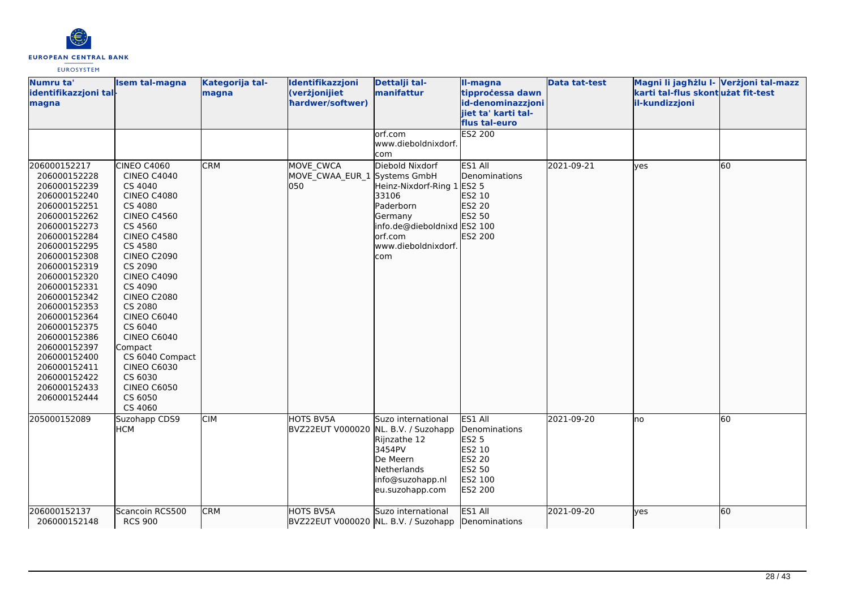

| Numru ta'<br>identifikazzjoni tal-<br>magna                                                                                                                                                                                                                                                                                                                                                  | <b>Isem tal-magna</b>                                                                                                                                                                                                                                                                                                                                                                                         | Kategorija tal-<br>magna | Identifikazzjoni<br>(verżjonijiet<br>hardwer/softwer)    | Dettalji tal-<br>manifattur                                                                                                                            | II-magna<br>tipprocessa dawn<br>id-denominazzjoni<br>jiet ta' karti tal-<br>flus tal-euro | <b>Data tat-test</b> | Magni li jagħżlu I- Verżjoni tal-mazz<br>karti tal-flus skont użat fit-test<br>il-kundizzjoni |    |
|----------------------------------------------------------------------------------------------------------------------------------------------------------------------------------------------------------------------------------------------------------------------------------------------------------------------------------------------------------------------------------------------|---------------------------------------------------------------------------------------------------------------------------------------------------------------------------------------------------------------------------------------------------------------------------------------------------------------------------------------------------------------------------------------------------------------|--------------------------|----------------------------------------------------------|--------------------------------------------------------------------------------------------------------------------------------------------------------|-------------------------------------------------------------------------------------------|----------------------|-----------------------------------------------------------------------------------------------|----|
|                                                                                                                                                                                                                                                                                                                                                                                              |                                                                                                                                                                                                                                                                                                                                                                                                               |                          |                                                          | orf.com<br>www.dieboldnixdorf.<br>com                                                                                                                  | <b>ES2 200</b>                                                                            |                      |                                                                                               |    |
| 206000152217<br>206000152228<br>206000152239<br>206000152240<br>206000152251<br>206000152262<br>206000152273<br>206000152284<br>206000152295<br>206000152308<br>206000152319<br>206000152320<br>206000152331<br>206000152342<br>206000152353<br>206000152364<br>206000152375<br>206000152386<br>206000152397<br>206000152400<br>206000152411<br>206000152422<br>206000152433<br>206000152444 | CINEO C4060<br><b>CINEO C4040</b><br>CS 4040<br><b>CINEO C4080</b><br>CS 4080<br><b>CINEO C4560</b><br>CS 4560<br><b>CINEO C4580</b><br>CS 4580<br><b>CINEO C2090</b><br>CS 2090<br><b>CINEO C4090</b><br>CS 4090<br><b>CINEO C2080</b><br>CS 2080<br><b>CINEO C6040</b><br>CS 6040<br>CINEO C6040<br>Compact<br>CS 6040 Compact<br><b>CINEO C6030</b><br>CS 6030<br><b>CINEO C6050</b><br>CS 6050<br>CS 4060 | <b>CRM</b>               | MOVE CWCA<br>MOVE_CWAA_EUR_1 Systems GmbH<br>050         | Diebold Nixdorf<br>Heinz-Nixdorf-Ring 1 ES2 5<br>33106<br>Paderborn<br>Germany<br>info.de@dieboldnixd ES2 100<br>orf.com<br>www.dieboldnixdorf.<br>com | ES1 All<br>Denominations<br>ES2 10<br>ES2 20<br>ES2 50<br>ES2 200                         | 2021-09-21           | lves                                                                                          | 60 |
| 205000152089                                                                                                                                                                                                                                                                                                                                                                                 | Suzohapp CDS9<br><b>HCM</b>                                                                                                                                                                                                                                                                                                                                                                                   | <b>CIM</b>               | <b>HOTS BV5A</b><br>BVZ22EUT V000020 NL. B.V. / Suzohapp | Suzo international<br>Rijnzathe 12<br>3454PV<br>De Meern<br>Netherlands<br>info@suzohapp.nl<br>eu.suzohapp.com                                         | ES1 All<br>Denominations<br>ES2 5<br>ES2 10<br>ES2 20<br>ES2 50<br>ES2 100<br>ES2 200     | 2021-09-20           | Ino                                                                                           | 60 |
| 206000152137<br>206000152148                                                                                                                                                                                                                                                                                                                                                                 | Scancoin RCS500<br><b>RCS 900</b>                                                                                                                                                                                                                                                                                                                                                                             | <b>CRM</b>               | <b>HOTS BV5A</b>                                         | Suzo international<br>BVZ22EUT V000020 NL. B.V. / Suzohapp Denominations                                                                               | ES1 All                                                                                   | 2021-09-20           | lyes                                                                                          | 60 |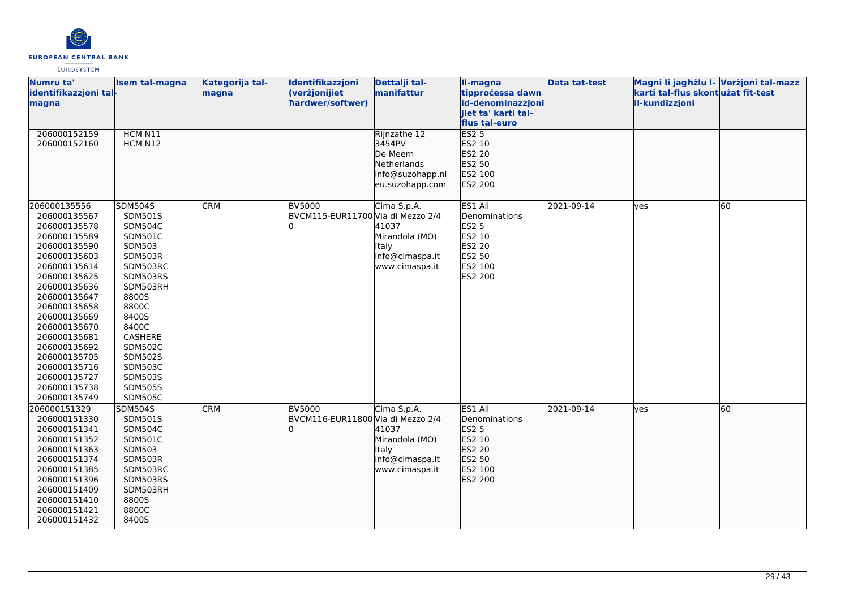

| Numru ta'<br>identifikazzjoni tal-<br>magna                                                                                                                                                                                                                                                                                  | <b>Isem tal-magna</b>                                                                                                                                                                                                                                               | Kategorija tal-<br>magna | Identifikazzjoni<br>(verżjonijiet<br>hardwer/softwer) | Dettalji tal-<br>manifattur                                                              | II-magna<br>tipprocessa dawn<br>id-denominazzjoni<br>jiet ta' karti tal-                     | <b>Data tat-test</b> | Magni li jagħżlu I- Verżjoni tal-mazz<br>karti tal-flus skontużat fit-test<br>il-kundizzjoni |    |
|------------------------------------------------------------------------------------------------------------------------------------------------------------------------------------------------------------------------------------------------------------------------------------------------------------------------------|---------------------------------------------------------------------------------------------------------------------------------------------------------------------------------------------------------------------------------------------------------------------|--------------------------|-------------------------------------------------------|------------------------------------------------------------------------------------------|----------------------------------------------------------------------------------------------|----------------------|----------------------------------------------------------------------------------------------|----|
| 206000152159<br>206000152160                                                                                                                                                                                                                                                                                                 | HCM N11<br>HCM N12                                                                                                                                                                                                                                                  |                          |                                                       | Rijnzathe 12<br>3454PV<br>De Meern<br>Netherlands<br>info@suzohapp.nl<br>eu.suzohapp.com | flus tal-euro<br><b>ES2 5</b><br>ES2 10<br>ES2 20<br>ES2 50<br>ES2 100<br>ES2 200            |                      |                                                                                              |    |
| 206000135556<br>206000135567<br>206000135578<br>206000135589<br>206000135590<br>206000135603<br>206000135614<br>206000135625<br>206000135636<br>206000135647<br>206000135658<br>206000135669<br>206000135670<br>206000135681<br>206000135692<br>206000135705<br>206000135716<br>206000135727<br>206000135738<br>206000135749 | <b>SDM504S</b><br>SDM501S<br>SDM504C<br><b>SDM501C</b><br>SDM503<br>SDM503R<br>SDM503RC<br>SDM503RS<br>SDM503RH<br>8800S<br>8800C<br>8400S<br>8400C<br>CASHERE<br><b>SDM502C</b><br><b>SDM502S</b><br>SDM503C<br><b>SDM503S</b><br><b>SDM505S</b><br><b>SDM505C</b> | <b>CRM</b>               | <b>BV5000</b><br>BVCM115-EUR11700 Via di Mezzo 2/4    | Cima S.p.A.<br>41037<br>Mirandola (MO)<br>Italy<br>info@cimaspa.it<br>www.cimaspa.it     | ES1 All<br>Denominations<br><b>ES2 5</b><br>ES2 10<br>ES2 20<br>ES2 50<br>ES2 100<br>ES2 200 | 2021-09-14           | yes                                                                                          | 60 |
| 206000151329<br>206000151330<br>206000151341<br>206000151352<br>206000151363<br>206000151374<br>206000151385<br>206000151396<br>206000151409<br>206000151410<br>206000151421<br>206000151432                                                                                                                                 | SDM504S<br><b>SDM501S</b><br><b>SDM504C</b><br>SDM501C<br>SDM503<br>SDM503R<br>SDM503RC<br>SDM503RS<br>SDM503RH<br>8800S<br>8800C<br>8400S                                                                                                                          | <b>CRM</b>               | <b>BV5000</b><br>BVCM116-EUR11800 Via di Mezzo 2/4    | Cima S.p.A.<br>41037<br>Mirandola (MO)<br>Italy<br>info@cimaspa.it<br>www.cimaspa.it     | ES1 All<br>Denominations<br><b>ES2 5</b><br>ES2 10<br>ES2 20<br>ES2 50<br>ES2 100<br>ES2 200 | 2021-09-14           | lyes                                                                                         | 60 |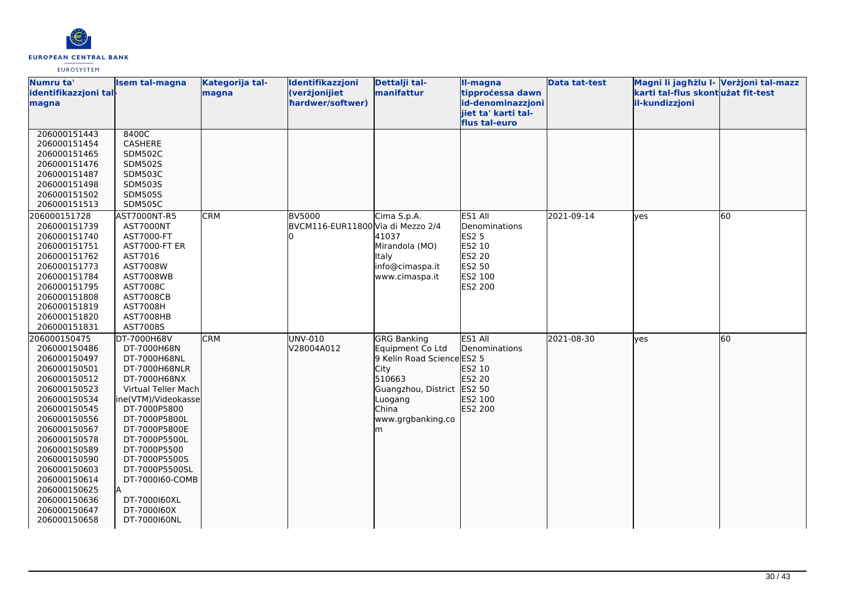

| Numru ta'             | Isem tal-magna       | Kategorija tal- | Identifikazzjoni                  | Dettalji tal-              | II-magna            | <b>Data tat-test</b> | Magni li jagħżlu I- Verżjoni tal-mazz |    |
|-----------------------|----------------------|-----------------|-----------------------------------|----------------------------|---------------------|----------------------|---------------------------------------|----|
| identifikazzjoni tal- |                      | magna           | (verżjonijiet                     | manifattur                 | tipprocessa dawn    |                      | karti tal-flus skontużat fit-test     |    |
| magna                 |                      |                 | hardwer/softwer)                  |                            | id-denominazzjoni   |                      | il-kundizzjoni                        |    |
|                       |                      |                 |                                   |                            | jiet ta' karti tal- |                      |                                       |    |
|                       |                      |                 |                                   |                            | flus tal-euro       |                      |                                       |    |
| 206000151443          | 8400C                |                 |                                   |                            |                     |                      |                                       |    |
| 206000151454          | CASHERE              |                 |                                   |                            |                     |                      |                                       |    |
| 206000151465          | <b>SDM502C</b>       |                 |                                   |                            |                     |                      |                                       |    |
| 206000151476          | <b>SDM502S</b>       |                 |                                   |                            |                     |                      |                                       |    |
| 206000151487          | <b>SDM503C</b>       |                 |                                   |                            |                     |                      |                                       |    |
| 206000151498          | <b>SDM503S</b>       |                 |                                   |                            |                     |                      |                                       |    |
| 206000151502          | <b>SDM505S</b>       |                 |                                   |                            |                     |                      |                                       |    |
| 206000151513          | <b>SDM505C</b>       |                 |                                   |                            |                     |                      |                                       |    |
| 206000151728          | AST7000NT-R5         | <b>CRM</b>      | <b>BV5000</b>                     | Cima S.p.A.                | ES1 All             | 2021-09-14           | lyes                                  | 60 |
| 206000151739          | AST7000NT            |                 | BVCM116-EUR11800 Via di Mezzo 2/4 |                            | Denominations       |                      |                                       |    |
| 206000151740          | AST7000-FT           |                 |                                   | 41037                      | <b>ES2 5</b>        |                      |                                       |    |
| 206000151751          | <b>AST7000-FT ER</b> |                 |                                   | Mirandola (MO)             | ES2 10              |                      |                                       |    |
| 206000151762          | AST7016              |                 |                                   | <b>Italy</b>               | <b>ES2 20</b>       |                      |                                       |    |
| 206000151773          | AST7008W             |                 |                                   | info@cimaspa.it            | ES2 50              |                      |                                       |    |
| 206000151784          | <b>AST7008WB</b>     |                 |                                   | www.cimaspa.it             | ES2 100             |                      |                                       |    |
| 206000151795          | AST7008C             |                 |                                   |                            | ES2 200             |                      |                                       |    |
| 206000151808          | <b>AST7008CB</b>     |                 |                                   |                            |                     |                      |                                       |    |
| 206000151819          | <b>AST7008H</b>      |                 |                                   |                            |                     |                      |                                       |    |
| 206000151820          | AST7008HB            |                 |                                   |                            |                     |                      |                                       |    |
| 206000151831          | AST7008S             |                 |                                   |                            |                     |                      |                                       |    |
| 206000150475          | DT-7000H68V          | <b>CRM</b>      | UNV-010                           | <b>GRG Banking</b>         | ES1 All             | 2021-08-30           | lves                                  | 60 |
| 206000150486          | DT-7000H68N          |                 | V28004A012                        | Equipment Co Ltd           | Denominations       |                      |                                       |    |
| 206000150497          | DT-7000H68NL         |                 |                                   | 9 Kelin Road Science ES2 5 |                     |                      |                                       |    |
| 206000150501          | DT-7000H68NLR        |                 |                                   | City                       | ES2 10              |                      |                                       |    |
| 206000150512          | DT-7000H68NX         |                 |                                   | 510663                     | ES2 20              |                      |                                       |    |
| 206000150523          | Virtual Teller Mach  |                 |                                   | Guangzhou, District ES2 50 |                     |                      |                                       |    |
| 206000150534          | ine(VTM)/Videokasse  |                 |                                   | Luogang                    | ES2 100             |                      |                                       |    |
| 206000150545          | DT-7000P5800         |                 |                                   | China                      | ES2 200             |                      |                                       |    |
| 206000150556          | DT-7000P5800L        |                 |                                   | www.grgbanking.co          |                     |                      |                                       |    |
| 206000150567          | DT-7000P5800E        |                 |                                   | lm                         |                     |                      |                                       |    |
| 206000150578          | DT-7000P5500L        |                 |                                   |                            |                     |                      |                                       |    |
| 206000150589          | DT-7000P5500         |                 |                                   |                            |                     |                      |                                       |    |
| 206000150590          | DT-7000P5500S        |                 |                                   |                            |                     |                      |                                       |    |
| 206000150603          | DT-7000P5500SL       |                 |                                   |                            |                     |                      |                                       |    |
| 206000150614          | DT-7000160-COMB      |                 |                                   |                            |                     |                      |                                       |    |
| 206000150625          |                      |                 |                                   |                            |                     |                      |                                       |    |
| 206000150636          | DT-7000160XL         |                 |                                   |                            |                     |                      |                                       |    |
| 206000150647          | DT-7000160X          |                 |                                   |                            |                     |                      |                                       |    |
| 206000150658          | DT-7000160NL         |                 |                                   |                            |                     |                      |                                       |    |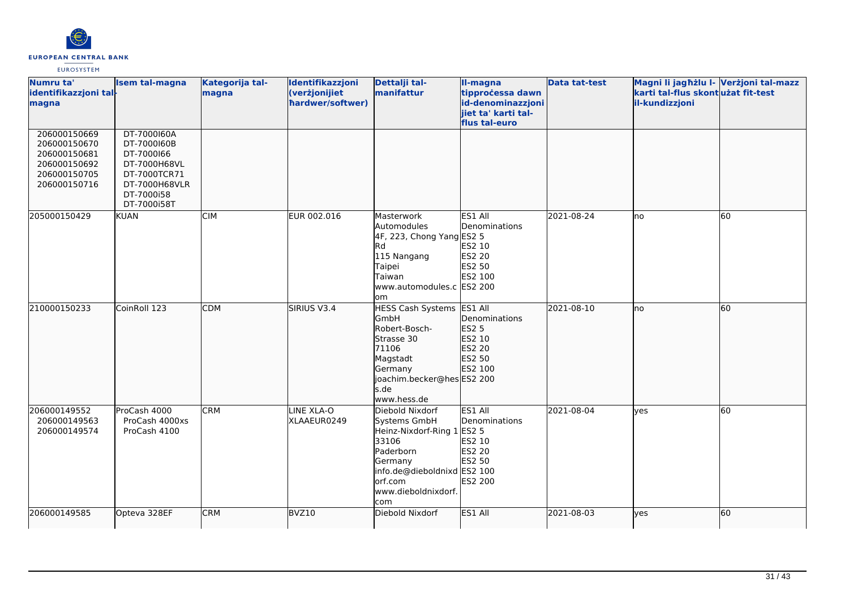

| Numru ta'<br>identifikazzjoni tal-<br>magna                                                  | <b>Isem tal-magna</b>                                                                                                  | Kategorija tal-<br>magna | Identifikazzjoni<br>(verżjonijiet<br>hardwer/softwer) | Dettalji tal-<br>manifattur                                                                                                                                            | II-magna<br>tipprocessa dawn<br>id-denominazzjoni<br>jiet ta' karti tal-<br>flus tal-euro | <b>Data tat-test</b> | Magni li jagħżlu I- Verżjoni tal-mazz<br>karti tal-flus skontużat fit-test<br>il-kundizzjoni |    |
|----------------------------------------------------------------------------------------------|------------------------------------------------------------------------------------------------------------------------|--------------------------|-------------------------------------------------------|------------------------------------------------------------------------------------------------------------------------------------------------------------------------|-------------------------------------------------------------------------------------------|----------------------|----------------------------------------------------------------------------------------------|----|
| 206000150669<br>206000150670<br>206000150681<br>206000150692<br>206000150705<br>206000150716 | DT-7000160A<br>DT-7000160B<br>DT-7000166<br>DT-7000H68VL<br>DT-7000TCR71<br>DT-7000H68VLR<br>DT-7000i58<br>DT-7000i58T |                          |                                                       |                                                                                                                                                                        |                                                                                           |                      |                                                                                              |    |
| 205000150429                                                                                 | <b>KUAN</b>                                                                                                            | <b>CIM</b>               | EUR 002.016                                           | Masterwork<br>Automodules<br>4F, 223, Chong Yang ES2 5<br><b>Rd</b><br>115 Nangang<br>Taipei<br>Taiwan<br>www.automodules.c ES2 200<br>lom                             | ES1 All<br>Denominations<br>ES2 10<br><b>ES2 20</b><br>ES2 50<br>ES2 100                  | 2021-08-24           | lno                                                                                          | 60 |
| 210000150233                                                                                 | CoinRoll 123                                                                                                           | <b>CDM</b>               | SIRIUS V3.4                                           | HESS Cash Systems ES1 All<br>GmbH<br>Robert-Bosch-<br>Strasse 30<br>71106<br>Magstadt<br>Germany<br>joachim.becker@hesES2 200<br>s.de<br>www.hess.de                   | Denominations<br>ES2 5<br>ES2 10<br>ES2 20<br>ES2 50<br>ES2 100                           | 2021-08-10           | lno                                                                                          | 60 |
| 206000149552<br>206000149563<br>206000149574                                                 | ProCash 4000<br>ProCash 4000xs<br>ProCash 4100                                                                         | <b>CRM</b>               | LINE XLA-O<br>XLAAEUR0249                             | Diebold Nixdorf<br>Systems GmbH<br>Heinz-Nixdorf-Ring 1 ES2 5<br>33106<br>Paderborn<br>Germany<br>info.de@dieboldnixd ES2 100<br>orf.com<br>www.dieboldnixdorf.<br>com | ES1 All<br>Denominations<br>ES2 10<br><b>ES2 20</b><br>ES2 50<br>ES2 200                  | 2021-08-04           | <b>ves</b>                                                                                   | 60 |
| 206000149585                                                                                 | Opteva 328EF                                                                                                           | <b>CRM</b>               | BVZ10                                                 | Diebold Nixdorf                                                                                                                                                        | ES1 All                                                                                   | 2021-08-03           | lyes                                                                                         | 60 |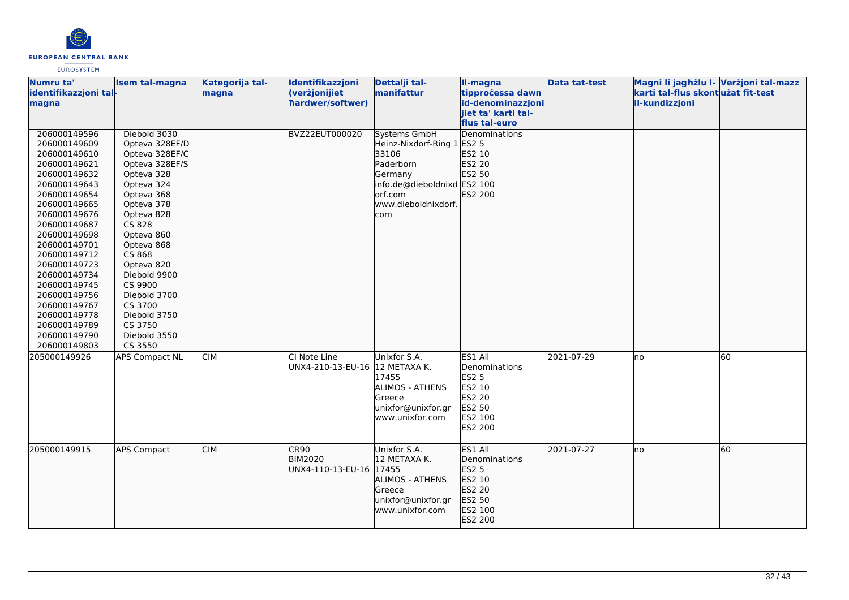

| Numru ta'<br>identifikazzjoni tal-<br>magna                                                                                                                                                                                                                                                                                                                  | Isem tal-magna                                                                                                                                                                                                                                                                                                     | Kategorija tal-<br>magna | Identifikazzjoni<br>(verżjonijiet<br>hardwer/softwer) | Dettalji tal-<br>manifattur                                                                                                                                | II-magna<br>tipproċessa dawn<br>id-denominazzjoni<br>liiet ta' karti tal-<br>flus tal-euro                 | <b>Data tat-test</b> | Magni li jagħżlu I- Verżjoni tal-mazz<br>karti tal-flus skontużat fit-test<br>il-kundizzjoni |                 |
|--------------------------------------------------------------------------------------------------------------------------------------------------------------------------------------------------------------------------------------------------------------------------------------------------------------------------------------------------------------|--------------------------------------------------------------------------------------------------------------------------------------------------------------------------------------------------------------------------------------------------------------------------------------------------------------------|--------------------------|-------------------------------------------------------|------------------------------------------------------------------------------------------------------------------------------------------------------------|------------------------------------------------------------------------------------------------------------|----------------------|----------------------------------------------------------------------------------------------|-----------------|
| 206000149596<br>206000149609<br>206000149610<br>206000149621<br>206000149632<br>206000149643<br>206000149654<br>206000149665<br>206000149676<br>206000149687<br>206000149698<br>206000149701<br>206000149712<br>206000149723<br>206000149734<br>206000149745<br>206000149756<br>206000149767<br>206000149778<br>206000149789<br>206000149790<br>206000149803 | Diebold 3030<br>Opteva 328EF/D<br>Opteva 328EF/C<br>Opteva 328EF/S<br>Opteva 328<br>Opteva 324<br>Opteva 368<br>Opteva 378<br>Opteva 828<br>CS 828<br>Opteva 860<br>Opteva 868<br>CS 868<br>Opteva 820<br>Diebold 9900<br>CS 9900<br>Diebold 3700<br>CS 3700<br>Diebold 3750<br>CS 3750<br>Diebold 3550<br>CS 3550 |                          | <b>BVZ22EUT000020</b>                                 | <b>Systems GmbH</b><br>Heinz-Nixdorf-Ring 1 ES2 5<br>33106<br>Paderborn<br>Germany<br>info.de@dieboldnixd ES2 100<br>orf.com<br>www.dieboldnixdorf.<br>com | Denominations<br>ES2 10<br>ES2 20<br>ES2 50<br>ES2 200                                                     |                      |                                                                                              |                 |
| 205000149926                                                                                                                                                                                                                                                                                                                                                 | <b>APS Compact NL</b>                                                                                                                                                                                                                                                                                              | <b>CIM</b>               | CI Note Line<br>UNX4-210-13-EU-16 12 METAXA K.        | Unixfor S.A.<br>17455<br><b>ALIMOS - ATHENS</b><br>Greece<br>unixfor@unixfor.gr<br>www.unixfor.com                                                         | ES1 All<br>Denominations<br><b>ES2 5</b><br>ES2 10<br><b>ES2 20</b><br><b>ES2 50</b><br>ES2 100<br>ES2 200 | 2021-07-29           | no.                                                                                          | $\overline{60}$ |
| 205000149915                                                                                                                                                                                                                                                                                                                                                 | <b>APS Compact</b>                                                                                                                                                                                                                                                                                                 | <b>CIM</b>               | CR90<br><b>BIM2020</b><br>UNX4-110-13-EU-16 17455     | Unixfor S.A.<br>12 METAXA K.<br><b>ALIMOS - ATHENS</b><br>Greece<br>unixfor@unixfor.gr<br>www.unixfor.com                                                  | ES1 All<br>Denominations<br><b>ES2 5</b><br>ES2 10<br>ES2 20<br>ES2 50<br>ES2 100<br>ES2 200               | 2021-07-27           | lno                                                                                          | 60              |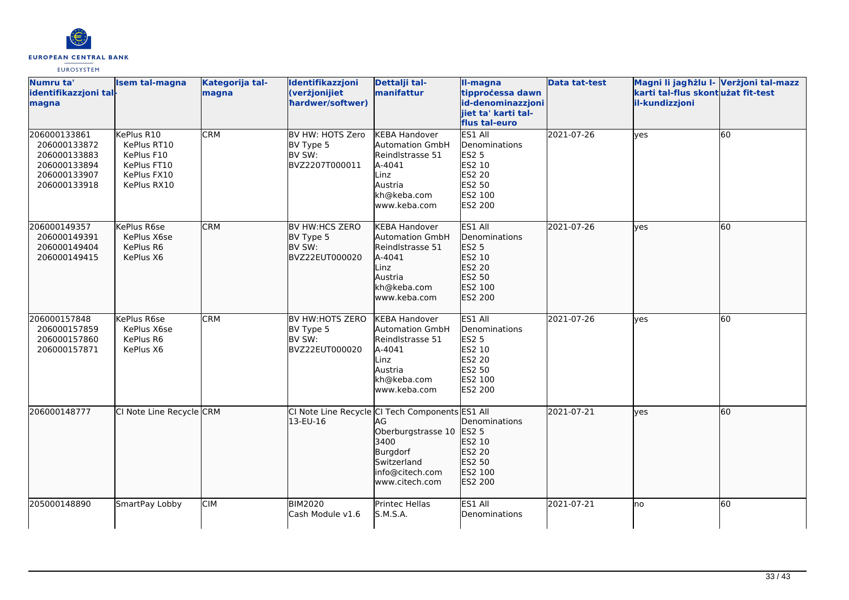

| Numru ta'<br>identifikazzjoni tal-<br>magna                                                  | <b>Isem tal-magna</b>                                                                | Kategorija tal-<br>magna | Identifikazzjoni<br>(verżjonijiet<br>hardwer/softwer)     | Dettalji tal-<br>manifattur                                                                                                                         | II-magna<br>tipprocessa dawn<br>id-denominazzjoni<br>jiet ta' karti tal-<br>flus tal-euro                  | <b>Data tat-test</b> | Magni li jagħżlu I- Verżjoni tal-mazz<br>karti tal-flus skontużat fit-test<br>il-kundizzjoni |    |
|----------------------------------------------------------------------------------------------|--------------------------------------------------------------------------------------|--------------------------|-----------------------------------------------------------|-----------------------------------------------------------------------------------------------------------------------------------------------------|------------------------------------------------------------------------------------------------------------|----------------------|----------------------------------------------------------------------------------------------|----|
| 206000133861<br>206000133872<br>206000133883<br>206000133894<br>206000133907<br>206000133918 | KePlus R10<br>KePlus RT10<br>KePlus F10<br>KePlus FT10<br>KePlus FX10<br>KePlus RX10 | <b>CRM</b>               | BV HW: HOTS Zero<br>BV Type 5<br>BV SW:<br>BVZ2207T000011 | <b>KEBA Handover</b><br><b>Automation GmbH</b><br>Reindlstrasse 51<br>A-4041<br>Linz<br>Austria<br>kh@keba.com<br>www.keba.com                      | ES1 All<br>Denominations<br><b>ES2 5</b><br>ES2 10<br>ES2 20<br>ES2 50<br>ES2 100<br><b>ES2 200</b>        | 2021-07-26           | lyes                                                                                         | 60 |
| 206000149357<br>206000149391<br>206000149404<br>206000149415                                 | KePlus R6se<br>KePlus X6se<br>KePlus R6<br>KePlus X6                                 | <b>CRM</b>               | BV HW:HCS ZERO<br>BV Type 5<br>BV SW:<br>BVZ22EUT000020   | <b>KEBA Handover</b><br><b>Automation GmbH</b><br>Reindlstrasse 51<br>A-4041<br>Linz<br>Austria<br>kh@keba.com<br>www.keba.com                      | ES1 All<br>Denominations<br><b>ES2 5</b><br>ES2 10<br><b>ES2 20</b><br>ES2 50<br>ES2 100<br>ES2 200        | 2021-07-26           | lves                                                                                         | 60 |
| 206000157848<br>206000157859<br>206000157860<br>206000157871                                 | KePlus R6se<br>KePlus X6se<br>KePlus R6<br>KePlus X6                                 | <b>CRM</b>               | BV HW:HOTS ZERO<br>BV Type 5<br>BV SW:<br>BVZ22EUT000020  | <b>KEBA Handover</b><br><b>Automation GmbH</b><br>Reindlstrasse 51<br>A-4041<br>Linz<br>Austria<br>kh@keba.com<br>www.keba.com                      | ES1 All<br>Denominations<br><b>ES2 5</b><br>ES2 10<br><b>ES2 20</b><br>ES2 50<br>ES2 100<br><b>ES2 200</b> | 2021-07-26           | ves                                                                                          | 60 |
| 206000148777                                                                                 | CI Note Line Recycle CRM                                                             |                          | 13-EU-16                                                  | CI Note Line Recycle CI Tech Components ES1 All<br>AG<br>Oberburgstrasse 10<br>3400<br>Burgdorf<br>Switzerland<br>info@citech.com<br>www.citech.com | Denominations<br>ES2 5<br>ES2 10<br>ES2 20<br>ES2 50<br>ES2 100<br>ES2 200                                 | 2021-07-21           | yes                                                                                          | 60 |
| 205000148890                                                                                 | SmartPay Lobby                                                                       | <b>CIM</b>               | <b>BIM2020</b><br>Cash Module v1.6                        | Printec Hellas<br>S.M.S.A.                                                                                                                          | ES1 All<br>Denominations                                                                                   | 2021-07-21           | Ino                                                                                          | 60 |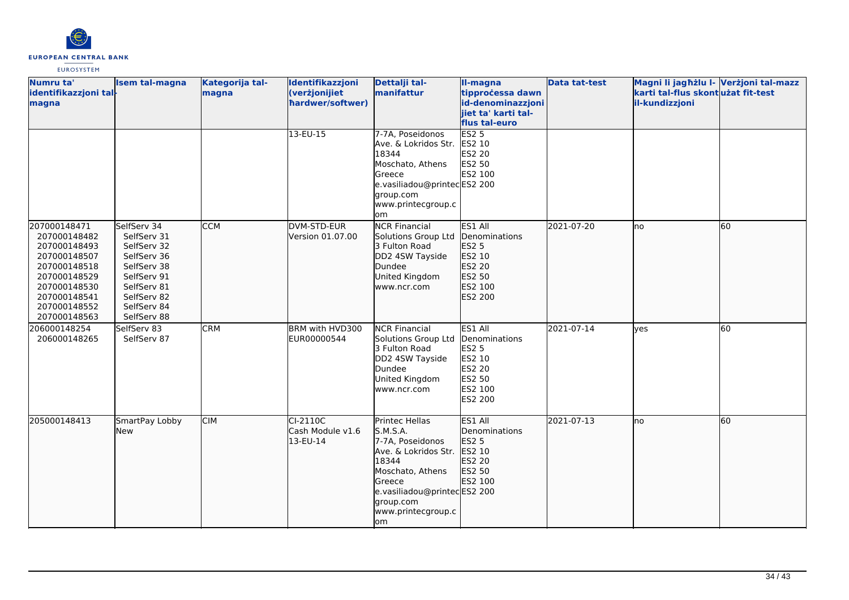

| Numru ta'<br>identifikazzjoni tal-<br>magna                                                                                                                  | Isem tal-magna                                                                                                                                     | Kategorija tal-<br>magna | Identifikazzjoni<br>(verżjonijiet<br>hardwer/softwer) | Dettalji tal-<br>manifattur                                                                                                                                                            | II-magna<br>tipprocessa dawn<br>id-denominazzjoni<br>jiet ta' karti tal-<br>flus tal-euro           | <b>Data tat-test</b> | Magni li jagħżlu I- Verżjoni tal-mazz<br>karti tal-flus skontużat fit-test<br>il-kundizzjoni |    |
|--------------------------------------------------------------------------------------------------------------------------------------------------------------|----------------------------------------------------------------------------------------------------------------------------------------------------|--------------------------|-------------------------------------------------------|----------------------------------------------------------------------------------------------------------------------------------------------------------------------------------------|-----------------------------------------------------------------------------------------------------|----------------------|----------------------------------------------------------------------------------------------|----|
|                                                                                                                                                              |                                                                                                                                                    |                          | 13-EU-15                                              | 7-7A, Poseidonos<br>Ave. & Lokridos Str.<br>18344<br>Moschato, Athens<br>Greece<br>e.vasiliadou@printecES2 200<br>group.com<br>www.printecgroup.c<br>lom                               | <b>ES2 5</b><br>ES2 10<br><b>ES2 20</b><br>ES2 50<br>ES2 100                                        |                      |                                                                                              |    |
| 207000148471<br>207000148482<br>207000148493<br>207000148507<br>207000148518<br>207000148529<br>207000148530<br>207000148541<br>207000148552<br>207000148563 | SelfServ 34<br>SelfServ 31<br>SelfServ 32<br>SelfServ 36<br>SelfServ 38<br>SelfServ 91<br>SelfServ 81<br>SelfServ 82<br>SelfServ 84<br>SelfServ 88 | <b>CCM</b>               | DVM-STD-EUR<br>Version 01.07.00                       | <b>NCR Financial</b><br>Solutions Group Ltd<br>3 Fulton Road<br>DD2 4SW Tayside<br>Dundee<br>United Kingdom<br>www.ncr.com                                                             | ES1 All<br>Denominations<br>ES2 5<br>ES2 10<br><b>ES2 20</b><br>ES2 50<br>ES2 100<br>ES2 200        | 2021-07-20           | Ino                                                                                          | 60 |
| 206000148254<br>206000148265                                                                                                                                 | SelfServ 83<br>SelfServ 87                                                                                                                         | <b>CRM</b>               | BRM with HVD300<br>EUR00000544                        | <b>NCR Financial</b><br>Solutions Group Ltd<br>3 Fulton Road<br>DD2 4SW Tayside<br>Dundee<br>United Kingdom<br>www.ncr.com                                                             | ES1 All<br>Denominations<br><b>ES2 5</b><br>ES2 10<br><b>ES2 20</b><br>ES2 50<br>ES2 100<br>ES2 200 | 2021-07-14           | yes                                                                                          | 60 |
| 205000148413                                                                                                                                                 | SmartPay Lobby<br><b>New</b>                                                                                                                       | <b>CIM</b>               | $CI-2110C$<br>Cash Module v1.6<br>13-EU-14            | Printec Hellas<br>S.M.S.A.<br>7-7A, Poseidonos<br>Ave. & Lokridos Str.<br>18344<br>Moschato, Athens<br>Greece<br>e.vasiliadou@printecES2 200<br>group.com<br>www.printecgroup.c<br>lom | ES1 All<br>Denominations<br><b>ES2 5</b><br>ES2 10<br>ES2 20<br>ES2 50<br>ES2 100                   | 2021-07-13           | lno                                                                                          | 60 |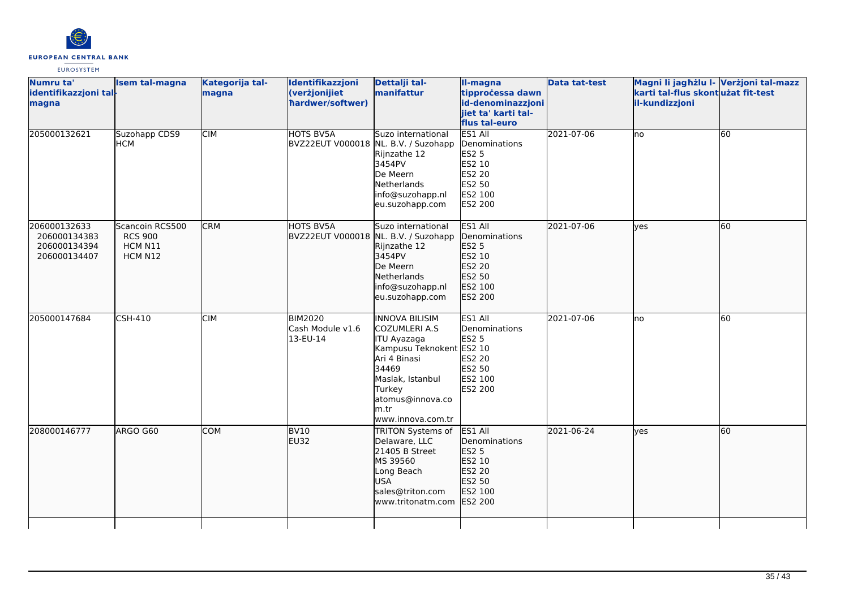

| Numru ta'<br>identifikazzjoni tal-<br>magna                  | <b>Isem tal-magna</b>                                   | Kategorija tal-<br>magna | Identifikazzjoni<br>(verżjonijiet<br>hardwer/softwer)    | Dettalji tal-<br>manifattur                                                                                                                                                                       | II-magna<br>tipprocessa dawn<br>id-denominazzjoni<br>jiet ta' karti tal-<br>flus tal-euro    | <b>Data tat-test</b> | Magni li jagħżlu I- Verżjoni tal-mazz<br>karti tal-flus skont użat fit-test<br>il-kundizzjoni |    |
|--------------------------------------------------------------|---------------------------------------------------------|--------------------------|----------------------------------------------------------|---------------------------------------------------------------------------------------------------------------------------------------------------------------------------------------------------|----------------------------------------------------------------------------------------------|----------------------|-----------------------------------------------------------------------------------------------|----|
| 205000132621                                                 | Suzohapp CDS9<br><b>HCM</b>                             | <b>CIM</b>               | <b>HOTS BV5A</b><br>BVZ22EUT V000018 NL. B.V. / Suzohapp | Suzo international<br>Rijnzathe 12<br>3454PV<br>De Meern<br>Netherlands<br>info@suzohapp.nl<br>eu.suzohapp.com                                                                                    | ES1 All<br>Denominations<br><b>ES2 5</b><br>ES2 10<br>ES2 20<br>ES2 50<br>ES2 100<br>ES2 200 | 2021-07-06           | lno                                                                                           | 60 |
| 206000132633<br>206000134383<br>206000134394<br>206000134407 | Scancoin RCS500<br><b>RCS 900</b><br>HCM N11<br>HCM N12 | <b>CRM</b>               | HOTS BV5A<br>BVZ22EUT V000018 NL. B.V. / Suzohapp        | Suzo international<br>Rijnzathe 12<br>3454PV<br>De Meern<br>Netherlands<br>info@suzohapp.nl<br>eu.suzohapp.com                                                                                    | ES1 All<br>Denominations<br>ES2 5<br>ES2 10<br>ES2 20<br>ES2 50<br>ES2 100<br>ES2 200        | 2021-07-06           | lves                                                                                          | 60 |
| 205000147684                                                 | <b>CSH-410</b>                                          | <b>CIM</b>               | <b>BIM2020</b><br>Cash Module v1.6<br>13-EU-14           | <b>INNOVA BILISIM</b><br><b>COZUMLERI A.S</b><br>ITU Ayazaga<br>Kampusu Teknokent ES2 10<br>Ari 4 Binasi<br>34469<br>Maslak, Istanbul<br>Turkey<br>atomus@innova.co<br>lm.tr<br>www.innova.com.tr | ES1 All<br>Denominations<br><b>ES2 5</b><br>ES2 20<br>ES2 50<br>ES2 100<br>ES2 200           | 2021-07-06           | lno                                                                                           | 60 |
| 208000146777                                                 | ARGO G60                                                | <b>COM</b>               | BV <sub>10</sub><br>EU32                                 | <b>TRITON Systems of</b><br>Delaware, LLC<br>21405 B Street<br>MS 39560<br>Long Beach<br><b>USA</b><br>sales@triton.com<br>www.tritonatm.com                                                      | ES1 All<br>Denominations<br>ES2 5<br>ES2 10<br>ES2 20<br>ES2 50<br>ES2 100<br>ES2 200        | 2021-06-24           | lyes                                                                                          | 60 |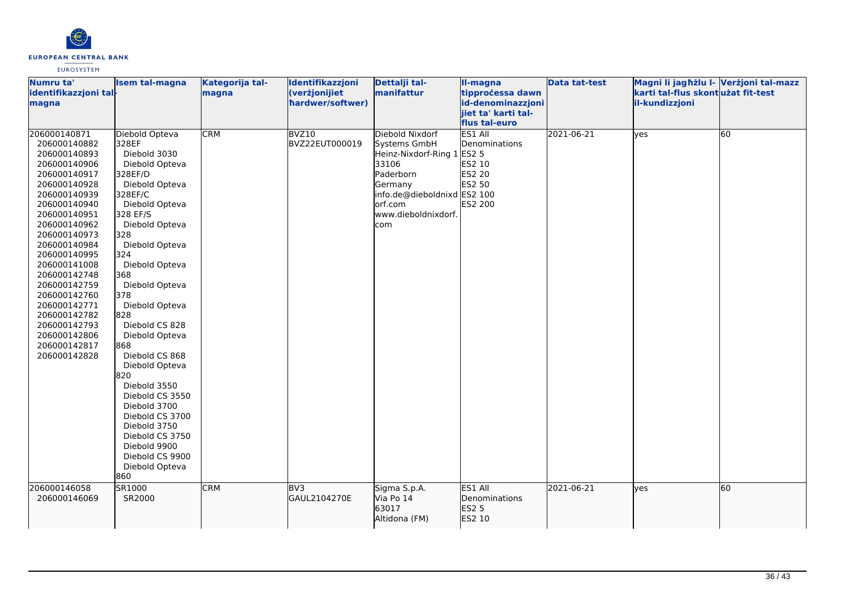

| Numru ta'<br>identifikazzjoni tal-<br>magna                                                                                                                                                                                                                                                                                                                                  | <b>Isem tal-magna</b>                                                                                                                                                                                                                                                                                                                                                                                                                                                                                                   | Kategorija tal-<br>magna | Identifikazzjoni<br>(verżjonijiet<br>hardwer/softwer) | Dettalji tal-<br>manifattur                                                                                                                                             | II-magna<br>tipprocessa dawn<br>id-denominazzjoni                 | <b>Data tat-test</b> | Magni li jagħżlu I- Verżjoni tal-mazz<br>karti tal-flus skont użat fit-test<br>il-kundizzjoni |    |
|------------------------------------------------------------------------------------------------------------------------------------------------------------------------------------------------------------------------------------------------------------------------------------------------------------------------------------------------------------------------------|-------------------------------------------------------------------------------------------------------------------------------------------------------------------------------------------------------------------------------------------------------------------------------------------------------------------------------------------------------------------------------------------------------------------------------------------------------------------------------------------------------------------------|--------------------------|-------------------------------------------------------|-------------------------------------------------------------------------------------------------------------------------------------------------------------------------|-------------------------------------------------------------------|----------------------|-----------------------------------------------------------------------------------------------|----|
|                                                                                                                                                                                                                                                                                                                                                                              |                                                                                                                                                                                                                                                                                                                                                                                                                                                                                                                         |                          |                                                       |                                                                                                                                                                         | jiet ta' karti tal-<br>flus tal-euro                              |                      |                                                                                               |    |
| 206000140871<br>206000140882<br>206000140893<br>206000140906<br>206000140917<br>206000140928<br>206000140939<br>206000140940<br>206000140951<br>206000140962<br>206000140973<br>206000140984<br>206000140995<br>206000141008<br>206000142748<br>206000142759<br>206000142760<br>206000142771<br>206000142782<br>206000142793<br>206000142806<br>206000142817<br>206000142828 | Diebold Opteva<br>328EF<br>Diebold 3030<br>Diebold Opteva<br>328EF/D<br>Diebold Opteva<br>328EF/C<br>Diebold Opteva<br>328 EF/S<br>Diebold Opteva<br>328<br>Diebold Opteva<br>324<br>Diebold Opteva<br>368<br>Diebold Opteva<br>378<br>Diebold Opteva<br>828<br>Diebold CS 828<br>Diebold Opteva<br>868<br>Diebold CS 868<br>Diebold Opteva<br>820<br>Diebold 3550<br>Diebold CS 3550<br>Diebold 3700<br>Diebold CS 3700<br>Diebold 3750<br>Diebold CS 3750<br>Diebold 9900<br>Diebold CS 9900<br>Diebold Opteva<br>860 | <b>CRM</b>               | BVZ10<br>BVZ22EUT000019                               | Diebold Nixdorf<br>Systems GmbH<br>Heinz-Nixdorf-Ring 1 ES2 5<br>33106<br>Paderborn<br>Germany<br>info.de@dieboldnixd ES2 100<br>lorf.com<br>www.dieboldnixdorf.<br>com | ES1 All<br>Denominations<br>ES2 10<br>ES2 20<br>ES2 50<br>ES2 200 | 2021-06-21           | yes                                                                                           | 60 |
| 206000146058<br>206000146069                                                                                                                                                                                                                                                                                                                                                 | SR1000<br>SR2000                                                                                                                                                                                                                                                                                                                                                                                                                                                                                                        | <b>CRM</b>               | BV3<br>GAUL2104270E                                   | Sigma S.p.A.<br>Via Po 14<br>63017<br>Altidona (FM)                                                                                                                     | ES1 All<br>Denominations<br>ES2 5<br>ES2 10                       | 2021-06-21           | lyes                                                                                          | 60 |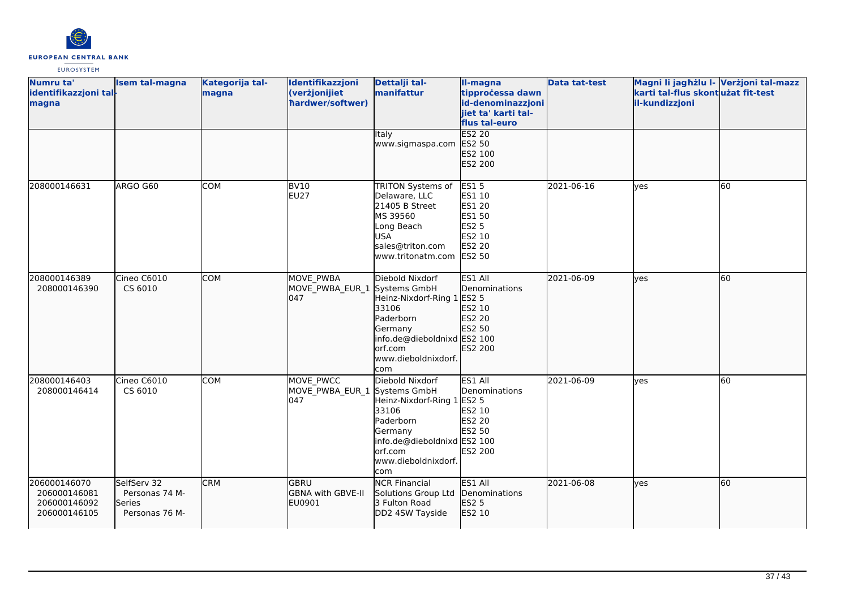

| Numru ta'<br>identifikazzjoni tal-<br>magna                  | <b>Isem tal-magna</b>                                     | Kategorija tal-<br>magna | Identifikazzjoni<br>(verżjonijiet<br>hardwer/softwer) | Dettalji tal-<br>manifattur                                                                                                                             | II-magna<br>tipprocessa dawn<br>id-denominazzjoni<br>jiet ta' karti tal-<br>flus tal-euro   | <b>Data tat-test</b> | Magni li jagħżlu I- Verżjoni tal-mazz<br>karti tal-flus skontużat fit-test<br>il-kundizzjoni |    |
|--------------------------------------------------------------|-----------------------------------------------------------|--------------------------|-------------------------------------------------------|---------------------------------------------------------------------------------------------------------------------------------------------------------|---------------------------------------------------------------------------------------------|----------------------|----------------------------------------------------------------------------------------------|----|
|                                                              |                                                           |                          |                                                       | Italy<br>www.sigmaspa.com                                                                                                                               | <b>ES2 20</b><br>ES2 50<br>ES2 100<br>ES2 200                                               |                      |                                                                                              |    |
| 208000146631                                                 | ARGO G60                                                  | <b>COM</b>               | <b>BV10</b><br><b>EU27</b>                            | <b>TRITON Systems of</b><br>Delaware, LLC<br>21405 B Street<br>MS 39560<br>Long Beach<br><b>USA</b><br>sales@triton.com<br>www.tritonatm.com ES2 50     | <b>ES15</b><br>ES1 10<br><b>ES1 20</b><br><b>ES1 50</b><br><b>ES2 5</b><br>ES2 10<br>ES2 20 | 2021-06-16           | lyes                                                                                         | 60 |
| 208000146389<br>208000146390                                 | Cineo C6010<br>CS 6010                                    | <b>COM</b>               | MOVE PWBA<br>MOVE_PWBA_EUR_1 Systems GmbH<br>047      | Diebold Nixdorf<br>Heinz-Nixdorf-Ring 1<br>33106<br>Paderborn<br>Germany<br>info.de@dieboldnixd ES2 100<br>orf.com<br>www.dieboldnixdorf.<br><b>com</b> | ES1 All<br>Denominations<br>ES2 5<br>ES2 10<br>ES2 20<br>ES2 50<br>ES2 200                  | 2021-06-09           | lyes                                                                                         | 60 |
| 208000146403<br>208000146414                                 | Cineo C6010<br>CS 6010                                    | <b>COM</b>               | MOVE PWCC<br>MOVE_PWBA_EUR_1 Systems GmbH<br>047      | Diebold Nixdorf<br>Heinz-Nixdorf-Ring 1<br>33106<br>Paderborn<br>Germany<br>info.de@dieboldnixd ES2 100<br>orf.com<br>www.dieboldnixdorf.<br>com        | ES1 All<br>Denominations<br><b>ES2 5</b><br>ES2 10<br>ES2 20<br>ES2 50<br>ES2 200           | 2021-06-09           | yes                                                                                          | 60 |
| 206000146070<br>206000146081<br>206000146092<br>206000146105 | SelfServ 32<br>Personas 74 M-<br>Series<br>Personas 76 M- | <b>CRM</b>               | lgbru<br>GBNA with GBVE-II<br>EU0901                  | <b>NCR Financial</b><br>Solutions Group Ltd<br>3 Fulton Road<br>DD2 4SW Tayside                                                                         | ES1 All<br>Denominations<br><b>ES2 5</b><br>ES2 10                                          | 2021-06-08           | lyes                                                                                         | 60 |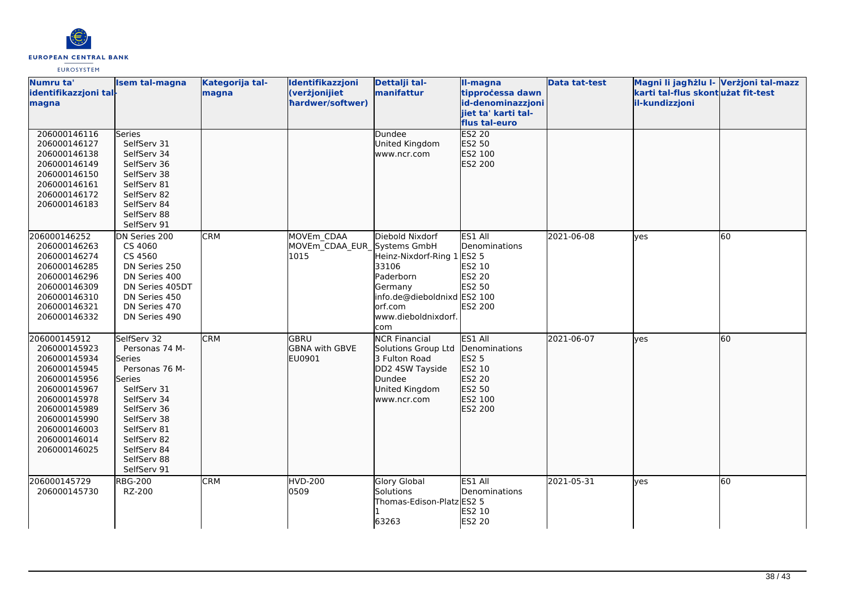

| Numru ta'<br>identifikazzjoni tal-<br>magna                                                                                                                                                  | <b>Isem tal-magna</b>                                                                                                                                                                                             | Kategorija tal-<br>magna | Identifikazzjoni<br>(verżjonijiet<br>hardwer/softwer) | Dettalji tal-<br>manifattur                                                                                                                      | Il-magna<br>tipprocessa dawn<br>id-denominazzjoni<br>jiet ta' karti tal-                        | <b>Data tat-test</b> | Magni li jagħżlu I- Verżjoni tal-mazz<br>karti tal-flus skont użat fit-test<br>il-kundizzjoni |    |
|----------------------------------------------------------------------------------------------------------------------------------------------------------------------------------------------|-------------------------------------------------------------------------------------------------------------------------------------------------------------------------------------------------------------------|--------------------------|-------------------------------------------------------|--------------------------------------------------------------------------------------------------------------------------------------------------|-------------------------------------------------------------------------------------------------|----------------------|-----------------------------------------------------------------------------------------------|----|
|                                                                                                                                                                                              |                                                                                                                                                                                                                   |                          |                                                       |                                                                                                                                                  | flus tal-euro                                                                                   |                      |                                                                                               |    |
| 206000146116<br>206000146127<br>206000146138<br>206000146149<br>206000146150<br>206000146161<br>206000146172<br>206000146183                                                                 | Series<br>SelfServ 31<br>SelfServ 34<br>SelfServ 36<br>SelfServ 38<br>SelfServ 81<br>SelfServ 82<br>SelfServ 84<br>SelfServ 88<br>SelfServ 91                                                                     |                          |                                                       | Dundee<br>United Kingdom<br>www.ncr.com                                                                                                          | ES2 20<br>ES2 50<br>ES2 100<br>ES2 200                                                          |                      |                                                                                               |    |
| 206000146252<br>206000146263<br>206000146274<br>206000146285<br>206000146296<br>206000146309<br>206000146310<br>206000146321<br>206000146332                                                 | DN Series 200<br>CS 4060<br>CS 4560<br>DN Series 250<br>DN Series 400<br>DN Series 405DT<br>DN Series 450<br>DN Series 470<br>DN Series 490                                                                       | <b>CRM</b>               | MOVEm CDAA<br>MOVEm CDAA EUR Systems GmbH<br>1015     | Diebold Nixdorf<br>Heinz-Nixdorf-Ring 1<br>33106<br>Paderborn<br>Germany<br>info.de@dieboldnixd ES2 100<br>orf.com<br>www.dieboldnixdorf.<br>com | ES1 All<br>Denominations<br><b>ES2 5</b><br>ES2 10<br><b>ES2 20</b><br><b>ES2 50</b><br>ES2 200 | 2021-06-08           | <b>l</b> ves                                                                                  | 60 |
| 206000145912<br>206000145923<br>206000145934<br>206000145945<br>206000145956<br>206000145967<br>206000145978<br>206000145989<br>206000145990<br>206000146003<br>206000146014<br>206000146025 | SelfServ 32<br>Personas 74 M-<br><b>Series</b><br>Personas 76 M-<br>Series<br>SelfServ 31<br>SelfServ 34<br>SelfServ 36<br>SelfServ 38<br>SelfServ 81<br>SelfServ 82<br>SelfServ 84<br>SelfServ 88<br>SelfServ 91 | <b>CRM</b>               | lgbru<br><b>GBNA with GBVE</b><br>EU0901              | <b>NCR Financial</b><br>Solutions Group Ltd<br>3 Fulton Road<br>DD2 4SW Tayside<br>Dundee<br>United Kingdom<br>www.ncr.com                       | ES1 All<br>Denominations<br>ES2 5<br>ES2 10<br>ES2 20<br>ES2 50<br>ES2 100<br>ES2 200           | 2021-06-07           | ves                                                                                           | 60 |
| 206000145729<br>206000145730                                                                                                                                                                 | <b>RBG-200</b><br>RZ-200                                                                                                                                                                                          | <b>CRM</b>               | <b>HVD-200</b><br>0509                                | <b>Glory Global</b><br>Solutions<br>Thomas-Edison-Platz ES2 5<br>63263                                                                           | ES1 All<br>Denominations<br><b>ES2 10</b><br><b>ES2 20</b>                                      | 2021-05-31           | <b>l</b> ves                                                                                  | 60 |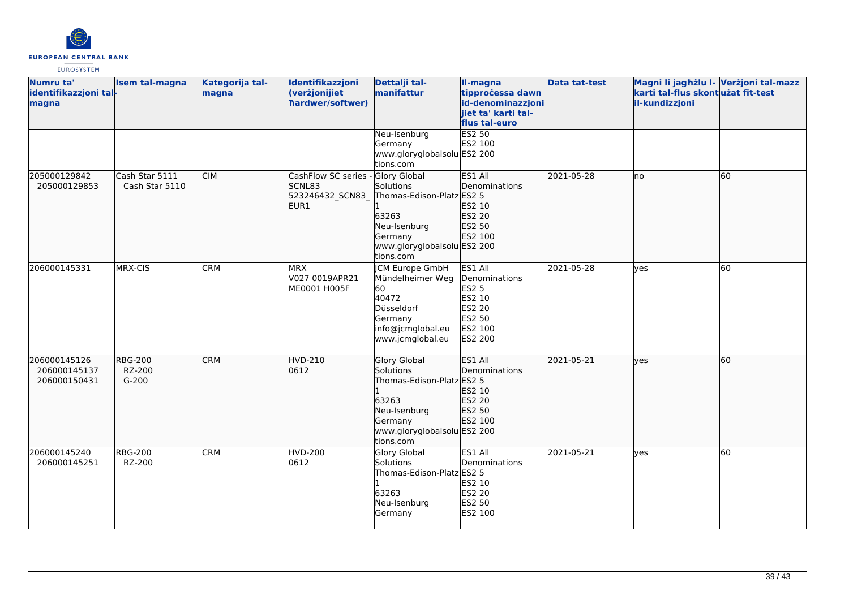

| Numru ta'<br>identifikazzjoni tal-<br>magna  | <b>Isem tal-magna</b>               | Kategorija tal-<br>magna | Identifikazzjoni<br>(verżjonijiet<br>hardwer/softwer)    | Dettalji tal-<br>manifattur                                                                                                            | II-magna<br>tipprocessa dawn<br>id-denominazzjoni<br>jiet ta' karti tal-<br>flus tal-euro    | <b>Data tat-test</b> | Magni li jagħżlu I- Verżjoni tal-mazz<br>karti tal-flus skontużat fit-test<br>il-kundizzjoni |    |
|----------------------------------------------|-------------------------------------|--------------------------|----------------------------------------------------------|----------------------------------------------------------------------------------------------------------------------------------------|----------------------------------------------------------------------------------------------|----------------------|----------------------------------------------------------------------------------------------|----|
|                                              |                                     |                          |                                                          | Neu-Isenburg<br>Germany<br>www.gloryglobalsolu ES2 200<br>tions.com                                                                    | <b>ES2 50</b><br>ES2 100                                                                     |                      |                                                                                              |    |
| 205000129842<br>205000129853                 | Cash Star 5111<br>Cash Star 5110    | <b>CIM</b>               | CashFlow SC series<br>SCNL83<br>523246432_SCN83_<br>EUR1 | Glory Global<br>Solutions<br>Thomas-Edison-Platz ES2 5<br>63263<br>Neu-Isenburg<br>Germany<br>www.gloryglobalsolu ES2 200<br>tions.com | ES1 All<br>Denominations<br>ES2 10<br>ES2 20<br>ES2 50<br>ES2 100                            | 2021-05-28           | lno                                                                                          | 60 |
| 206000145331                                 | MRX-CIS                             | <b>CRM</b>               | <b>MRX</b><br>V027 0019APR21<br>ME0001 H005F             | <b>CM Europe GmbH</b><br>Mündelheimer Weg<br>60<br>40472<br>Düsseldorf<br>Germany<br>info@jcmglobal.eu<br>www.jcmglobal.eu             | ES1 All<br>Denominations<br><b>ES2 5</b><br>ES2 10<br>ES2 20<br>ES2 50<br>ES2 100<br>ES2 200 | 2021-05-28           | <b>l</b> ves                                                                                 | 60 |
| 206000145126<br>206000145137<br>206000150431 | <b>RBG-200</b><br>RZ-200<br>$G-200$ | <b>CRM</b>               | <b>HVD-210</b><br>0612                                   | Glory Global<br>Solutions<br>Thomas-Edison-Platz ES2 5<br>63263<br>Neu-Isenburg<br>Germany<br>www.gloryglobalsolu ES2 200<br>tions.com | ES1 All<br>Denominations<br>ES2 10<br>ES2 20<br>ES2 50<br>ES2 100                            | 2021-05-21           | lves                                                                                         | 60 |
| 206000145240<br>206000145251                 | <b>RBG-200</b><br>RZ-200            | <b>CRM</b>               | <b>HVD-200</b><br>0612                                   | Glory Global<br>Solutions<br>Thomas-Edison-Platz ES2 5<br>63263<br>Neu-Isenburg<br>Germany                                             | ES1 All<br>Denominations<br>ES2 10<br>ES2 20<br>ES2 50<br>ES2 100                            | 2021-05-21           | yes                                                                                          | 60 |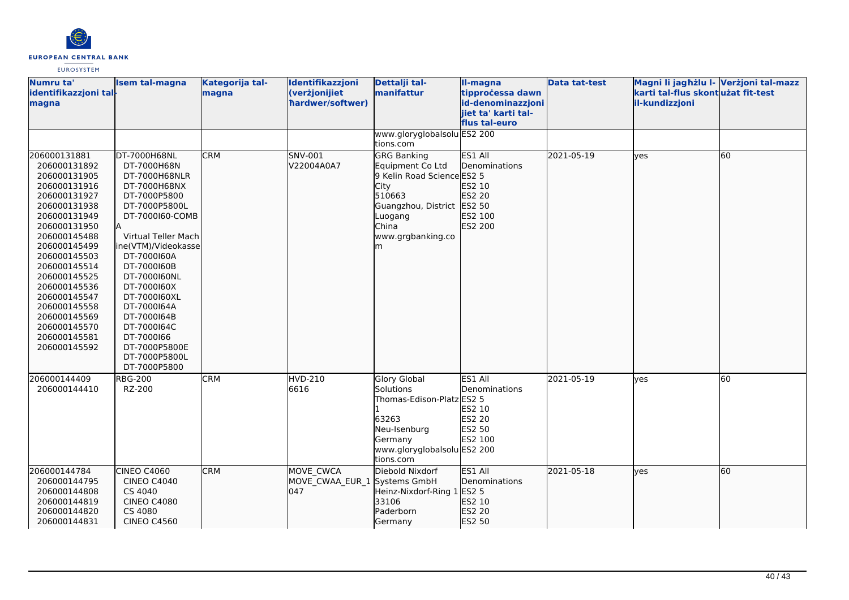

| Numru ta'<br>identifikazzjoni tal-<br>magna | <b>Isem tal-magna</b> | Kategorija tal-<br>magna | Identifikazzjoni<br>(verżjonijiet<br>hardwer/softwer) | Dettalji tal-<br>manifattur | II-magna<br>tipprocessa dawn<br>id-denominazzjoni<br>iiet ta' karti tal-<br>flus tal-euro | <b>Data tat-test</b> | Magni li jagħżlu I- Verżjoni tal-mazz<br>karti tal-flus skontużat fit-test<br>il-kundizzjoni |    |
|---------------------------------------------|-----------------------|--------------------------|-------------------------------------------------------|-----------------------------|-------------------------------------------------------------------------------------------|----------------------|----------------------------------------------------------------------------------------------|----|
|                                             |                       |                          |                                                       | www.gloryglobalsolu ES2 200 |                                                                                           |                      |                                                                                              |    |
|                                             |                       |                          |                                                       | tions.com                   |                                                                                           |                      |                                                                                              |    |
| 206000131881                                | DT-7000H68NL          | <b>CRM</b>               | SNV-001                                               | <b>GRG Banking</b>          | ES1 All                                                                                   | 2021-05-19           | lves                                                                                         | 60 |
| 206000131892                                | DT-7000H68N           |                          | V22004A0A7                                            | Equipment Co Ltd            | Denominations                                                                             |                      |                                                                                              |    |
| 206000131905                                | DT-7000H68NLR         |                          |                                                       | 9 Kelin Road Science ES2 5  |                                                                                           |                      |                                                                                              |    |
| 206000131916                                | DT-7000H68NX          |                          |                                                       | City                        | ES2 10                                                                                    |                      |                                                                                              |    |
| 206000131927                                | DT-7000P5800          |                          |                                                       | 510663                      | ES2 20                                                                                    |                      |                                                                                              |    |
| 206000131938                                | DT-7000P5800L         |                          |                                                       | Guangzhou, District         | ES2 50                                                                                    |                      |                                                                                              |    |
| 206000131949                                | DT-7000160-COMB<br>İΑ |                          |                                                       | Luogang                     | ES2 100                                                                                   |                      |                                                                                              |    |
| 206000131950<br>206000145488                | Virtual Teller Mach   |                          |                                                       | China<br>www.grgbanking.co  | ES2 200                                                                                   |                      |                                                                                              |    |
| 206000145499                                | ine(VTM)/Videokasse   |                          |                                                       | lm                          |                                                                                           |                      |                                                                                              |    |
| 206000145503                                | DT-7000160A           |                          |                                                       |                             |                                                                                           |                      |                                                                                              |    |
| 206000145514                                | DT-7000160B           |                          |                                                       |                             |                                                                                           |                      |                                                                                              |    |
| 206000145525                                | DT-7000160NL          |                          |                                                       |                             |                                                                                           |                      |                                                                                              |    |
| 206000145536                                | DT-7000160X           |                          |                                                       |                             |                                                                                           |                      |                                                                                              |    |
| 206000145547                                | DT-7000160XL          |                          |                                                       |                             |                                                                                           |                      |                                                                                              |    |
| 206000145558                                | DT-7000164A           |                          |                                                       |                             |                                                                                           |                      |                                                                                              |    |
| 206000145569                                | DT-7000164B           |                          |                                                       |                             |                                                                                           |                      |                                                                                              |    |
| 206000145570                                | DT-7000164C           |                          |                                                       |                             |                                                                                           |                      |                                                                                              |    |
| 206000145581                                | DT-7000166            |                          |                                                       |                             |                                                                                           |                      |                                                                                              |    |
| 206000145592                                | DT-7000P5800E         |                          |                                                       |                             |                                                                                           |                      |                                                                                              |    |
|                                             | DT-7000P5800L         |                          |                                                       |                             |                                                                                           |                      |                                                                                              |    |
|                                             | DT-7000P5800          |                          |                                                       |                             |                                                                                           |                      |                                                                                              |    |
| 206000144409                                | <b>RBG-200</b>        | <b>CRM</b>               | HVD-210                                               | <b>Glory Global</b>         | ES1 All                                                                                   | 2021-05-19           | ves                                                                                          | 60 |
| 206000144410                                | RZ-200                |                          | 6616                                                  | Solutions                   | Denominations                                                                             |                      |                                                                                              |    |
|                                             |                       |                          |                                                       | Thomas-Edison-Platz ES2 5   |                                                                                           |                      |                                                                                              |    |
|                                             |                       |                          |                                                       |                             | ES2 10                                                                                    |                      |                                                                                              |    |
|                                             |                       |                          |                                                       | 63263                       | ES2 20                                                                                    |                      |                                                                                              |    |
|                                             |                       |                          |                                                       | Neu-Isenburg                | <b>ES2 50</b>                                                                             |                      |                                                                                              |    |
|                                             |                       |                          |                                                       | Germany                     | ES2 100                                                                                   |                      |                                                                                              |    |
|                                             |                       |                          |                                                       | www.gloryglobalsolu ES2 200 |                                                                                           |                      |                                                                                              |    |
|                                             |                       |                          |                                                       | tions.com                   |                                                                                           |                      |                                                                                              |    |
| 206000144784                                | CINEO C4060           | <b>CRM</b>               | MOVE CWCA                                             | Diebold Nixdorf             | ES1 All                                                                                   | 2021-05-18           | lyes                                                                                         | 60 |
| 206000144795                                | <b>CINEO C4040</b>    |                          | MOVE_CWAA_EUR_1 Systems GmbH                          |                             | Denominations                                                                             |                      |                                                                                              |    |
| 206000144808                                | CS 4040               |                          | 047                                                   | Heinz-Nixdorf-Ring 1        | <b>ES2 5</b>                                                                              |                      |                                                                                              |    |
| 206000144819                                | <b>CINEO C4080</b>    |                          |                                                       | 33106                       | ES2 10                                                                                    |                      |                                                                                              |    |
| 206000144820                                | CS 4080               |                          |                                                       | Paderborn                   | ES2 20                                                                                    |                      |                                                                                              |    |
| 206000144831                                | <b>CINEO C4560</b>    |                          |                                                       | Germany                     | ES2 50                                                                                    |                      |                                                                                              |    |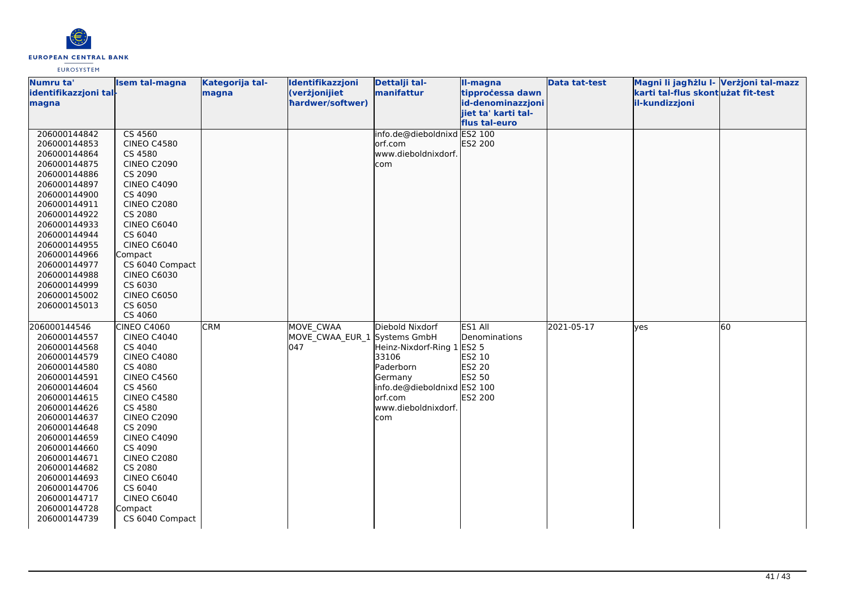

| Numru ta'             | <b>Isem tal-magna</b> | Kategorija tal- | Identifikazzjoni | Dettalji tal-               | II-magna            | <b>Data tat-test</b> | Magni li jagħżlu I- Verżjoni tal-mazz |    |
|-----------------------|-----------------------|-----------------|------------------|-----------------------------|---------------------|----------------------|---------------------------------------|----|
| identifikazzjoni tal- |                       | magna           | (verżjonijiet    | manifattur                  | tipprocessa dawn    |                      | karti tal-flus skontużat fit-test     |    |
| magna                 |                       |                 | hardwer/softwer) |                             | id-denominazzjoni   |                      | il-kundizzjoni                        |    |
|                       |                       |                 |                  |                             | jiet ta' karti tal- |                      |                                       |    |
|                       |                       |                 |                  |                             | flus tal-euro       |                      |                                       |    |
| 206000144842          | CS 4560               |                 |                  | info.de@dieboldnixd ES2 100 |                     |                      |                                       |    |
| 206000144853          | <b>CINEO C4580</b>    |                 |                  | orf.com                     | ES2 200             |                      |                                       |    |
| 206000144864          | CS 4580               |                 |                  | www.dieboldnixdorf.         |                     |                      |                                       |    |
| 206000144875          | <b>CINEO C2090</b>    |                 |                  | com                         |                     |                      |                                       |    |
| 206000144886          | CS 2090               |                 |                  |                             |                     |                      |                                       |    |
| 206000144897          | <b>CINEO C4090</b>    |                 |                  |                             |                     |                      |                                       |    |
| 206000144900          | CS 4090               |                 |                  |                             |                     |                      |                                       |    |
| 206000144911          | <b>CINEO C2080</b>    |                 |                  |                             |                     |                      |                                       |    |
| 206000144922          | CS 2080               |                 |                  |                             |                     |                      |                                       |    |
| 206000144933          | CINEO C6040           |                 |                  |                             |                     |                      |                                       |    |
| 206000144944          | CS 6040               |                 |                  |                             |                     |                      |                                       |    |
| 206000144955          | CINEO C6040           |                 |                  |                             |                     |                      |                                       |    |
| 206000144966          | Compact               |                 |                  |                             |                     |                      |                                       |    |
| 206000144977          | CS 6040 Compact       |                 |                  |                             |                     |                      |                                       |    |
| 206000144988          | <b>CINEO C6030</b>    |                 |                  |                             |                     |                      |                                       |    |
| 206000144999          | CS 6030               |                 |                  |                             |                     |                      |                                       |    |
| 206000145002          | <b>CINEO C6050</b>    |                 |                  |                             |                     |                      |                                       |    |
| 206000145013          | CS 6050               |                 |                  |                             |                     |                      |                                       |    |
|                       | CS 4060               |                 |                  |                             |                     |                      |                                       |    |
| 206000144546          | <b>CINEO C4060</b>    | <b>CRM</b>      | MOVE CWAA        | Diebold Nixdorf             | ES1 All             | 2021-05-17           | <b>l</b> ves                          | 60 |
| 206000144557          | <b>CINEO C4040</b>    |                 | MOVE CWAA EUR 1  | Systems GmbH                | Denominations       |                      |                                       |    |
| 206000144568          | CS 4040               |                 | 047              | Heinz-Nixdorf-Ring 1 ES2 5  |                     |                      |                                       |    |
| 206000144579          | <b>CINEO C4080</b>    |                 |                  | 33106                       | ES2 10              |                      |                                       |    |
| 206000144580          | CS 4080               |                 |                  | Paderborn                   | ES2 20              |                      |                                       |    |
| 206000144591          | <b>CINEO C4560</b>    |                 |                  | Germany                     | ES2 50              |                      |                                       |    |
| 206000144604          | CS 4560               |                 |                  | info.de@dieboldnixd ES2 100 |                     |                      |                                       |    |
| 206000144615          | <b>CINEO C4580</b>    |                 |                  | orf.com                     | ES2 200             |                      |                                       |    |
| 206000144626          | CS 4580               |                 |                  | www.dieboldnixdorf.         |                     |                      |                                       |    |
| 206000144637          | <b>CINEO C2090</b>    |                 |                  | com                         |                     |                      |                                       |    |
| 206000144648          | CS 2090               |                 |                  |                             |                     |                      |                                       |    |
| 206000144659          | <b>CINEO C4090</b>    |                 |                  |                             |                     |                      |                                       |    |
| 206000144660          | CS 4090               |                 |                  |                             |                     |                      |                                       |    |
| 206000144671          | <b>CINEO C2080</b>    |                 |                  |                             |                     |                      |                                       |    |
| 206000144682          | CS 2080               |                 |                  |                             |                     |                      |                                       |    |
| 206000144693          | CINEO C6040           |                 |                  |                             |                     |                      |                                       |    |
| 206000144706          | CS 6040               |                 |                  |                             |                     |                      |                                       |    |
| 206000144717          | <b>CINEO C6040</b>    |                 |                  |                             |                     |                      |                                       |    |
| 206000144728          | Compact               |                 |                  |                             |                     |                      |                                       |    |
| 206000144739          | CS 6040 Compact       |                 |                  |                             |                     |                      |                                       |    |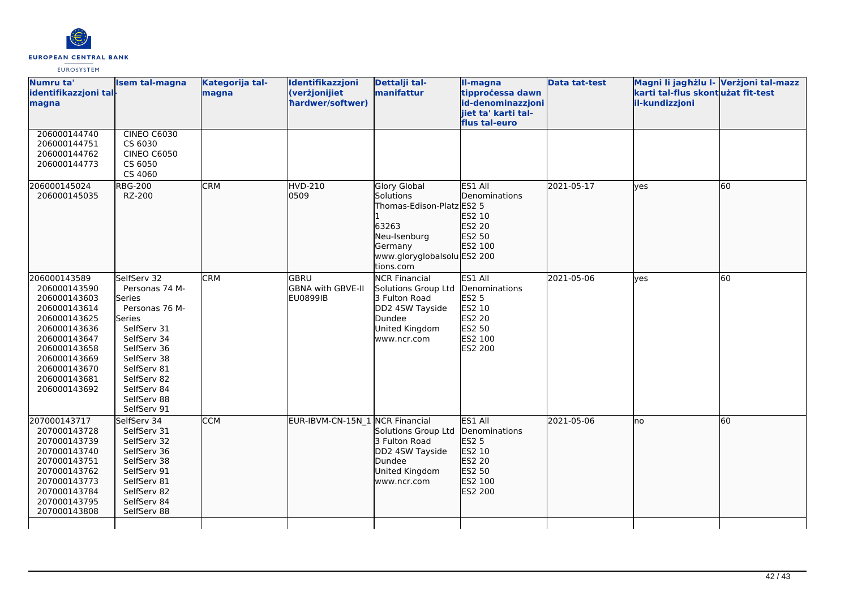

| Numru ta'<br>identifikazzjoni tal-<br>magna                                                                                                                                                  | <b>Isem tal-magna</b>                                                                                                                                                                                      | Kategorija tal-<br>magna | Identifikazzjoni<br>(verżjonijiet<br>hardwer/softwer) | Dettalji tal-<br>manifattur                                                                                                                          | II-magna<br>tipprocessa dawn<br>id-denominazzjoni<br>jiet ta' karti tal-<br>flus tal-euro | <b>Data tat-test</b> | Magni li jagħżlu I- Verżjoni tal-mazz<br>karti tal-flus skontużat fit-test<br>il-kundizzjoni |    |
|----------------------------------------------------------------------------------------------------------------------------------------------------------------------------------------------|------------------------------------------------------------------------------------------------------------------------------------------------------------------------------------------------------------|--------------------------|-------------------------------------------------------|------------------------------------------------------------------------------------------------------------------------------------------------------|-------------------------------------------------------------------------------------------|----------------------|----------------------------------------------------------------------------------------------|----|
| 206000144740<br>206000144751<br>206000144762<br>206000144773                                                                                                                                 | <b>CINEO C6030</b><br>CS 6030<br><b>CINEO C6050</b><br>CS 6050<br>CS 4060                                                                                                                                  |                          |                                                       |                                                                                                                                                      |                                                                                           |                      |                                                                                              |    |
| 206000145024<br>206000145035                                                                                                                                                                 | <b>RBG-200</b><br>RZ-200                                                                                                                                                                                   | <b>CRM</b>               | <b>HVD-210</b><br>0509                                | <b>Glory Global</b><br><b>Solutions</b><br>Thomas-Edison-Platz ES2 5<br>63263<br>Neu-Isenburg<br>Germany<br>www.gloryglobalsolu ES2 200<br>tions.com | ES1 All<br>Denominations<br>ES2 10<br>ES2 20<br>ES2 50<br>ES2 100                         | 2021-05-17           | lves                                                                                         | 60 |
| 206000143589<br>206000143590<br>206000143603<br>206000143614<br>206000143625<br>206000143636<br>206000143647<br>206000143658<br>206000143669<br>206000143670<br>206000143681<br>206000143692 | SelfServ 32<br>Personas 74 M-<br>Series<br>Personas 76 M-<br>Series<br>SelfServ 31<br>SelfServ 34<br>SelfServ 36<br>SelfServ 38<br>SelfServ 81<br>SelfServ 82<br>SelfServ 84<br>SelfServ 88<br>SelfServ 91 | <b>CRM</b>               | GBRU<br><b>GBNA with GBVE-II</b><br><b>EU0899IB</b>   | <b>NCR Financial</b><br>Solutions Group Ltd Denominations<br>3 Fulton Road<br>DD2 4SW Tayside<br>Dundee<br>United Kingdom<br>www.ncr.com             | ES1 All<br><b>ES2 5</b><br>ES2 10<br><b>ES2 20</b><br>ES2 50<br>ES2 100<br>ES2 200        | 2021-05-06           | lves                                                                                         | 60 |
| 207000143717<br>207000143728<br>207000143739<br>207000143740<br>207000143751<br>207000143762<br>207000143773<br>207000143784<br>207000143795<br>207000143808                                 | SelfServ 34<br>SelfServ 31<br>SelfServ 32<br>SelfServ 36<br>SelfServ 38<br>SelfServ 91<br>SelfServ 81<br>SelfServ 82<br>SelfServ 84<br>SelfServ 88                                                         | <b>CCM</b>               | EUR-IBVM-CN-15N_1 NCR Financial                       | Solutions Group Ltd<br>3 Fulton Road<br>DD2 4SW Tayside<br>Dundee<br>United Kingdom<br>www.ncr.com                                                   | ES1 All<br>Denominations<br>ES2 5<br>ES2 10<br>ES2 20<br>ES2 50<br>ES2 100<br>ES2 200     | 2021-05-06           | lno                                                                                          | 60 |
|                                                                                                                                                                                              |                                                                                                                                                                                                            |                          |                                                       |                                                                                                                                                      |                                                                                           |                      |                                                                                              |    |